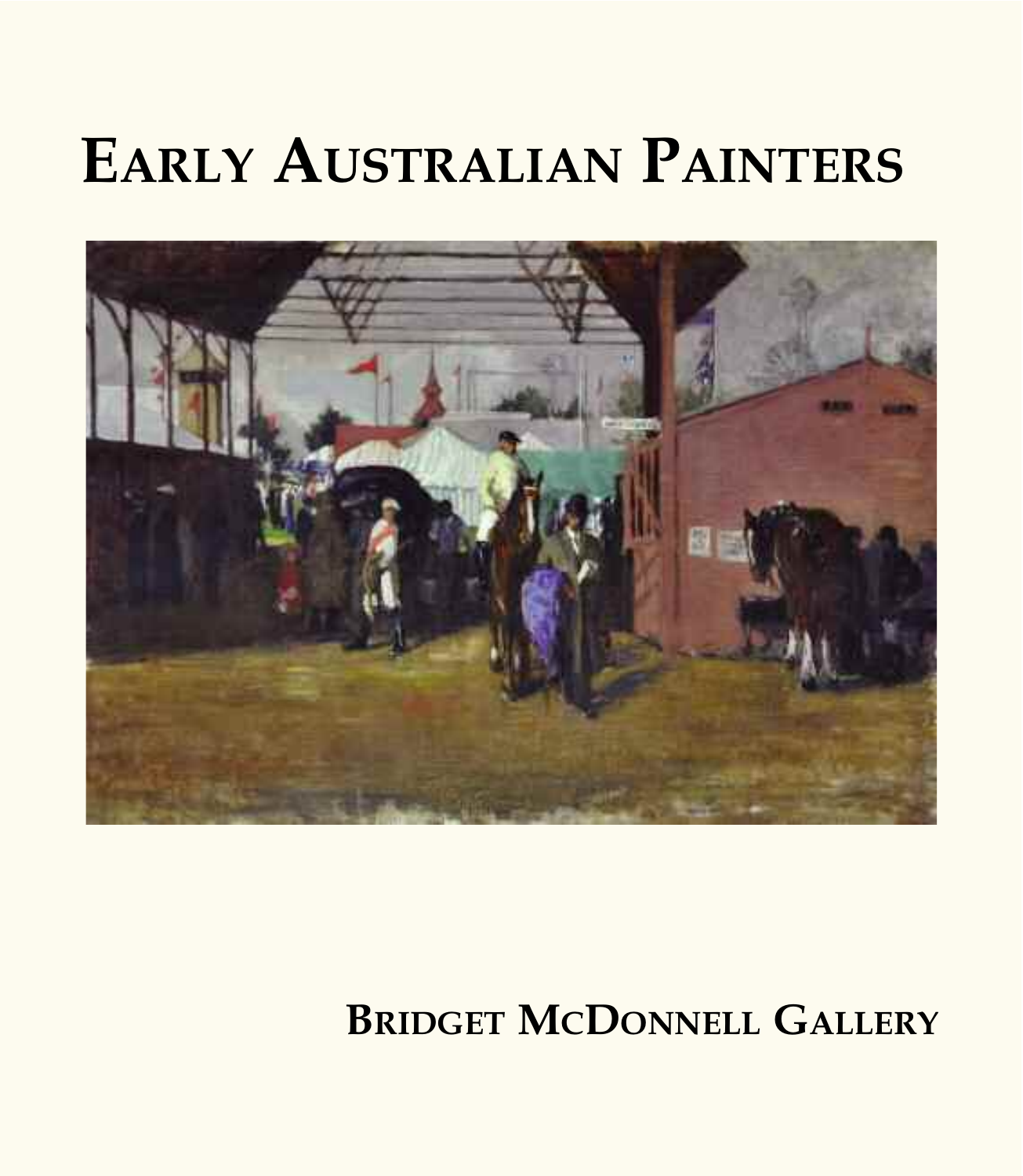# **EARLY AUSTRALIAN PAINTERS**



# **BRIDGET MCDONNELL GALLERY**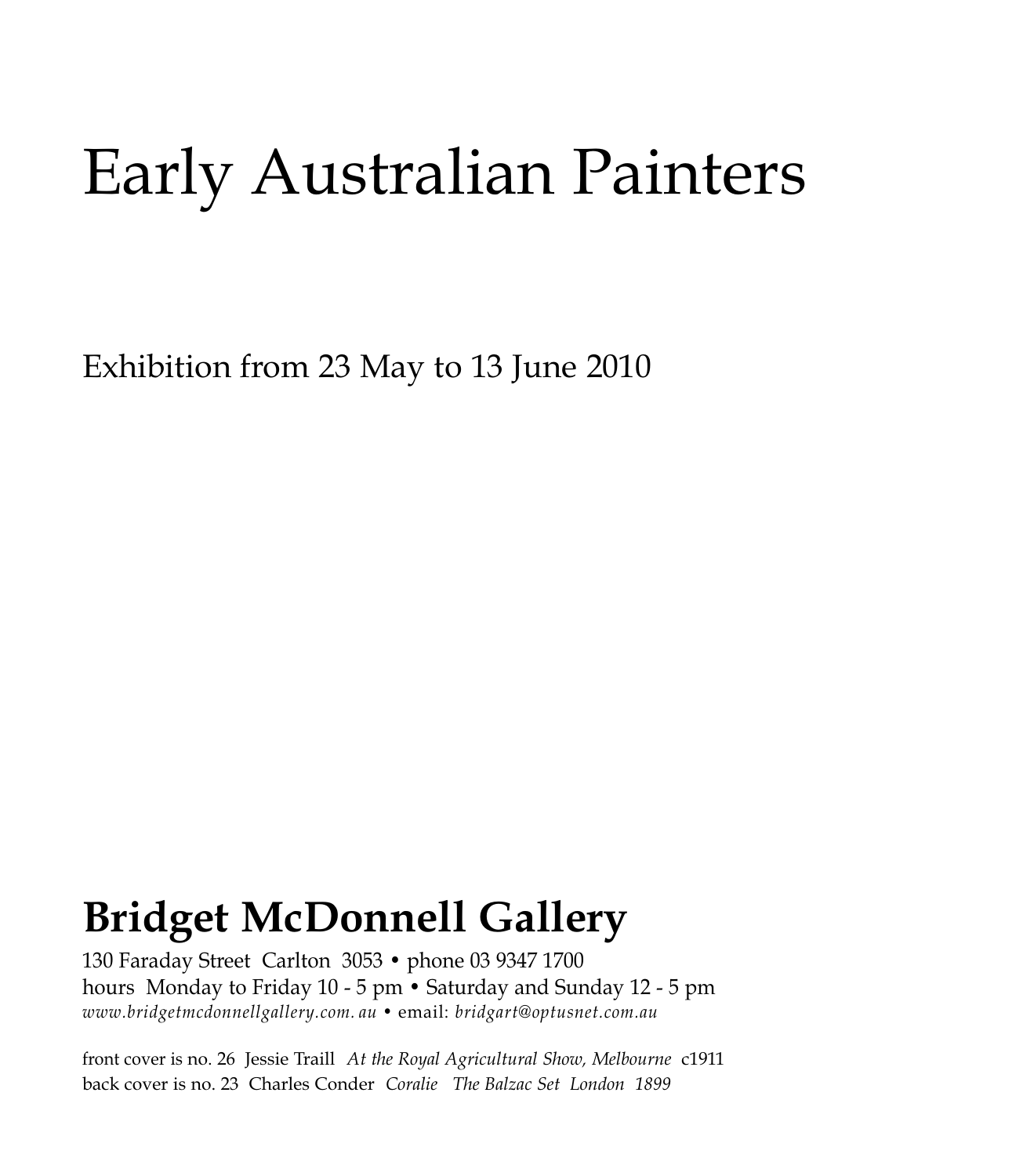# Early Australian Painters

Exhibition from 23 May to 13 June 2010

# **Bridget McDonnell Gallery**

130 Faraday Street Carlton 3053 • phone 03 9347 1700 hours Monday to Friday 10 - 5 pm • Saturday and Sunday 12 - 5 pm *www.bridgetmcdonnellgallery.com. au •* email: *bridgart@optusnet.com.au*

front cover is no. 26 Jessie Traill *At the Royal Agricultural Show, Melbourne* c1911 back cover is no. 23 Charles Conder *Coralie The Balzac Set London 1899*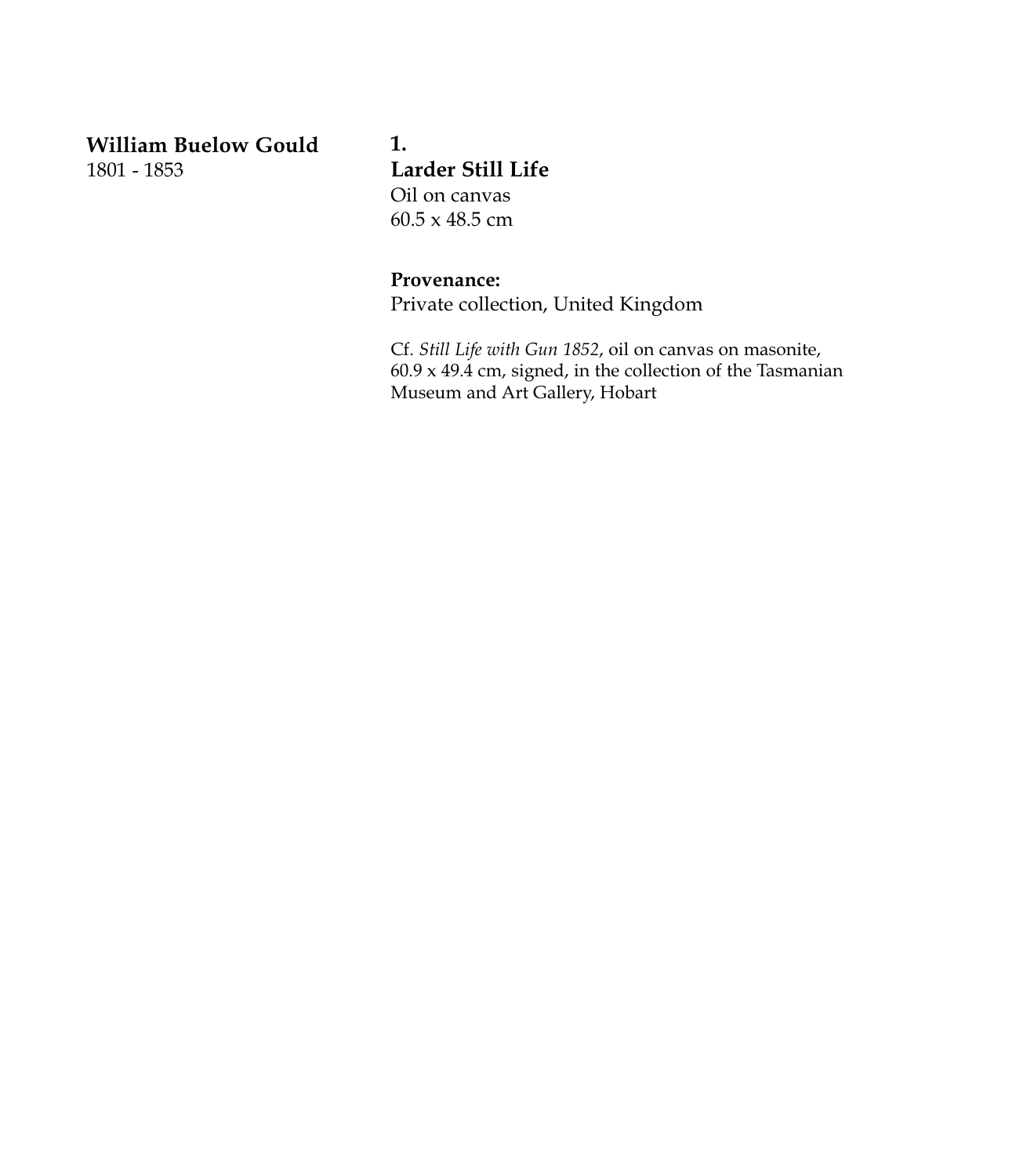**William Buelow Gould** 1801 - 1853

### **1. Larder Still Life** Oil on canvas 60.5 x 48.5 cm

#### **Provenance:**

Private collection, United Kingdom

Cf. *Still Life with Gun 1852*, oil on canvas on masonite,  $60.9 \times 49.4$  cm, signed, in the collection of the Tasmanian Museum and Art Gallery, Hobart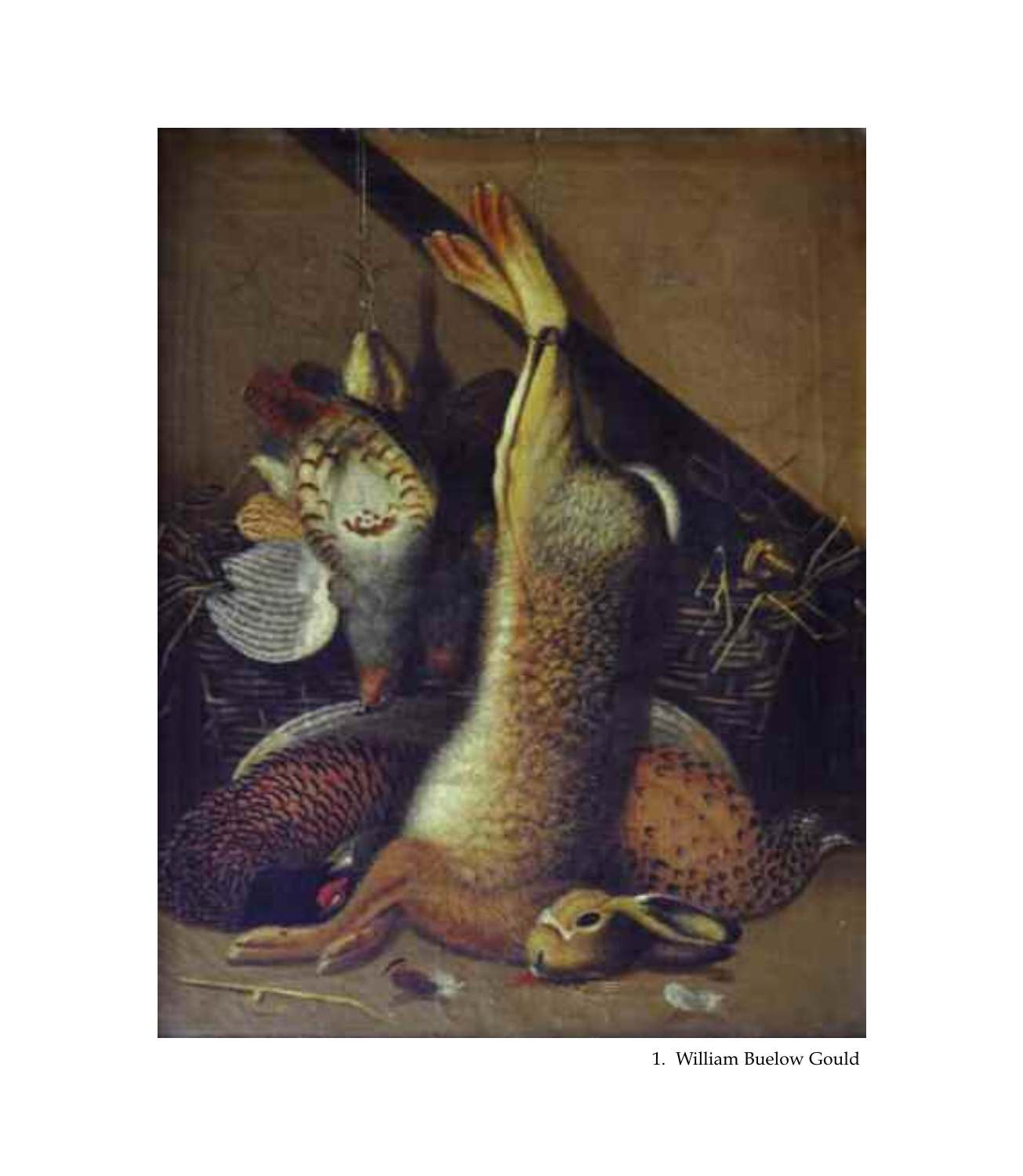

1. William Buelow Gould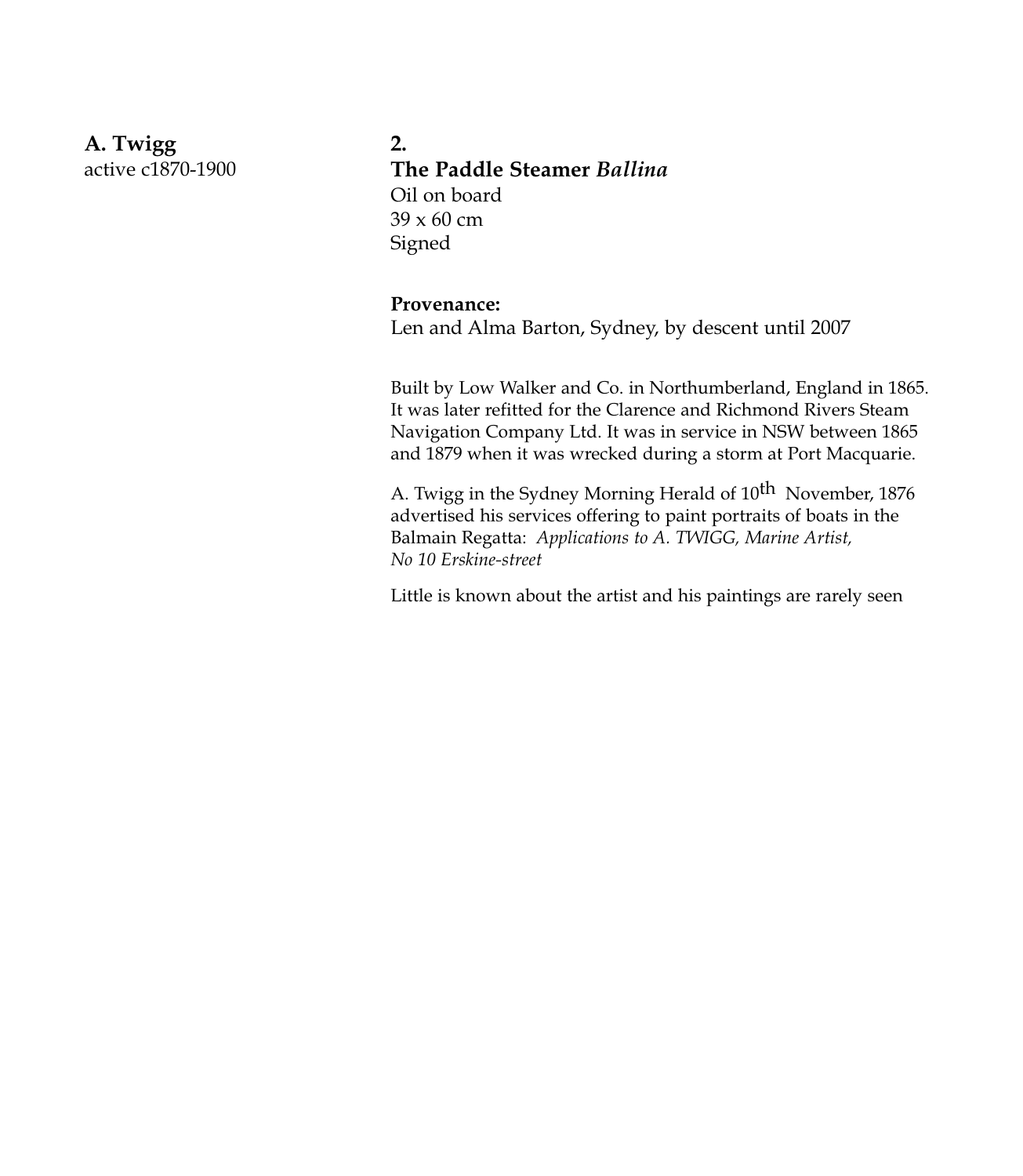**A. Twigg** active c1870-1900 **2. The Paddle Steamer** *Ballina* Oil on board 39 x 60 cm Signed

#### **Provenance:**

Len and Alma Barton, Sydney, by descent until 2007

Built by Low Walker and Co. in Northumberland, England in 1865. It was later refitted for the Clarence and Richmond Rivers Steam Navigation Company Ltd. It was in service in NSW between 1865 and 1879 when it was wrecked during a storm at Port Macquarie.

A. Twigg in the Sydney Morning Herald of  $10^{th}$  November, 1876 advertised his services offering to paint portraits of boats in the Balmain Regatta: *Applications to A. TWIGG, Marine Artist, No 10 Erskine-street*

Little is known about the artist and his paintings are rarely seen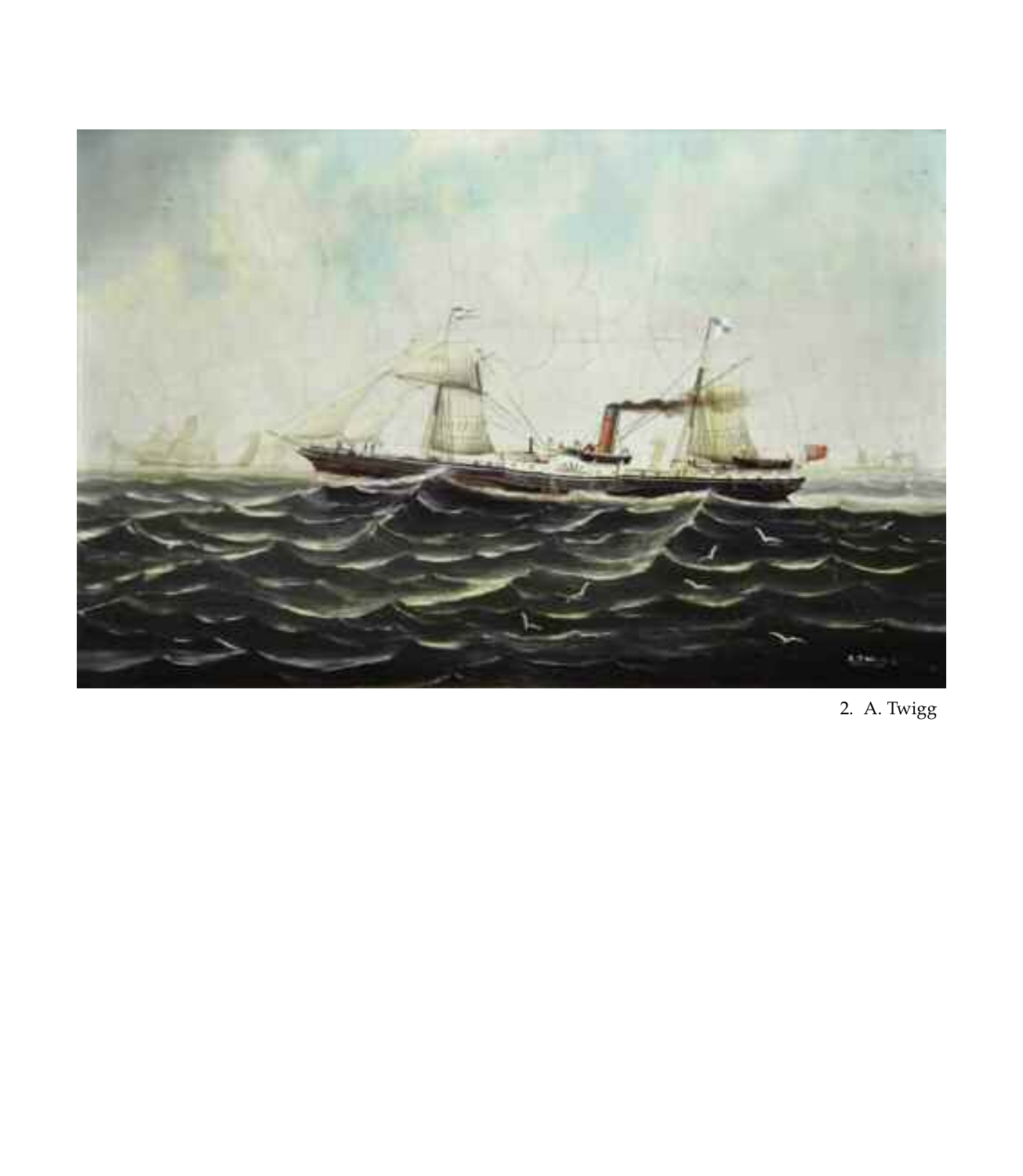

2. A. Twigg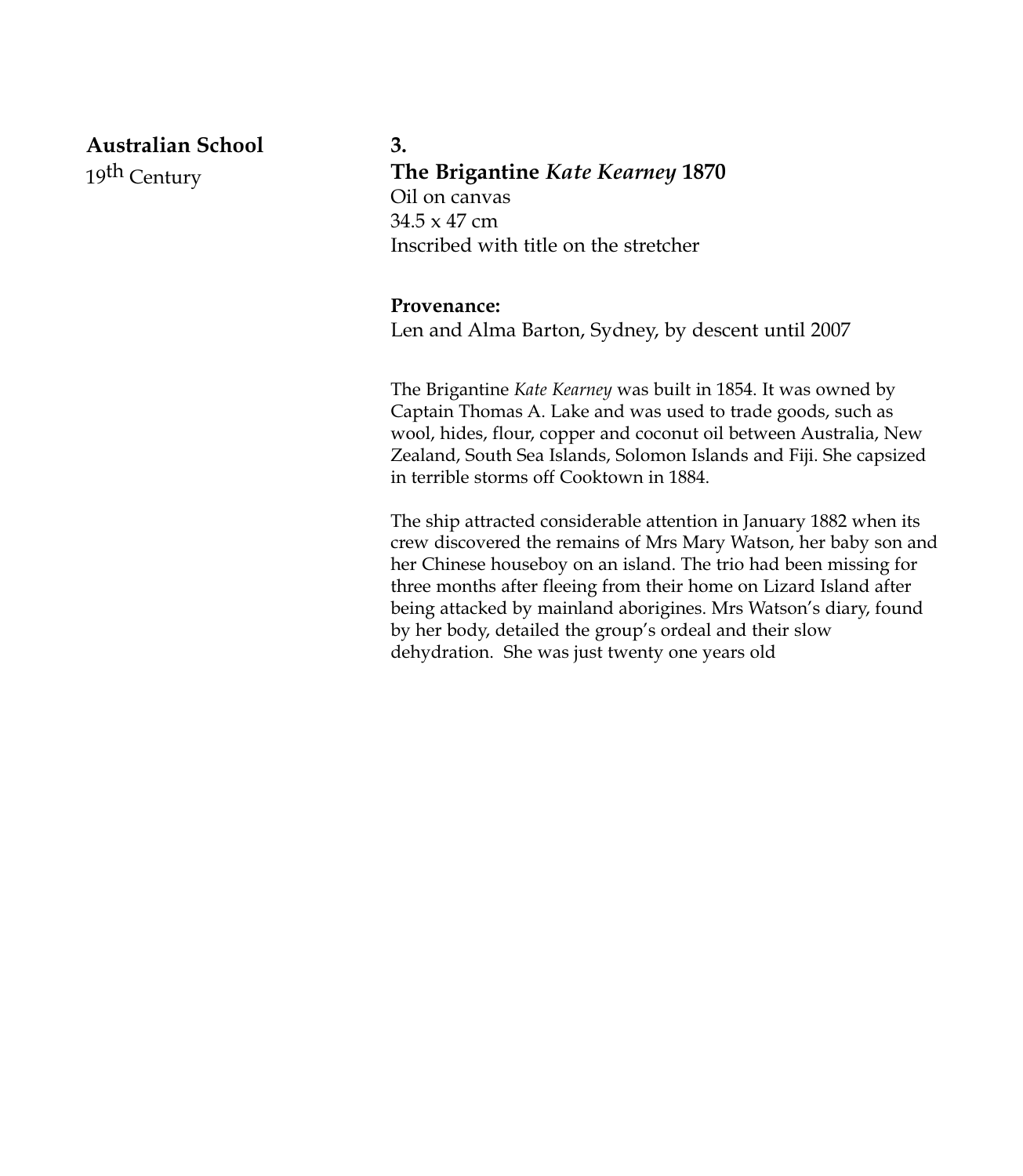**Australian School** 19th Century

**3. The Brigantine** *Kate Kearney* **1870** Oil on canvas 34.5 x 47 cm Inscribed with title on the stretcher

#### **Provenance:**

Len and Alma Barton, Sydney, by descent until 2007

The Brigantine *Kate Kearney* was built in 1854. It was owned by Captain Thomas A. Lake and was used to trade goods, such as wool, hides, flour, copper and coconut oil between Australia, New Zealand, South Sea Islands, Solomon Islands and Fiji. She capsized in terrible storms off Cooktown in 1884.

The ship attracted considerable attention in January 1882 when its crew discovered the remains of Mrs Mary Watson, her baby son and her Chinese houseboy on an island. The trio had been missing for three months after fleeing from their home on Lizard Island after being attacked by mainland aborigines. Mrs Watson's diary, found by her body, detailed the group's ordeal and their slow dehydration. She was just twenty one years old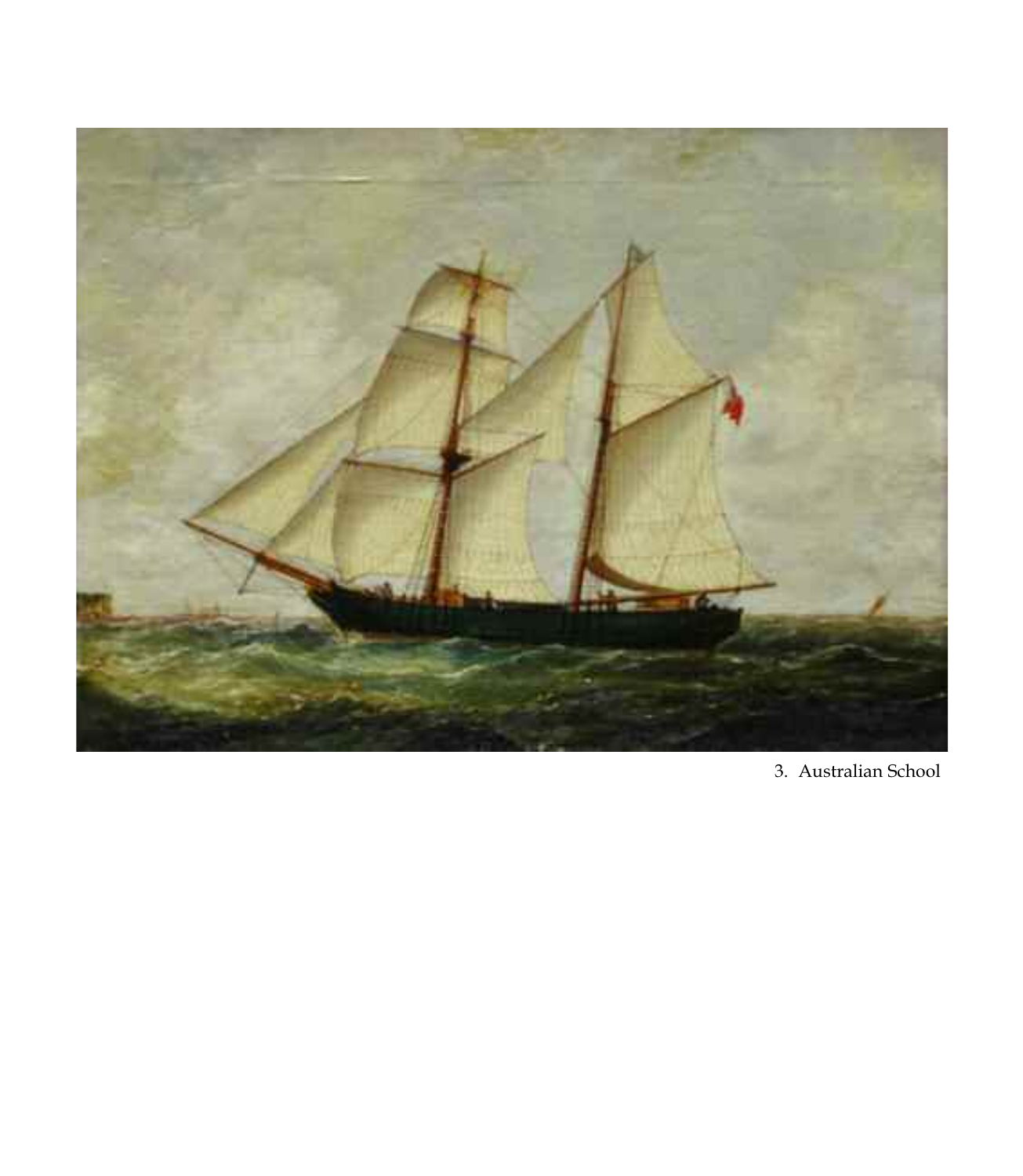

3. Australian School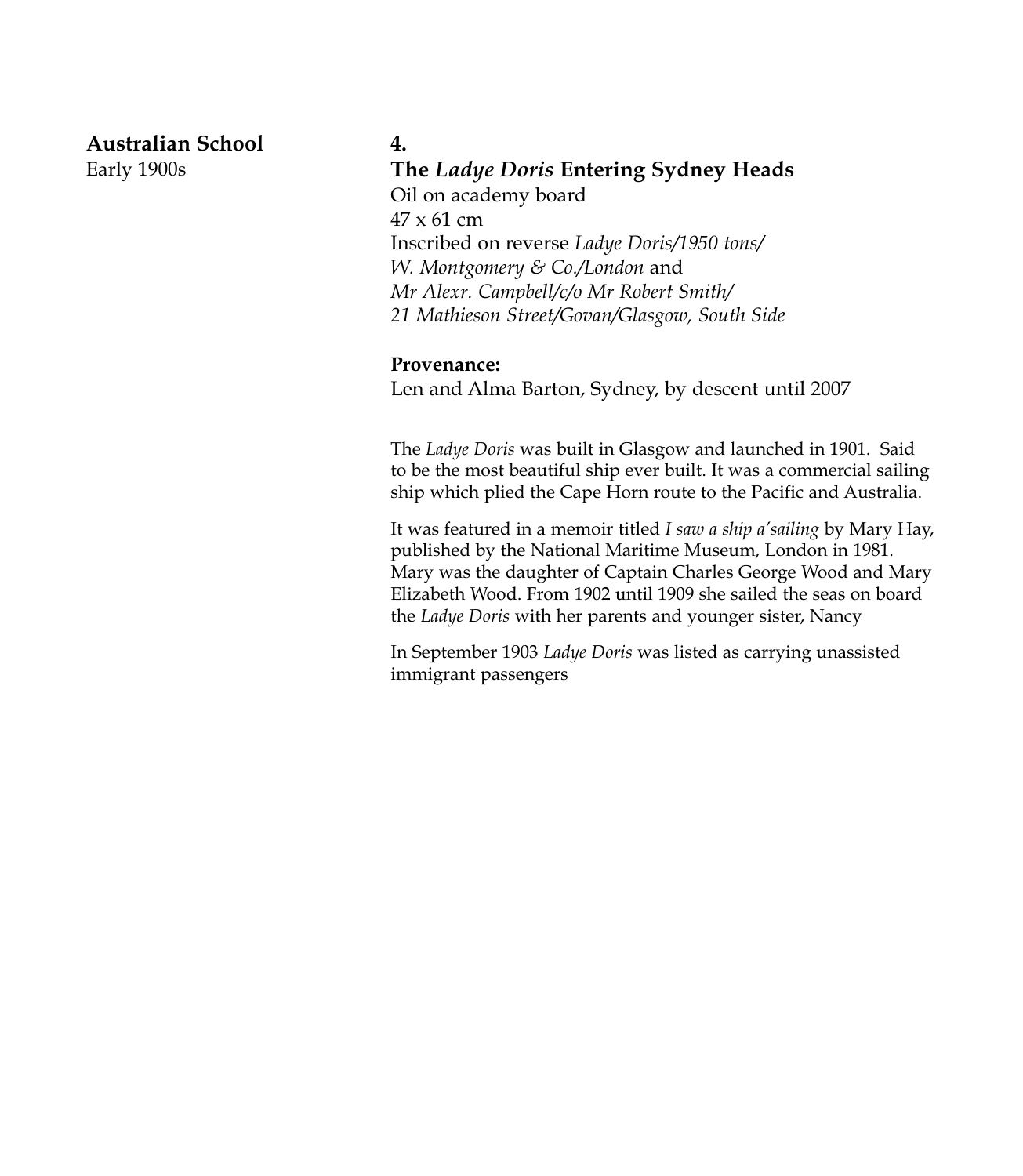**Australian School**

Early 1900s

#### **4.**

#### **The** *Ladye Doris* **Entering Sydney Heads**

Oil on academy board 47 x 61 cm Inscribed on reverse *Ladye Doris/1950 tons/ W. Montgomery & Co./London* and *Mr Alexr. Campbell/c/o Mr Robert Smith/ 21 Mathieson Street/Govan/Glasgow, South Side*

#### **Provenance:**

Len and Alma Barton, Sydney, by descent until 2007

The *Ladye Doris* was built in Glasgow and launched in 1901. Said to be the most beautiful ship ever built. It was a commercial sailing ship which plied the Cape Horn route to the Pacific and Australia.

It was featured in a memoir titled *I saw a ship a'sailing* by Mary Hay, published by the National Maritime Museum, London in 1981. Mary was the daughter of Captain Charles George Wood and Mary Elizabeth Wood. From 1902 until 1909 she sailed the seas on board the *Ladye Doris* with her parents and younger sister, Nancy

In September 1903 *Ladye Doris* was listed as carrying unassisted immigrant passengers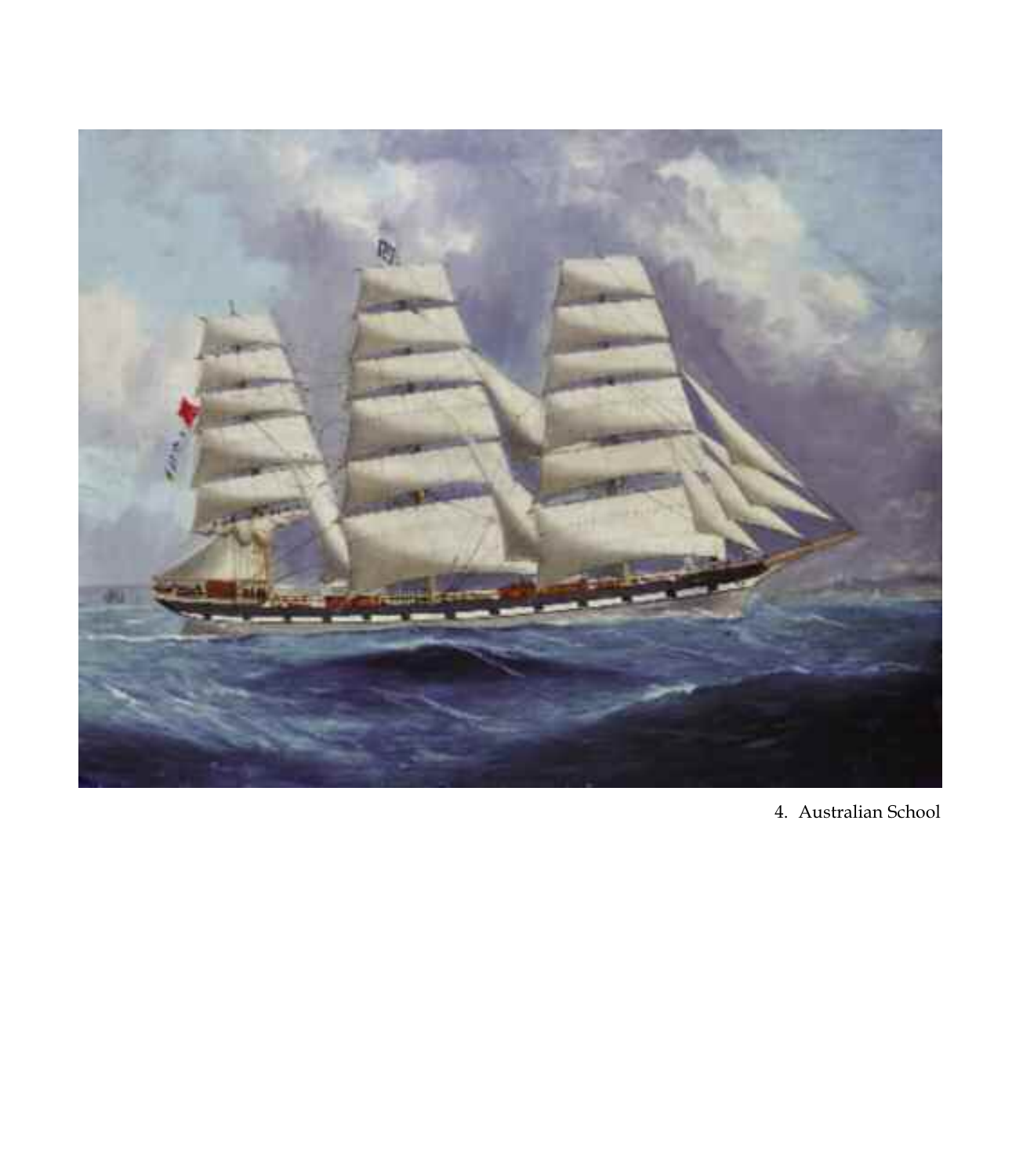

4. Australian School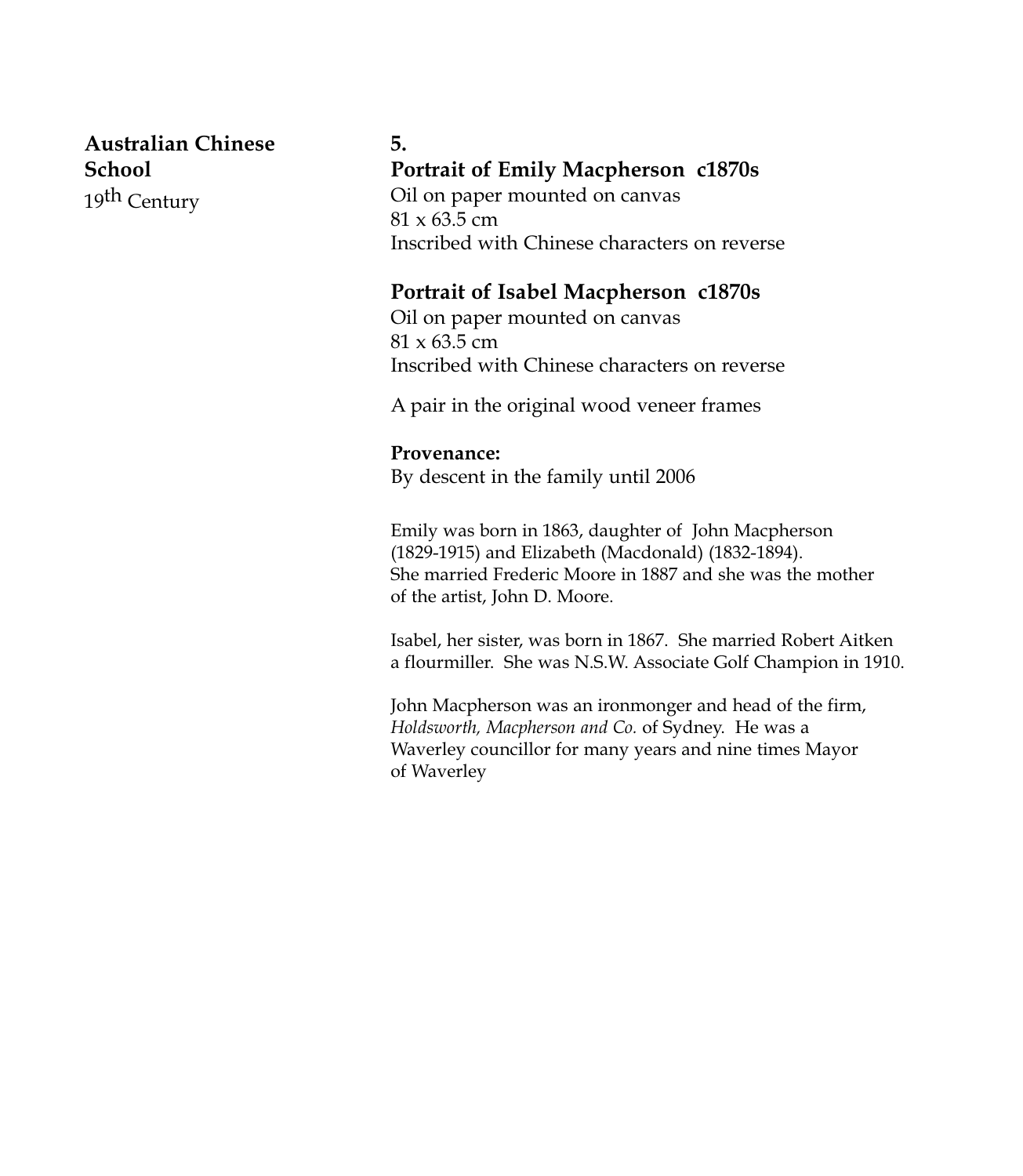**Australian Chinese School** 19th Century

#### **5.**

#### **Portrait of Emily Macpherson c1870s**

Oil on paper mounted on canvas  $81 \times 63.5$  cm Inscribed with Chinese characters on reverse

#### **Portrait of Isabel Macpherson c1870s**

Oil on paper mounted on canvas 81 x 63.5 cm Inscribed with Chinese characters on reverse

A pair in the original wood veneer frames

#### **Provenance:**

By descent in the family until 2006

Emily was born in 1863, daughter of John Macpherson (1829-1915) and Elizabeth (Macdonald) (1832-1894). She married Frederic Moore in 1887 and she was the mother of the artist, John D. Moore.

Isabel, her sister, was born in 1867. She married Robert Aitken a flourmiller. She was N.S.W. Associate Golf Champion in 1910.

John Macpherson was an ironmonger and head of the firm, *Holdsworth, Macpherson and Co.* of Sydney. He was a Waverley councillor for many years and nine times Mayor of Waverley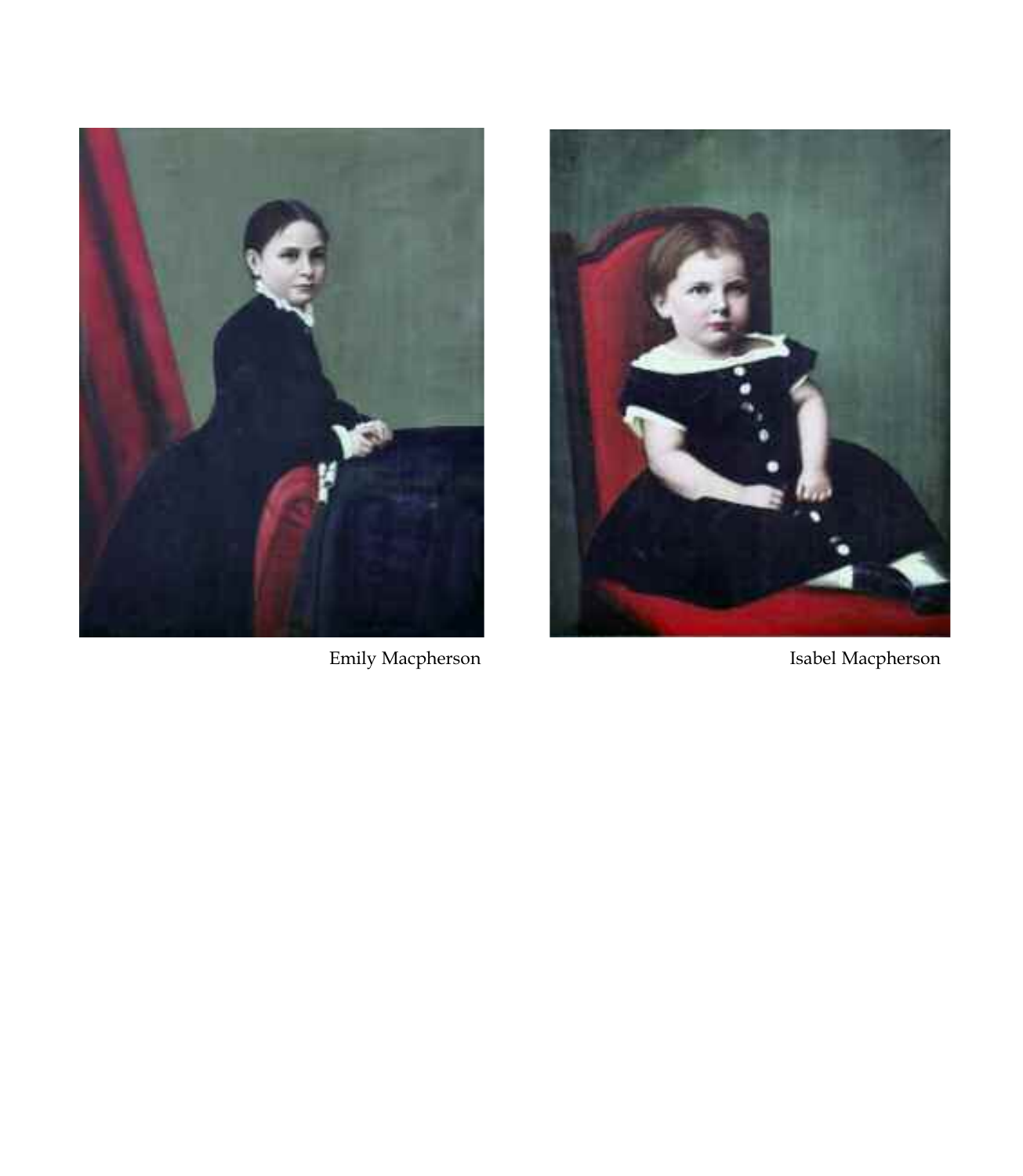



Emily Macpherson **Isabel Macpherson**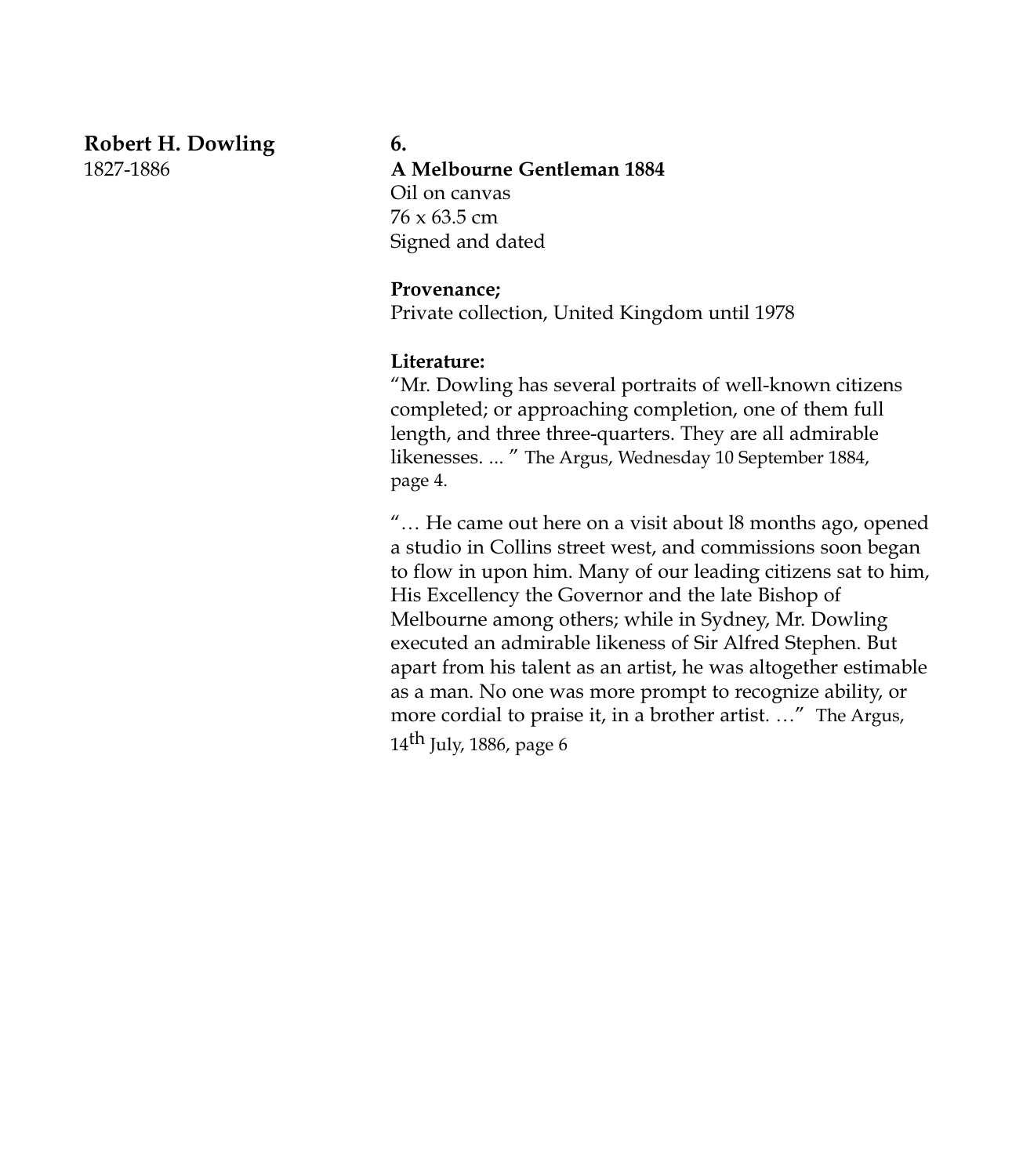# **Robert H. Dowling**

1827-1886

#### **6.**

#### **A Melbourne Gentleman 1884**

Oil on canvas 76 x 63.5 cm Signed and dated

#### **Provenance;**

Private collection, United Kingdom until 1978

#### **Literature:**

"Mr. Dowling has several portraits of well-known citizens completed; or approaching completion, one of them full length, and three three-quarters. They are all admirable likenesses. ... " The Argus, Wednesday 10 September 1884, page 4.

"… He came out here on a visit about l8 months ago, opened a studio in Collins street west, and commissions soon began to flow in upon him. Many of our leading citizens sat to him, His Excellency the Governor and the late Bishop of Melbourne among others; while in Sydney, Mr. Dowling executed an admirable likeness of Sir Alfred Stephen. But apart from his talent as an artist, he was altogether estimable as a man. No one was more prompt to recognize ability, or more cordial to praise it, in a brother artist. …" The Argus,  $14<sup>th</sup>$  July, 1886, page 6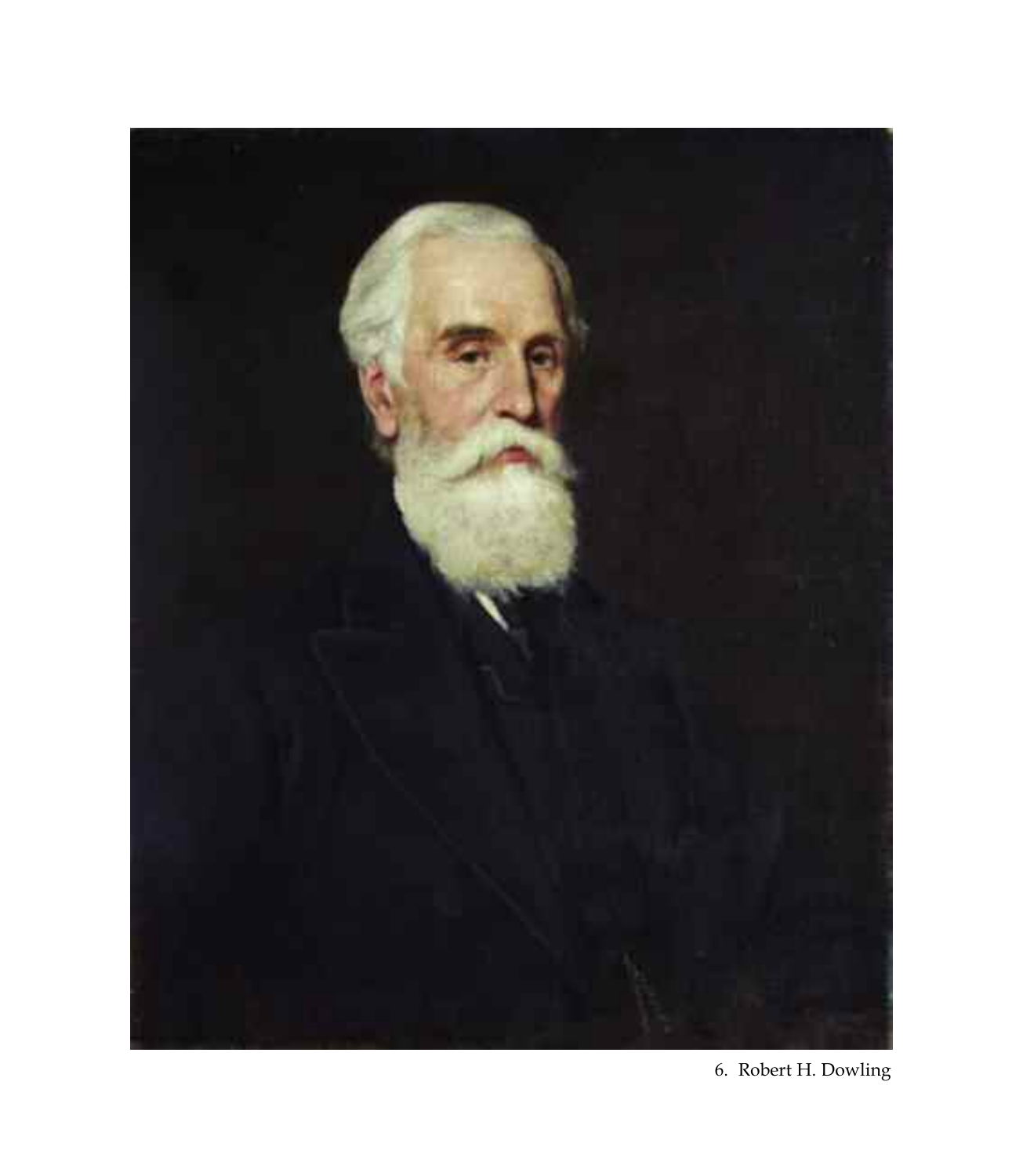

6. Robert H. Dowling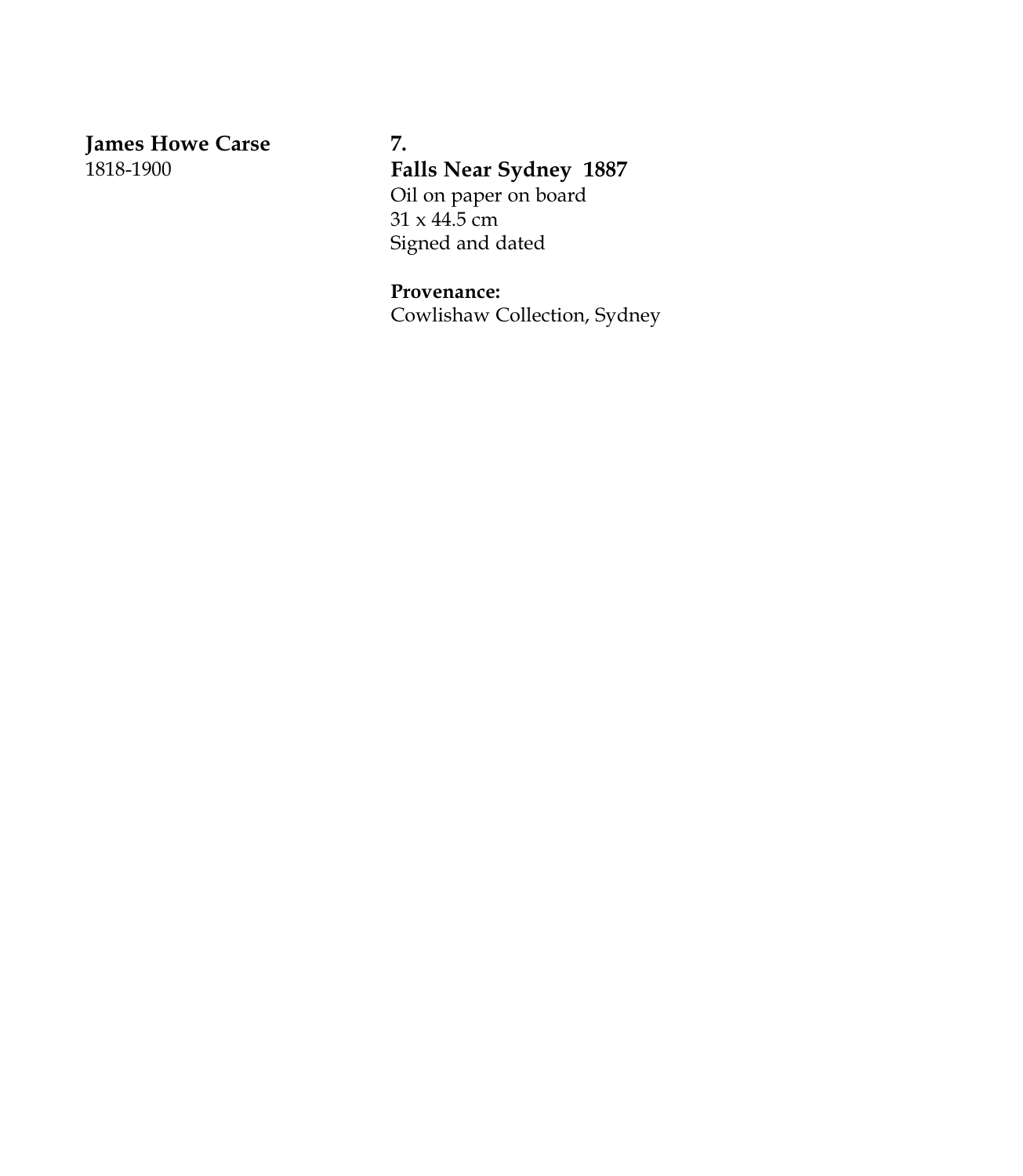**James Howe Carse** 1818-1900

**7. Falls Near Sydney 1887** Oil on paper on board  $31 \times 44.5$  cm Signed and dated

**Provenance:** Cowlishaw Collection, Sydney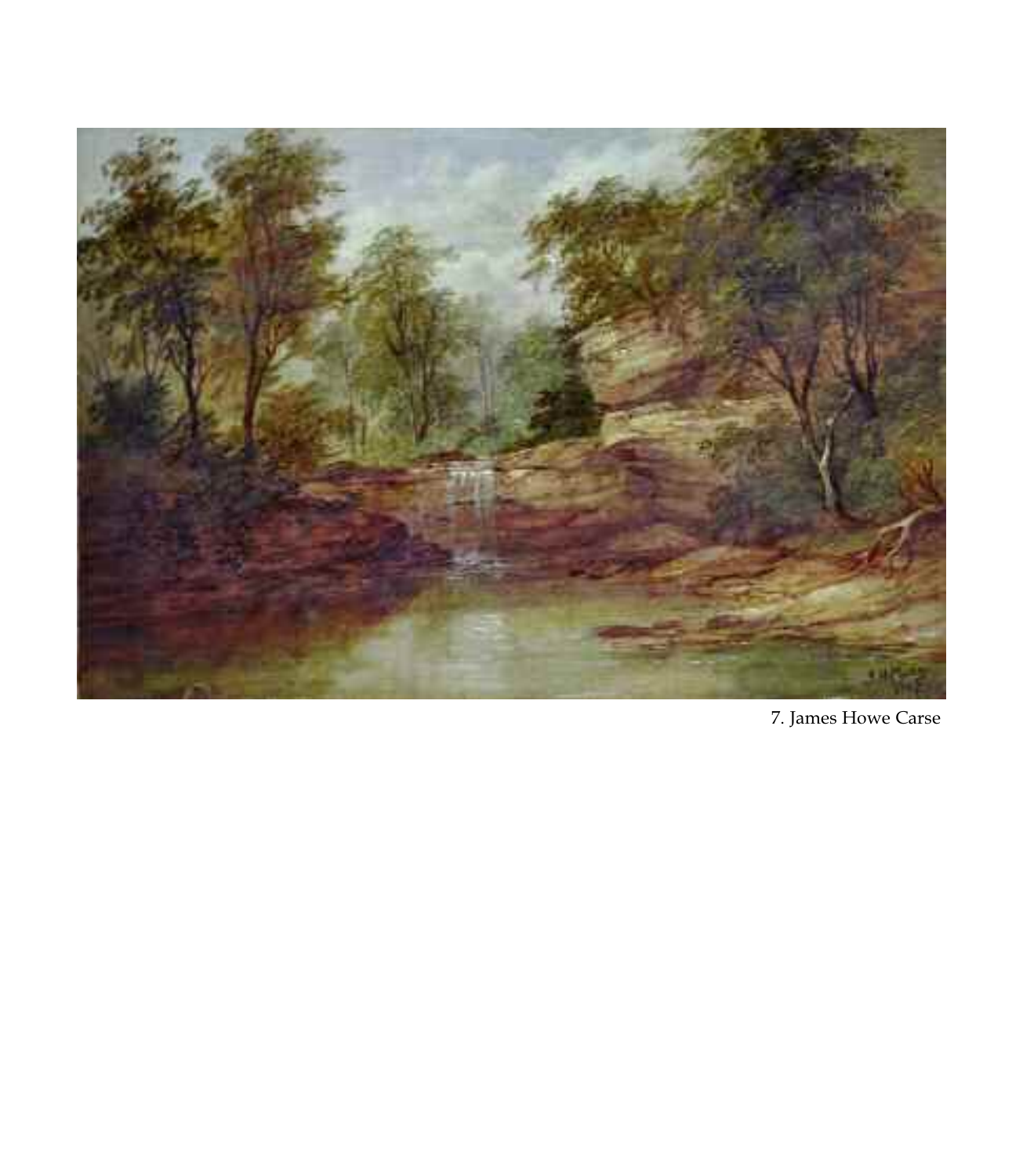

7. James Howe Carse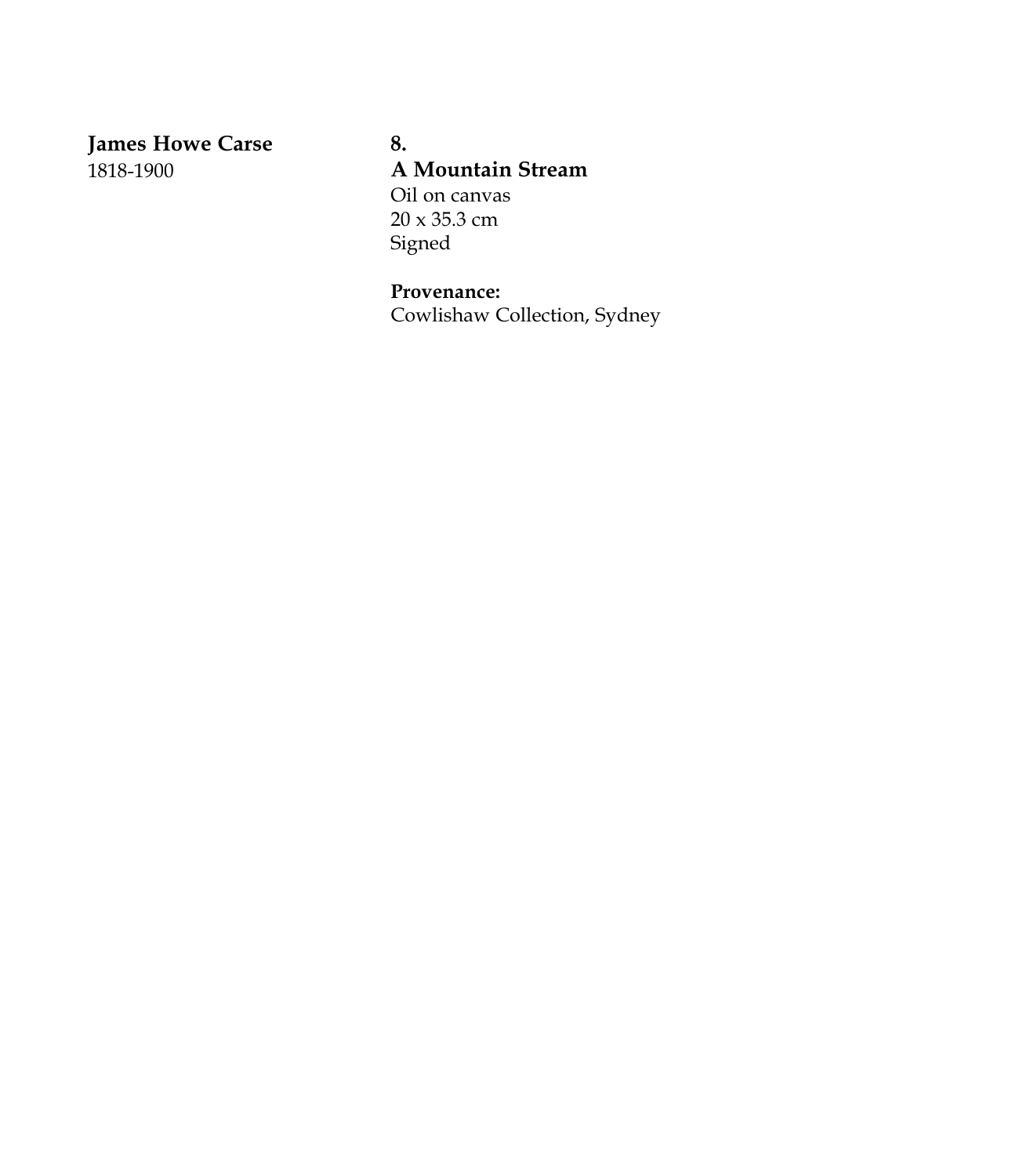**James Howe Carse** 1818-1900

**8. A Mountain Stream** Oil on canvas 20 x 35.3 cm Signed

# **Provenance:**

Cowlishaw Collection, Sydney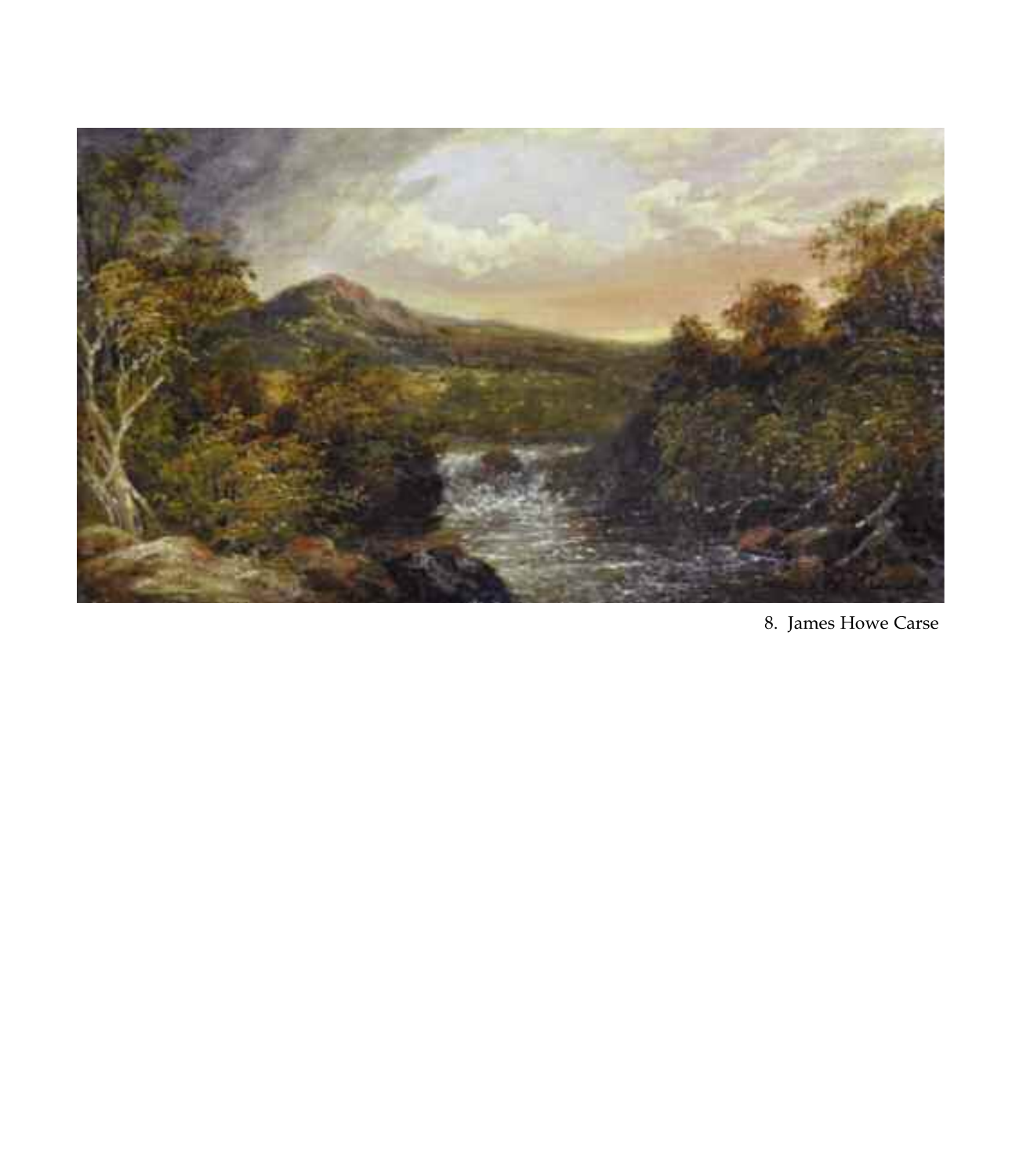

8. James Howe Carse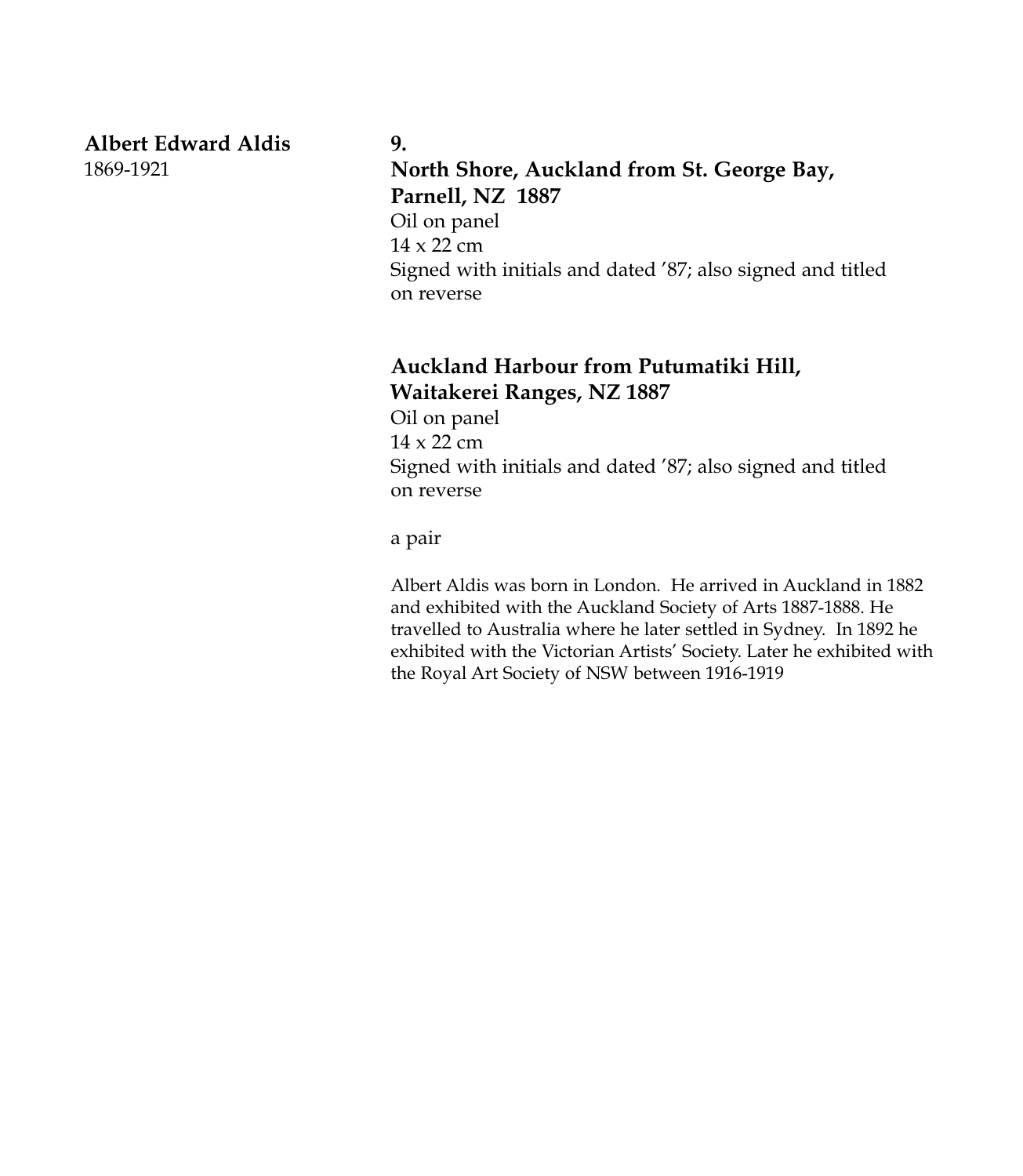#### **Albert Edward Aldis** 1869-1921

#### **9.**

# **North Shore, Auckland from St. George Bay, Parnell, NZ 1887**

Oil on panel 14 x 22 cm Signed with initials and dated '87; also signed and titled on reverse

## **Auckland Harbour from Putumatiki Hill, Waitakerei Ranges, NZ 1887**

Oil on panel 14 x 22 cm Signed with initials and dated '87; also signed and titled on reverse

a pair

Albert Aldis was born in London. He arrived in Auckland in 1882 and exhibited with the Auckland Society of Arts 1887-1888. He travelled to Australia where he later settled in Sydney. In 1892 he exhibited with the Victorian Artists' Society. Later he exhibited with the Royal Art Society of NSW between 1916-1919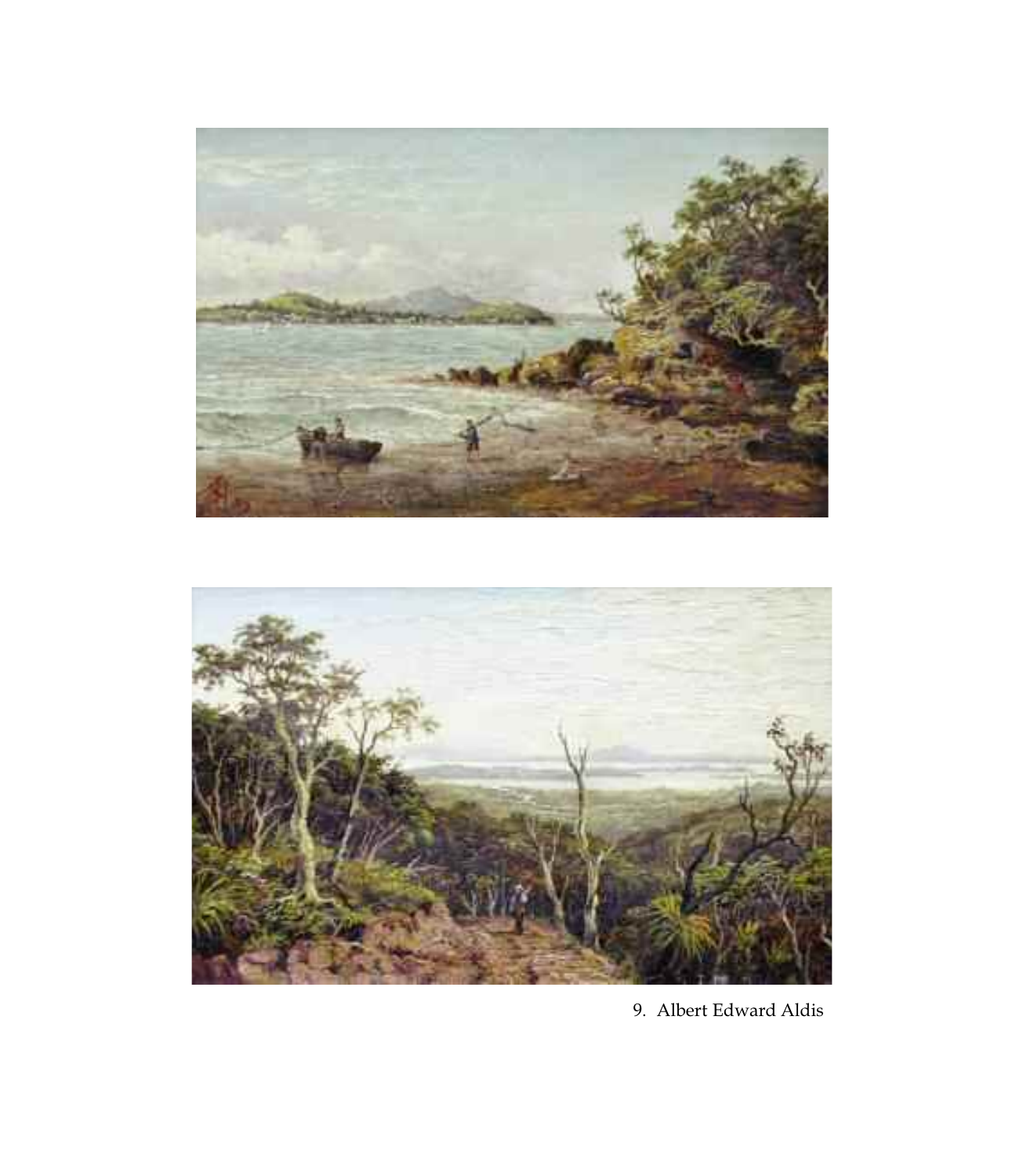



9. Albert Edward Aldis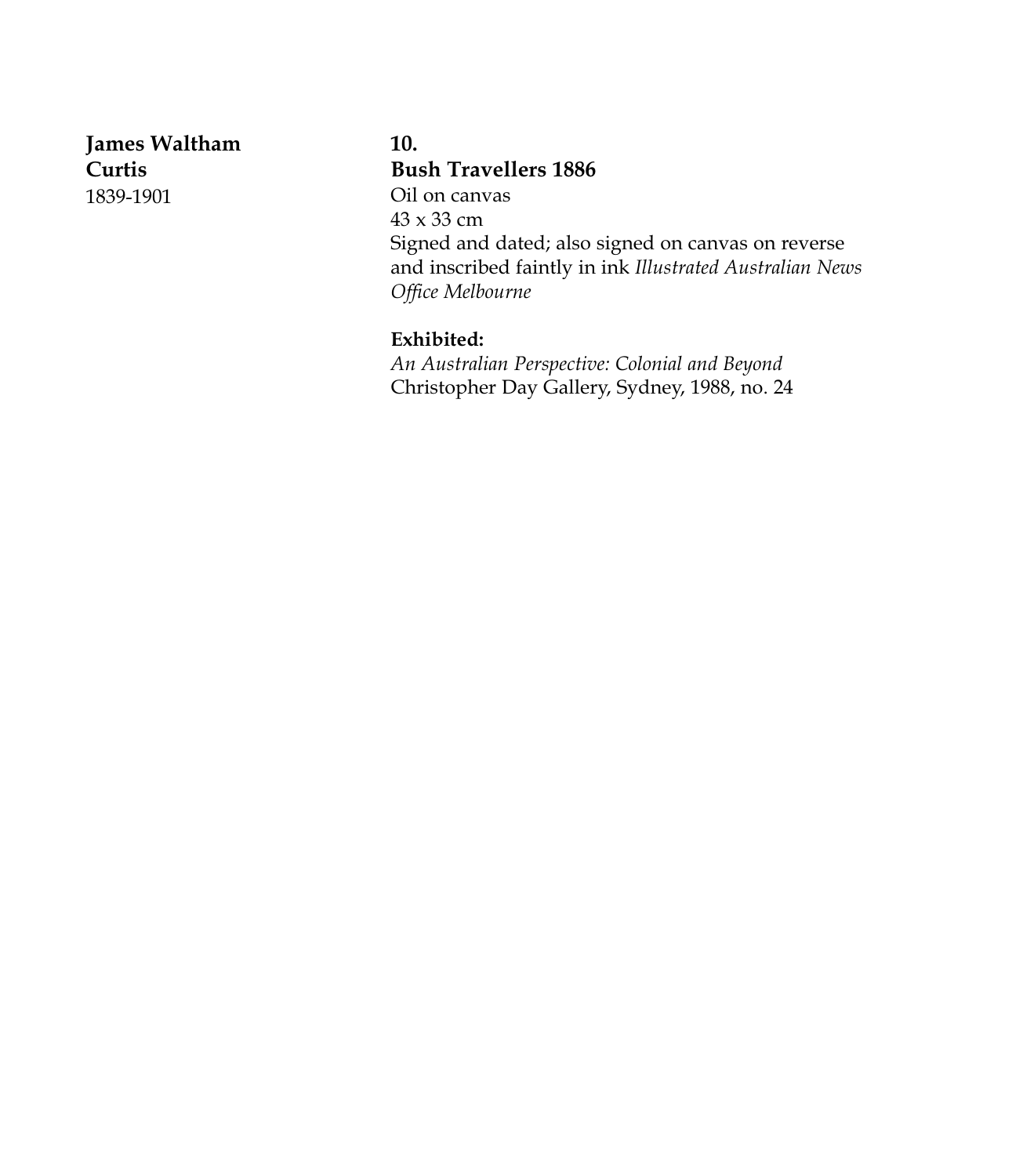**James Waltham Curtis** 1839-1901

**10. Bush Travellers 1886** Oil on canvas 43 x 33 cm Signed and dated; also signed on canvas on reverse and inscribed faintly in ink *Illustrated Australian News Office Melbourne*

#### **Exhibited:**

*An Australian Perspective: Colonial and Beyond* Christopher Day Gallery, Sydney, 1988, no. 24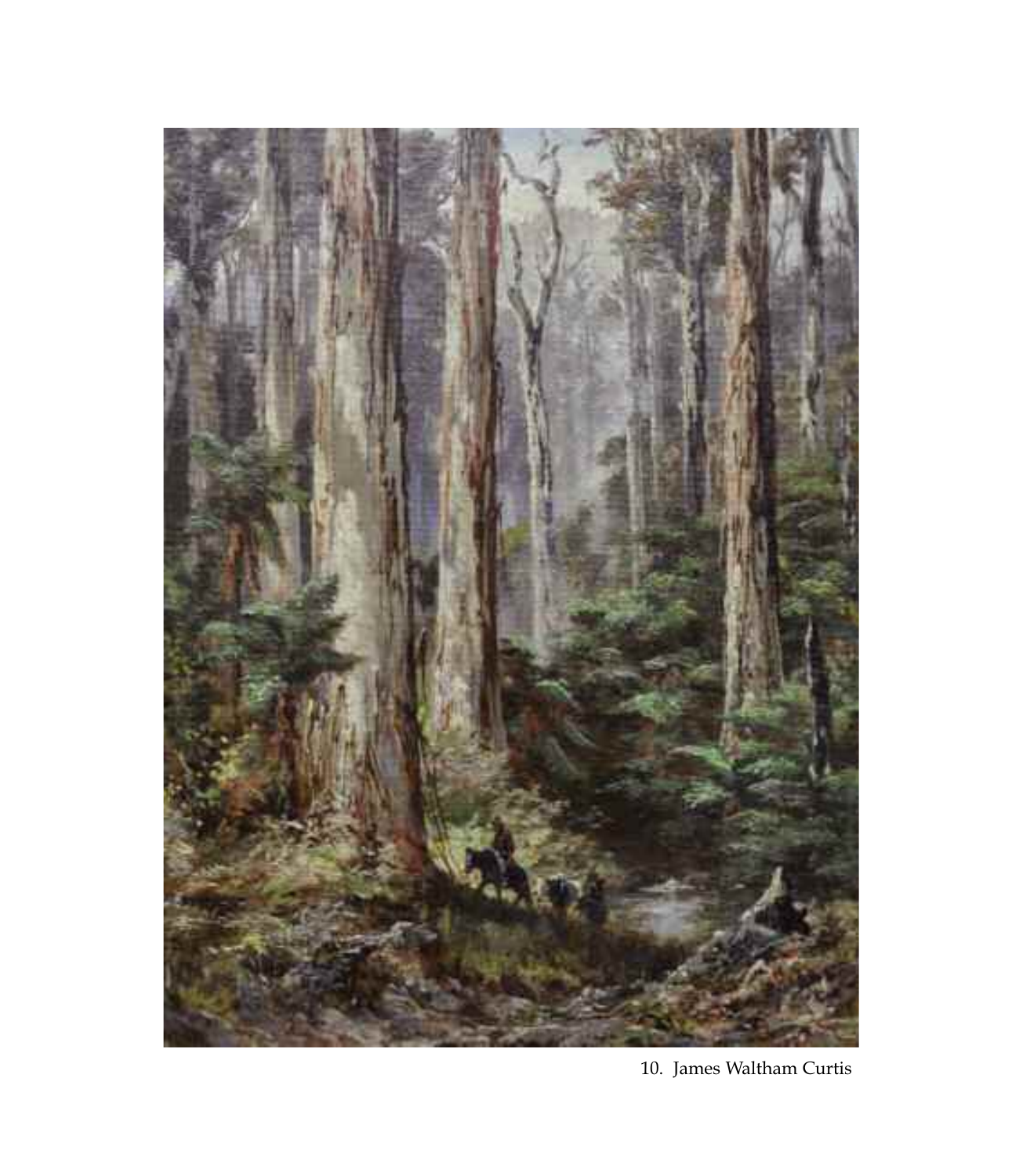

10. James Waltham Curtis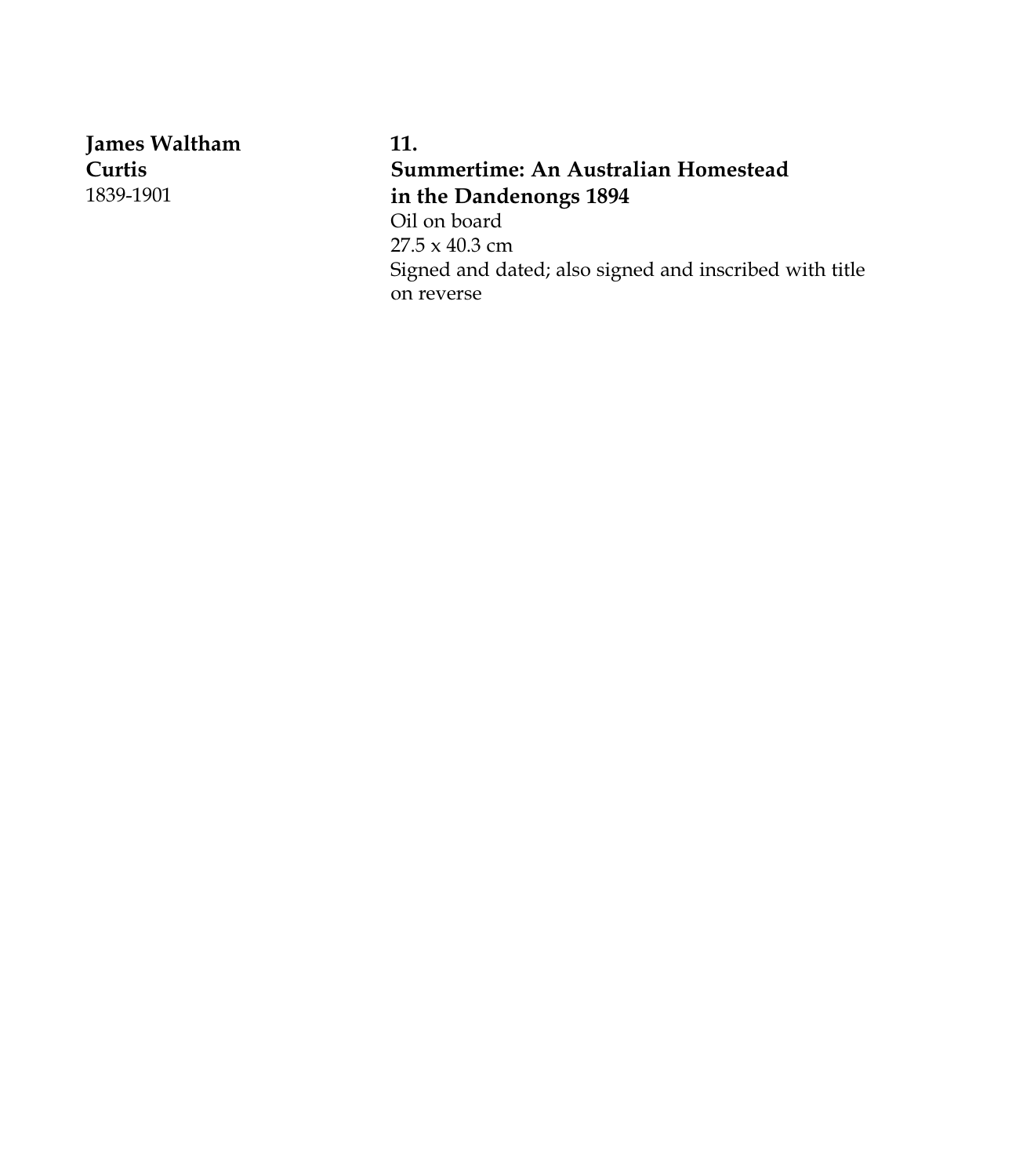**James Waltham Curtis** 1839-1901

**11. Summertime: An Australian Homestead in the Dandenongs 1894** Oil on board 27.5 x 40.3 cm Signed and dated; also signed and inscribed with title on reverse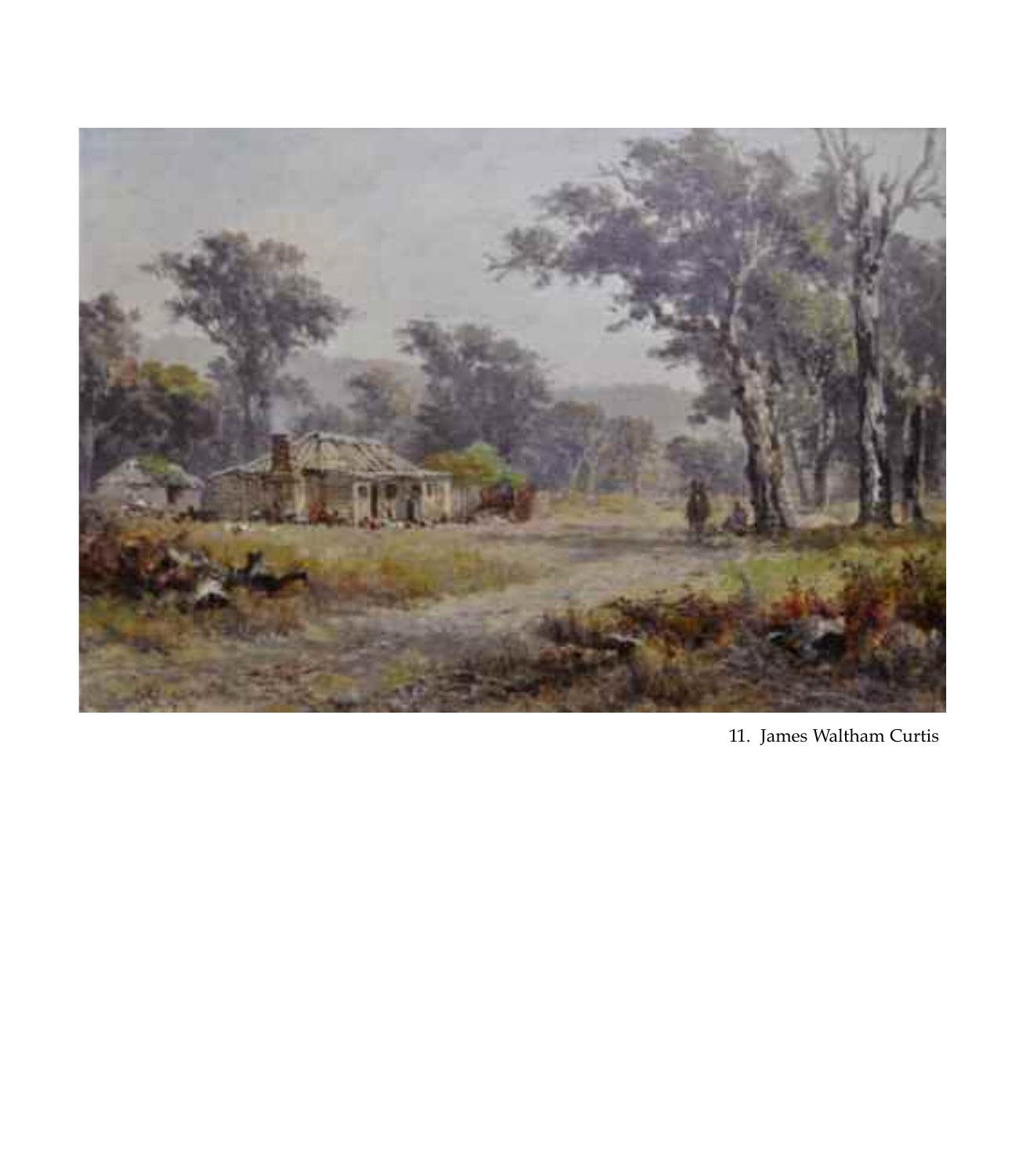

11. James Waltham Curtis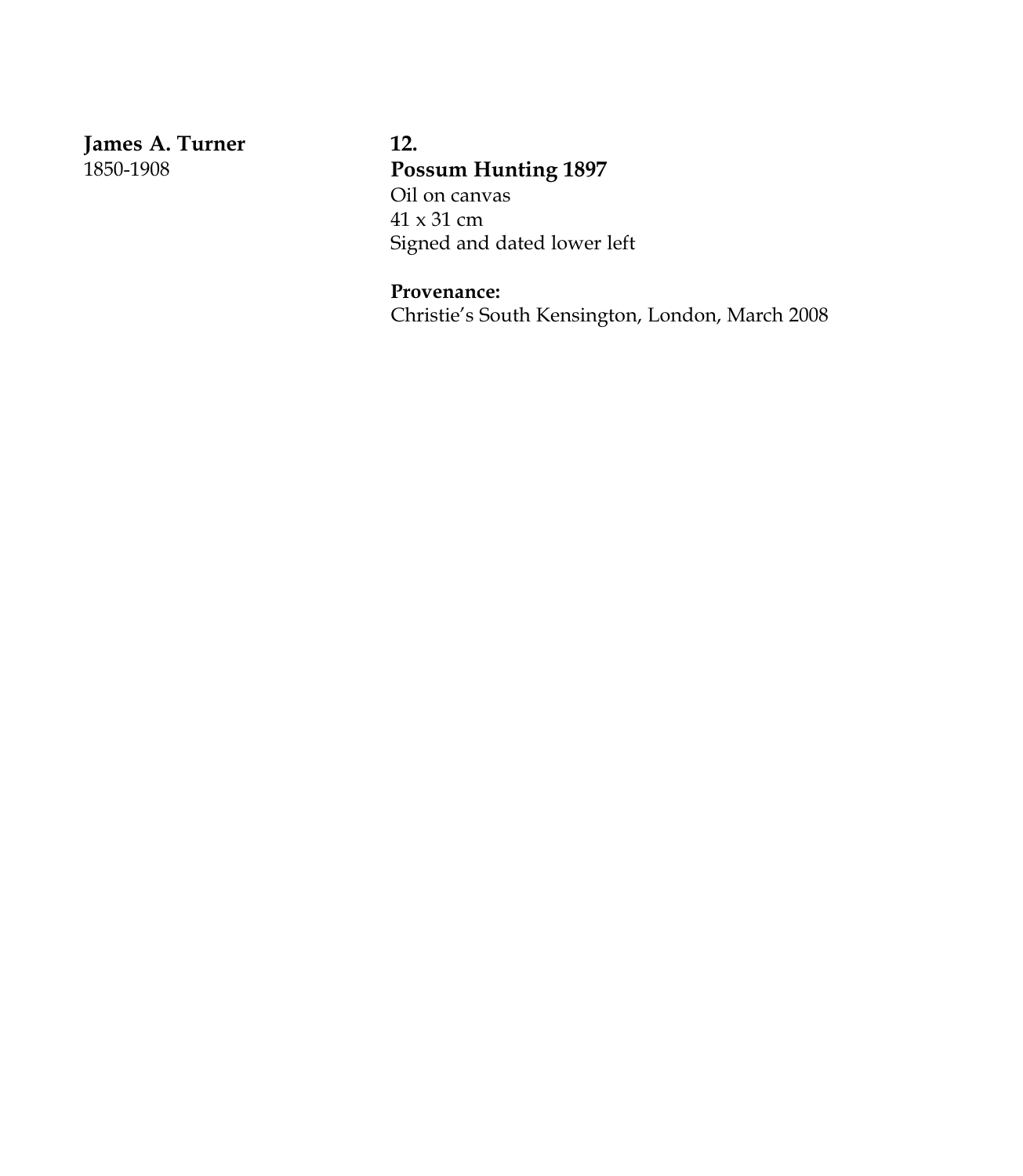**James A. Turner** 1850-1908

**12. Possum Hunting 1897** Oil on canvas 41 x 31 cm Signed and dated lower left

**Provenance:** Christie's South Kensington, London, March 2008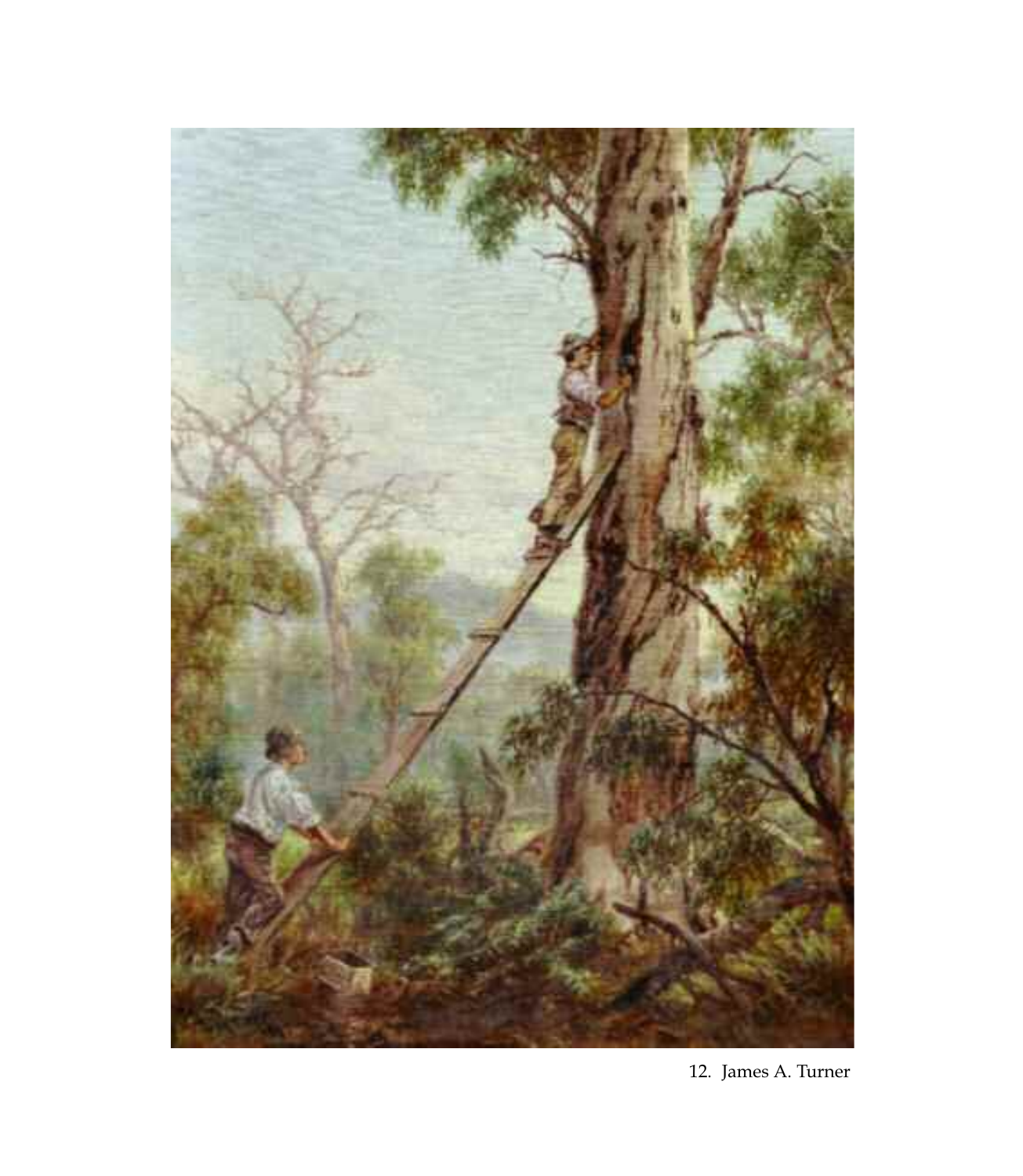

12. James A. Turner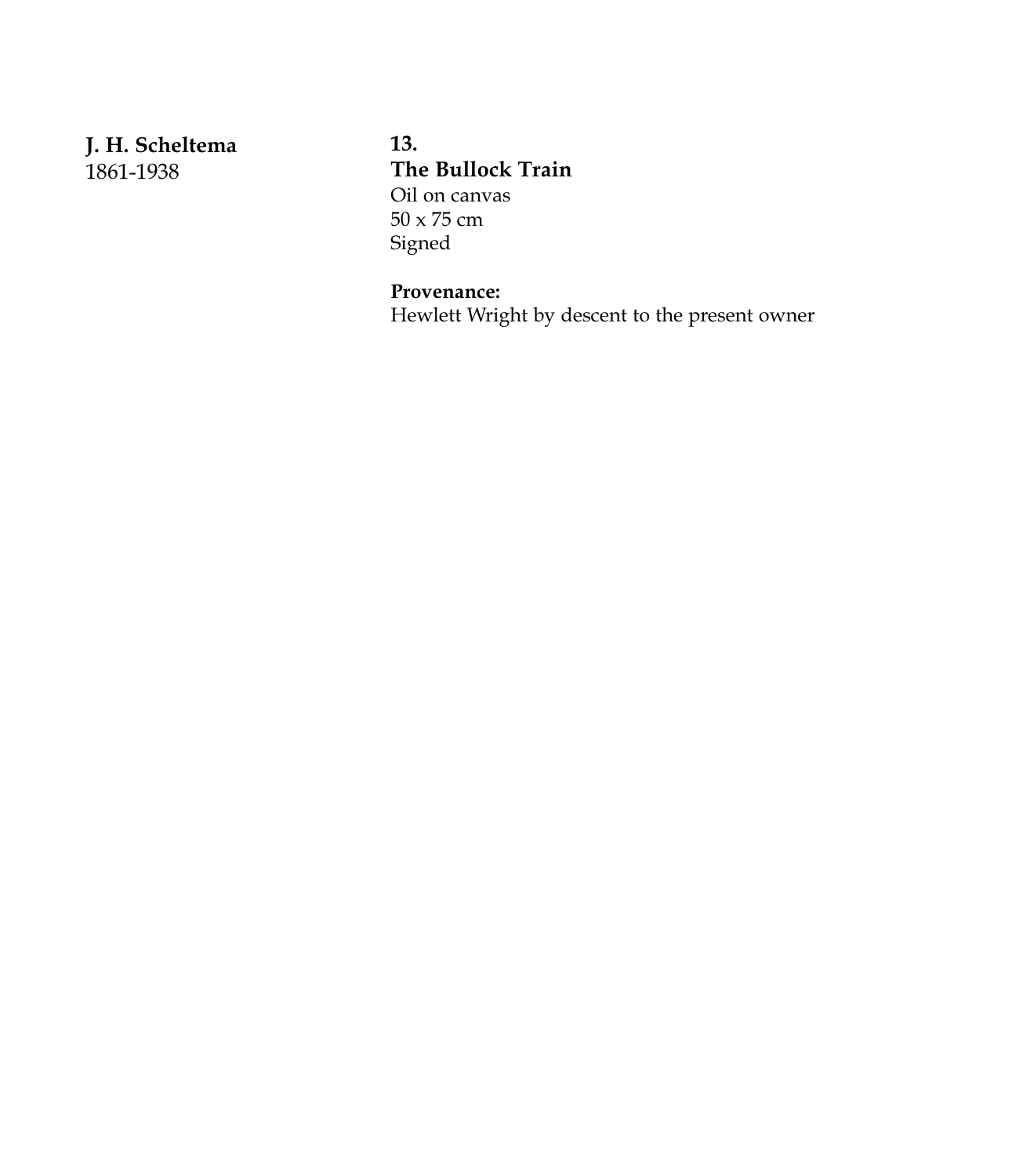**J. H. Scheltema** 1861-1938

**13. The Bullock Train** Oil on canvas 50 x 75 cm Signed

## **Provenance:**

Hewlett Wright by descent to the present owner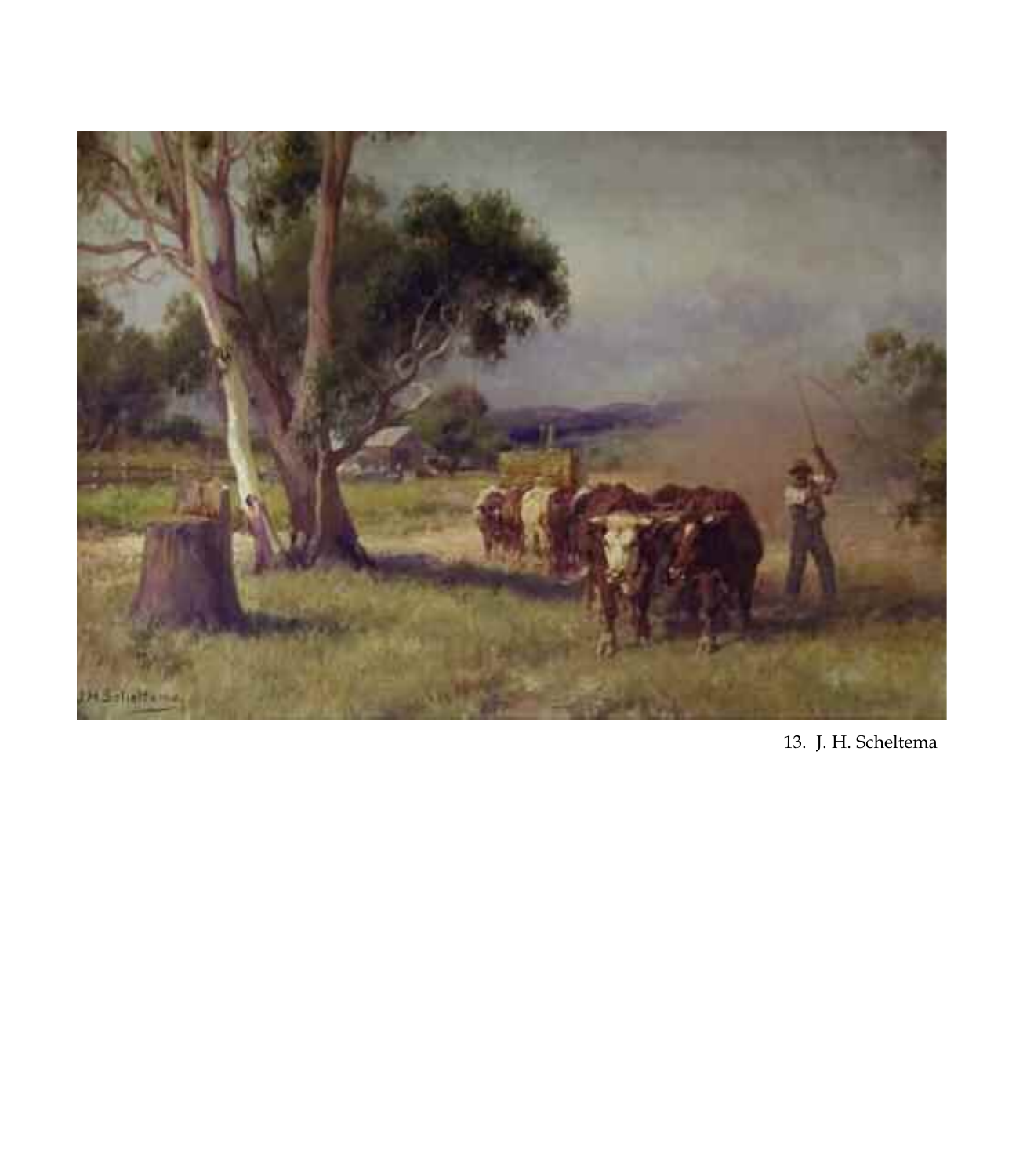

13. J. H. Scheltema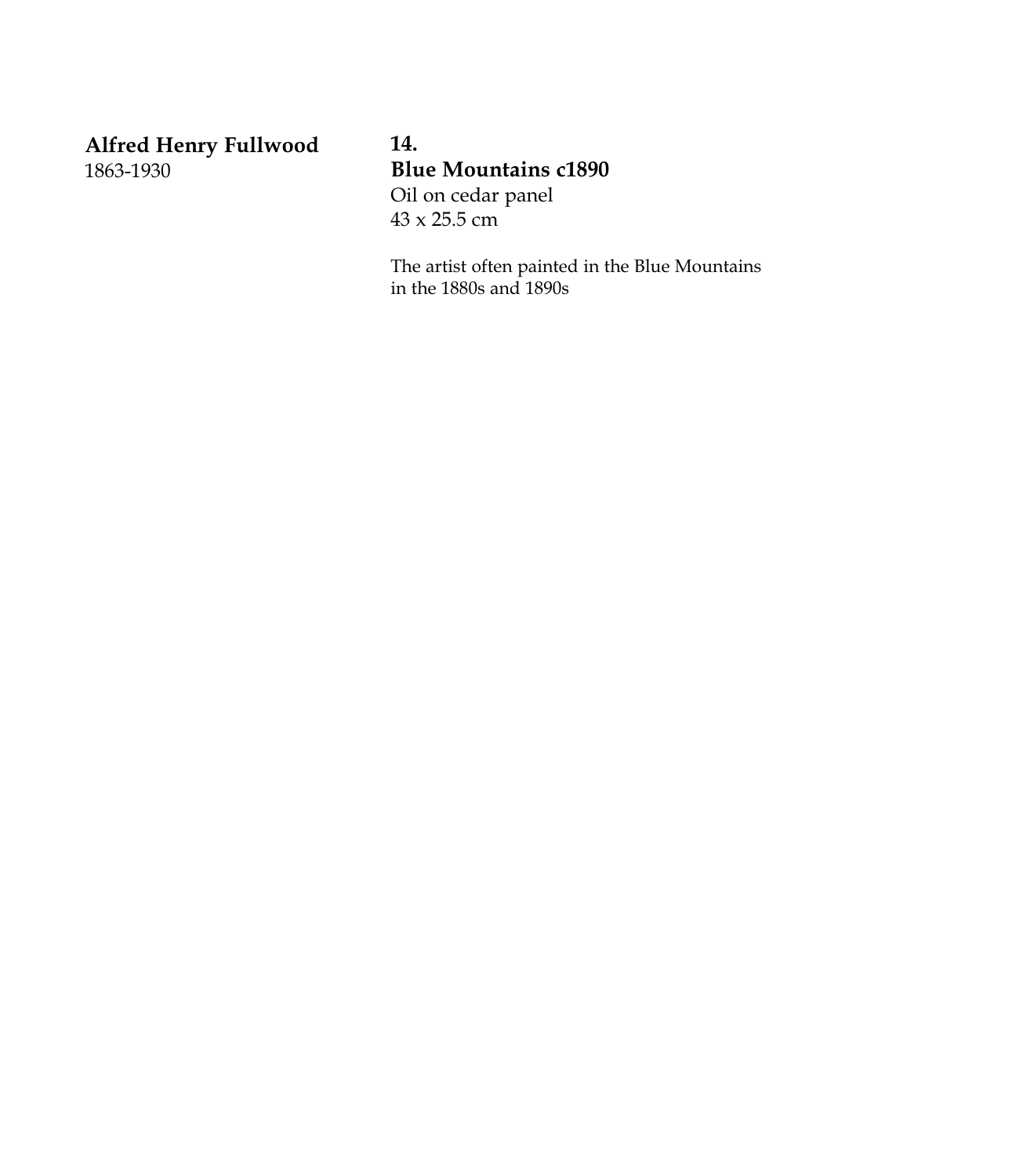**Alfred Henry Fullwood** 1863-1930

**14. Blue Mountains c1890** Oil on cedar panel 43 x 25.5 cm

The artist often painted in the Blue Mountains in the 1880s and 1890s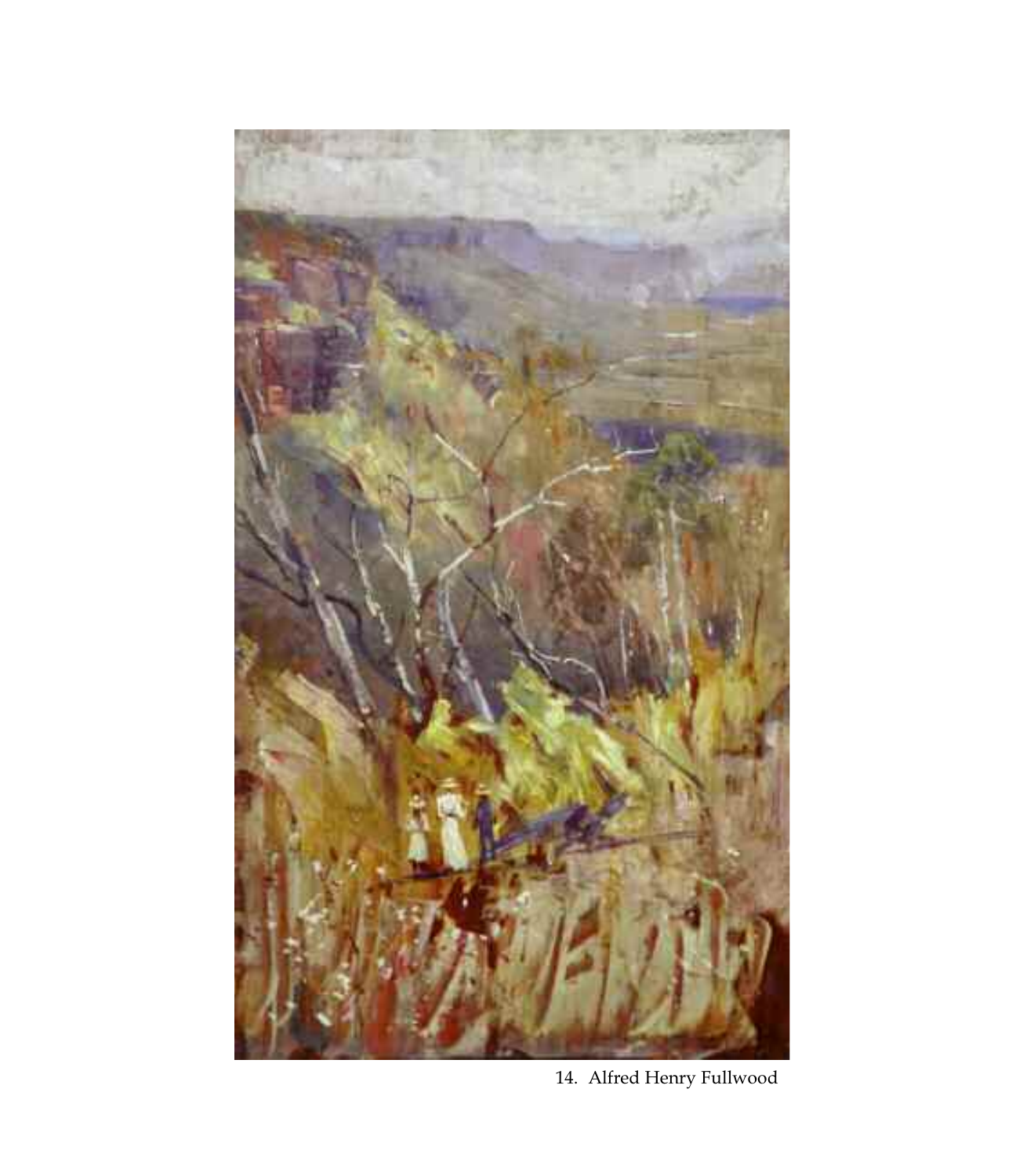

14. Alfred Henry Fullwood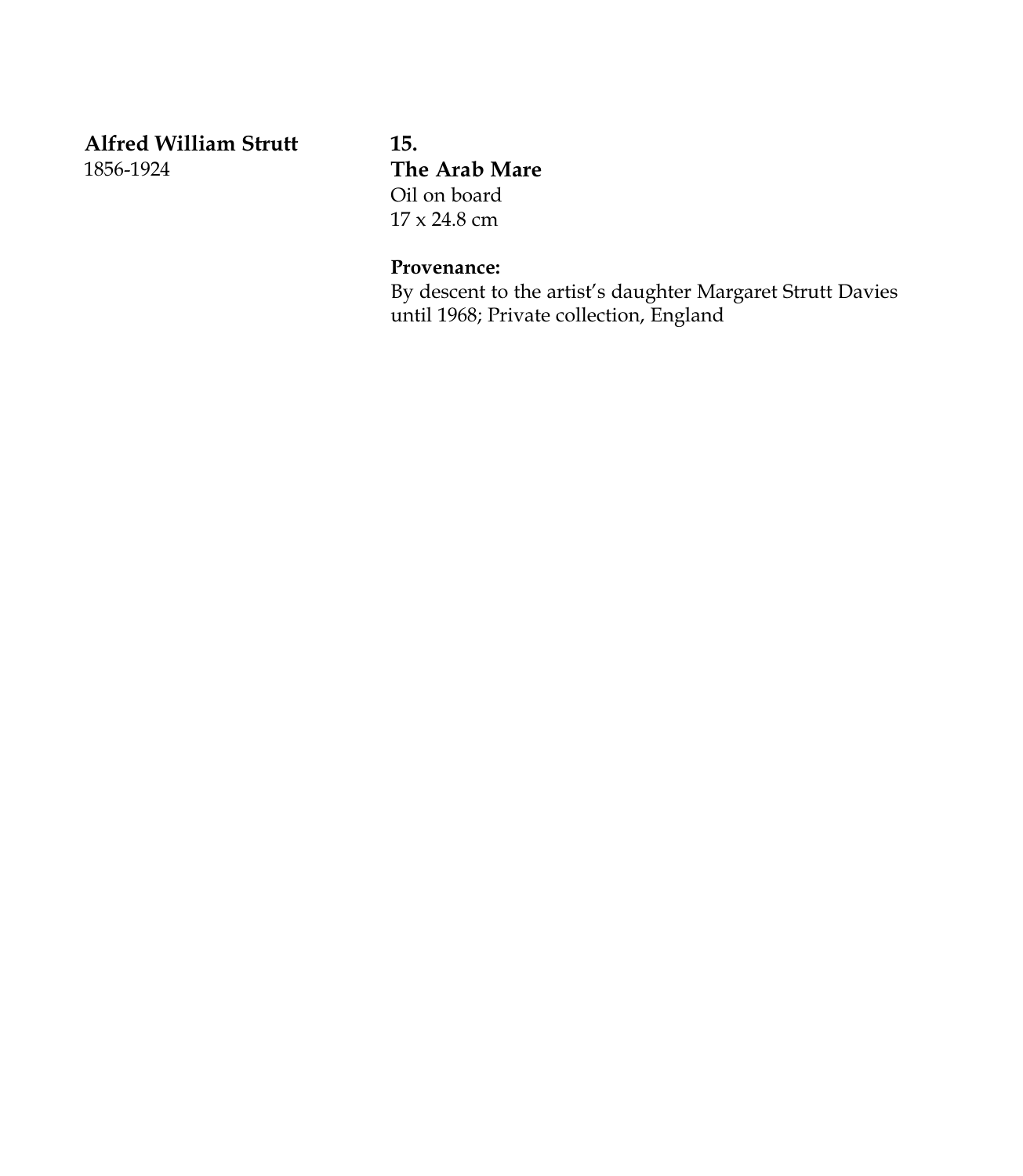**Alfred William Strutt** 1856-1924

**15. The Arab Mare** Oil on board 17 x 24.8 cm

## **Provenance:**

By descent to the artist's daughter Margaret Strutt Davies until 1968; Private collection, England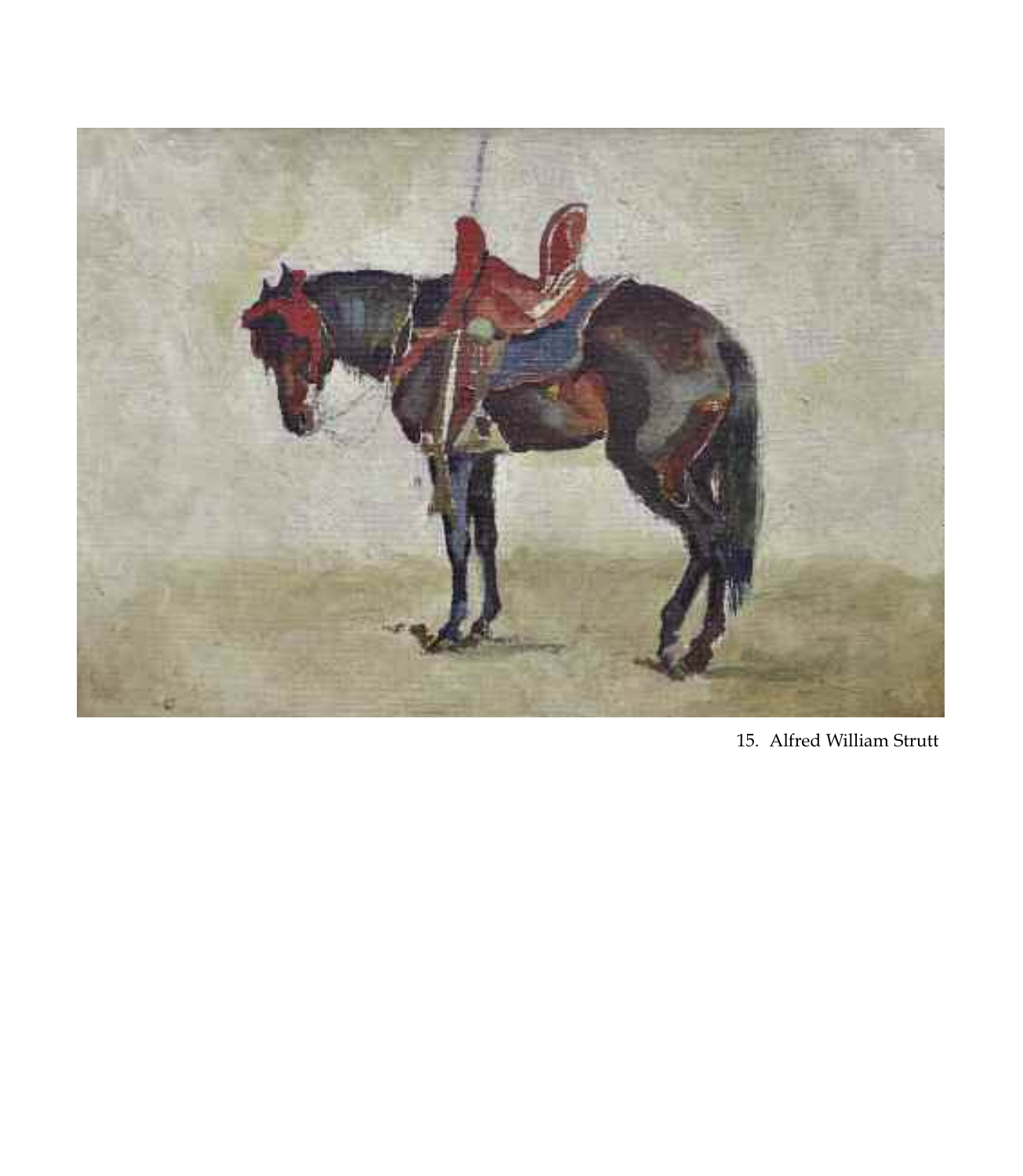

15. Alfred William Strutt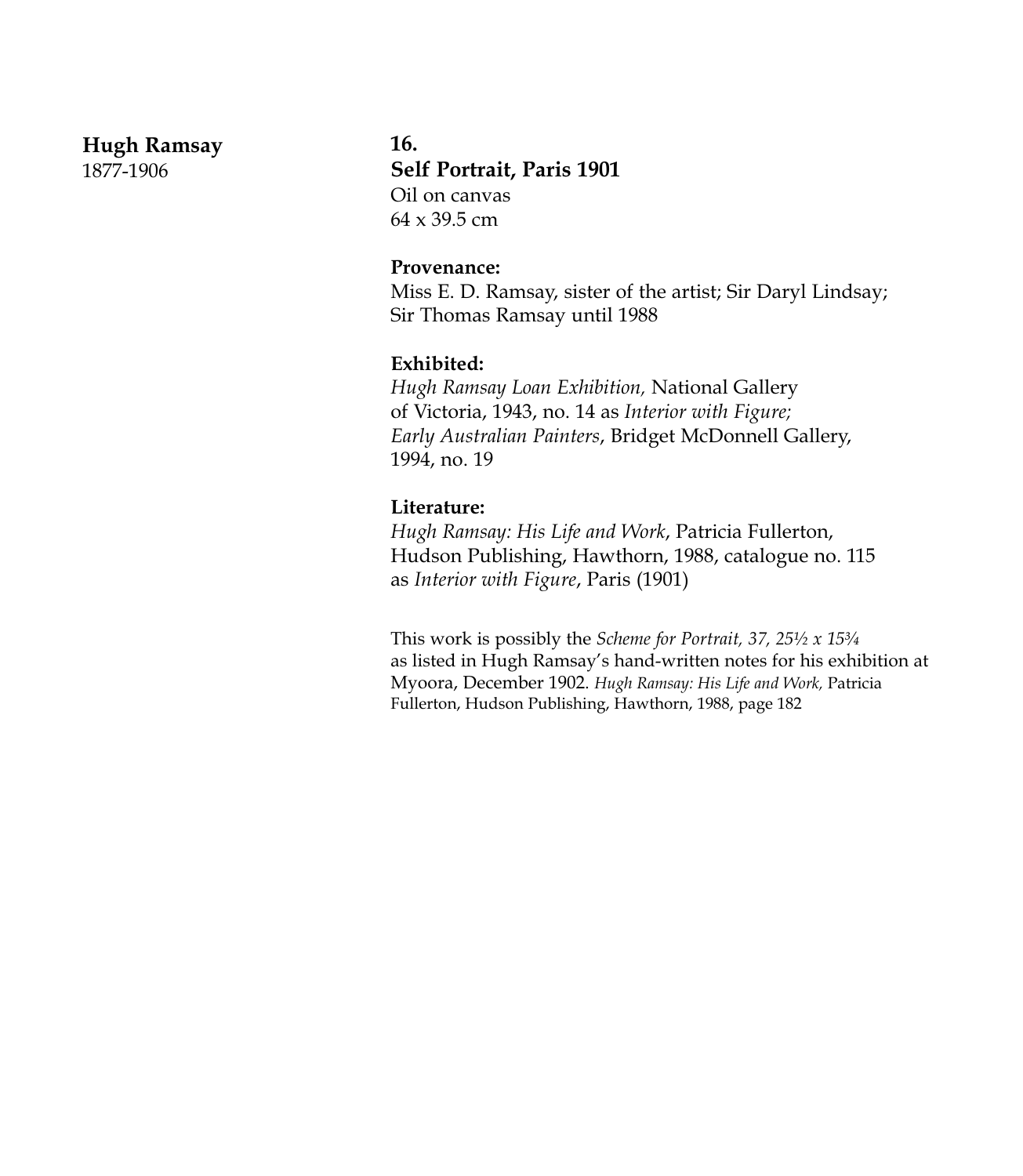#### **Hugh Ramsay**

1877-1906

#### **16.**

**Self Portrait, Paris 1901** Oil on canvas  $64 \times 39.5$  cm

#### **Provenance:**

Miss E. D. Ramsay, sister of the artist; Sir Daryl Lindsay; Sir Thomas Ramsay until 1988

#### **Exhibited:**

*Hugh Ramsay Loan Exhibition,* National Gallery of Victoria, 1943, no. 14 as *Interior with Figure; Early Australian Painters*, Bridget McDonnell Gallery, 1994, no. 19

#### **Literature:**

*Hugh Ramsay: His Life and Work*, Patricia Fullerton, Hudson Publishing, Hawthorn, 1988, catalogue no. 115 as *Interior with Figure*, Paris (1901)

This work is possibly the *Scheme for Portrait, 37, 25½ x 15¾* as listed in Hugh Ramsay's hand-written notes for his exhibition at Myoora, December 1902. *Hugh Ramsay: His Life and Work,* Patricia Fullerton, Hudson Publishing, Hawthorn, 1988, page 182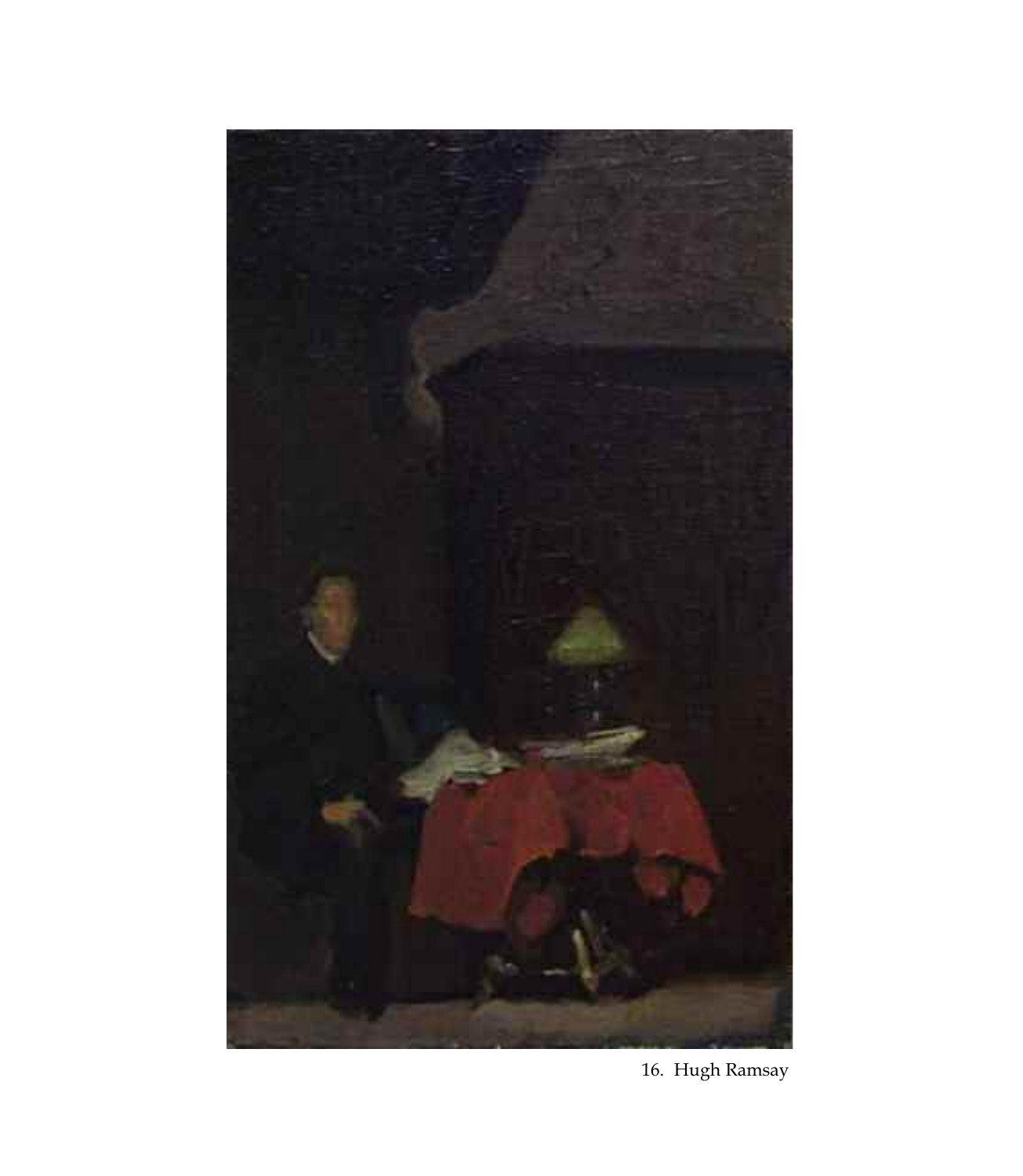

16. Hugh Ramsay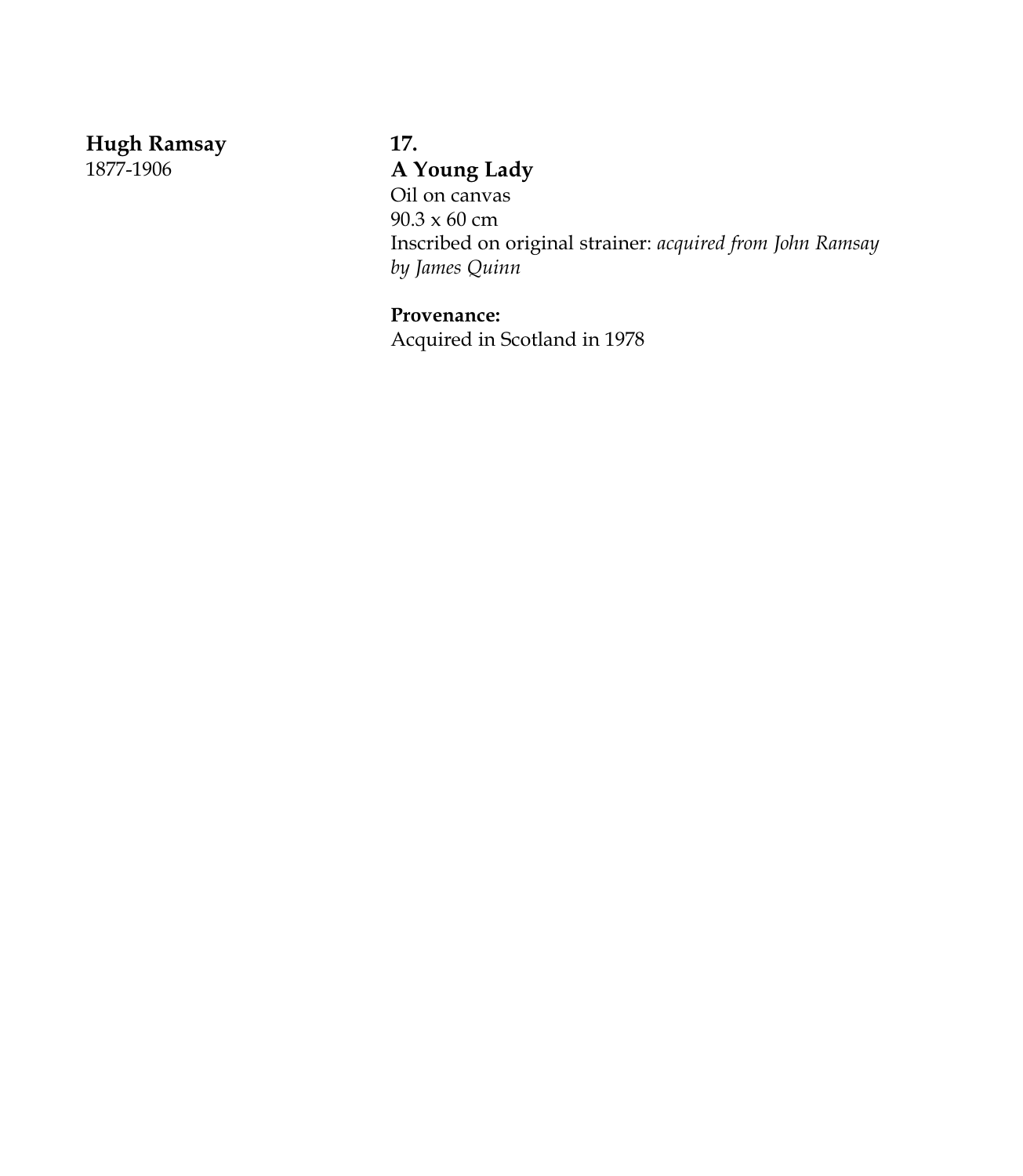**Hugh Ramsay**

1877-1906

# **17. A Young Lady** Oil on canvas 90.3 x 60 cm Inscribed on original strainer: *acquired from John Ramsay by James Quinn*

**Provenance:** Acquired in Scotland in 1978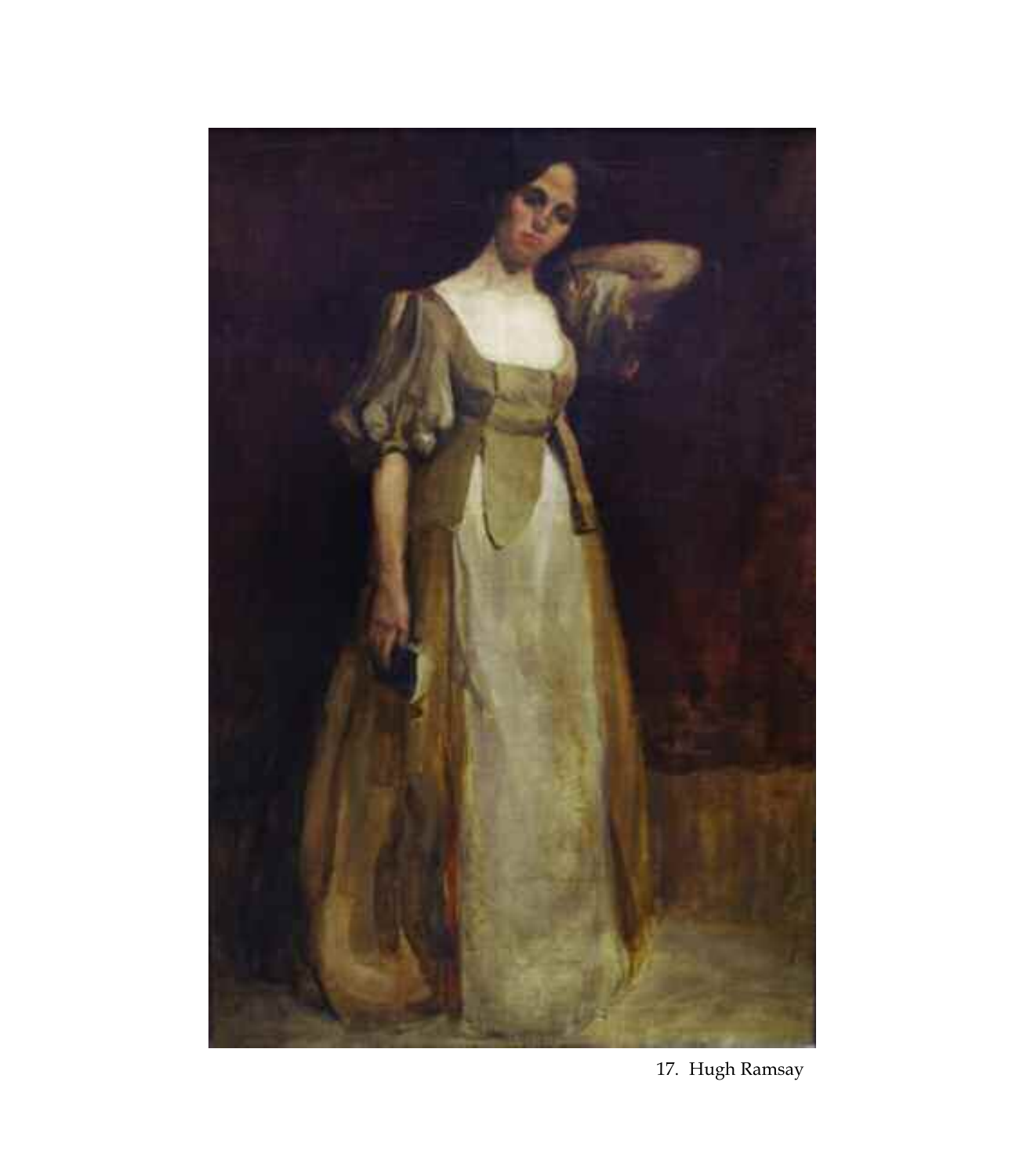

17. Hugh Ramsay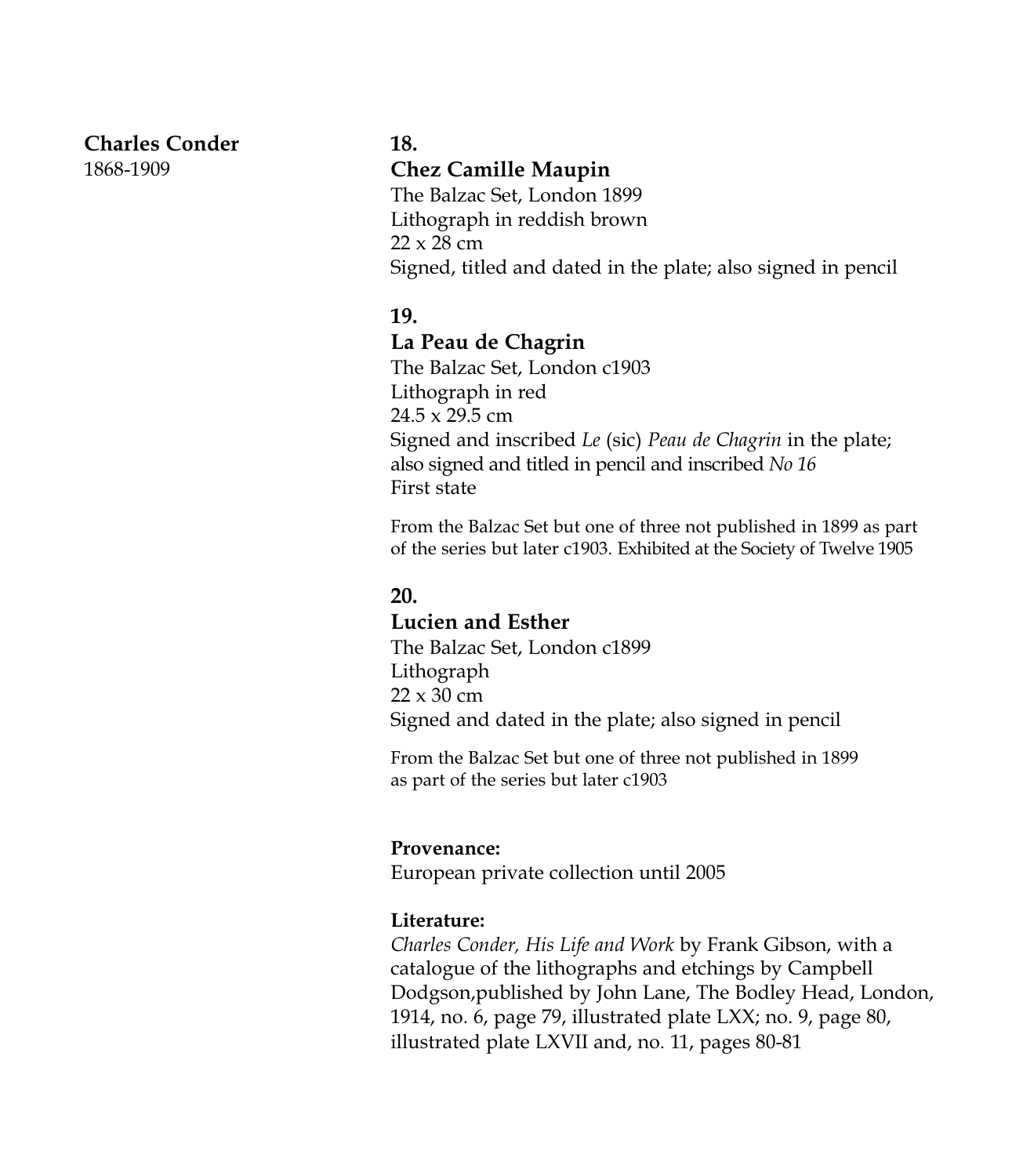## **Charles Conder**

1868-1909

#### **18.**

## **Chez Camille Maupin**

The Balzac Set, London 1899 Lithograph in reddish brown 22 x 28 cm Signed, titled and dated in the plate; also signed in pencil

#### **19.**

#### **La Peau de Chagrin**

The Balzac Set, London c1903 Lithograph in red 24.5 x 29.5 cm Signed and inscribed *Le* (sic) *Peau de Chagrin* in the plate; also signed and titled in pencil and inscribed *No 16* First state

From the Balzac Set but one of three not published in 1899 as part of the series but later c1903. Exhibited at the Society of Twelve 1905

## **20.**

## **Lucien and Esther**

The Balzac Set, London c1899 Lithograph  $22 \times 30$  cm Signed and dated in the plate; also signed in pencil

From the Balzac Set but one of three not published in 1899 as part of the series but later c1903

#### **Provenance:**

European private collection until 2005

#### **Literature:**

*Charles Conder, His Life and Work* by Frank Gibson, with a catalogue of the lithographs and etchings by Campbell Dodgson,published by John Lane, The Bodley Head, London, 1914, no. 6, page 79, illustrated plate LXX; no. 9, page 80, illustrated plate LXVII and, no. 11, pages 80-81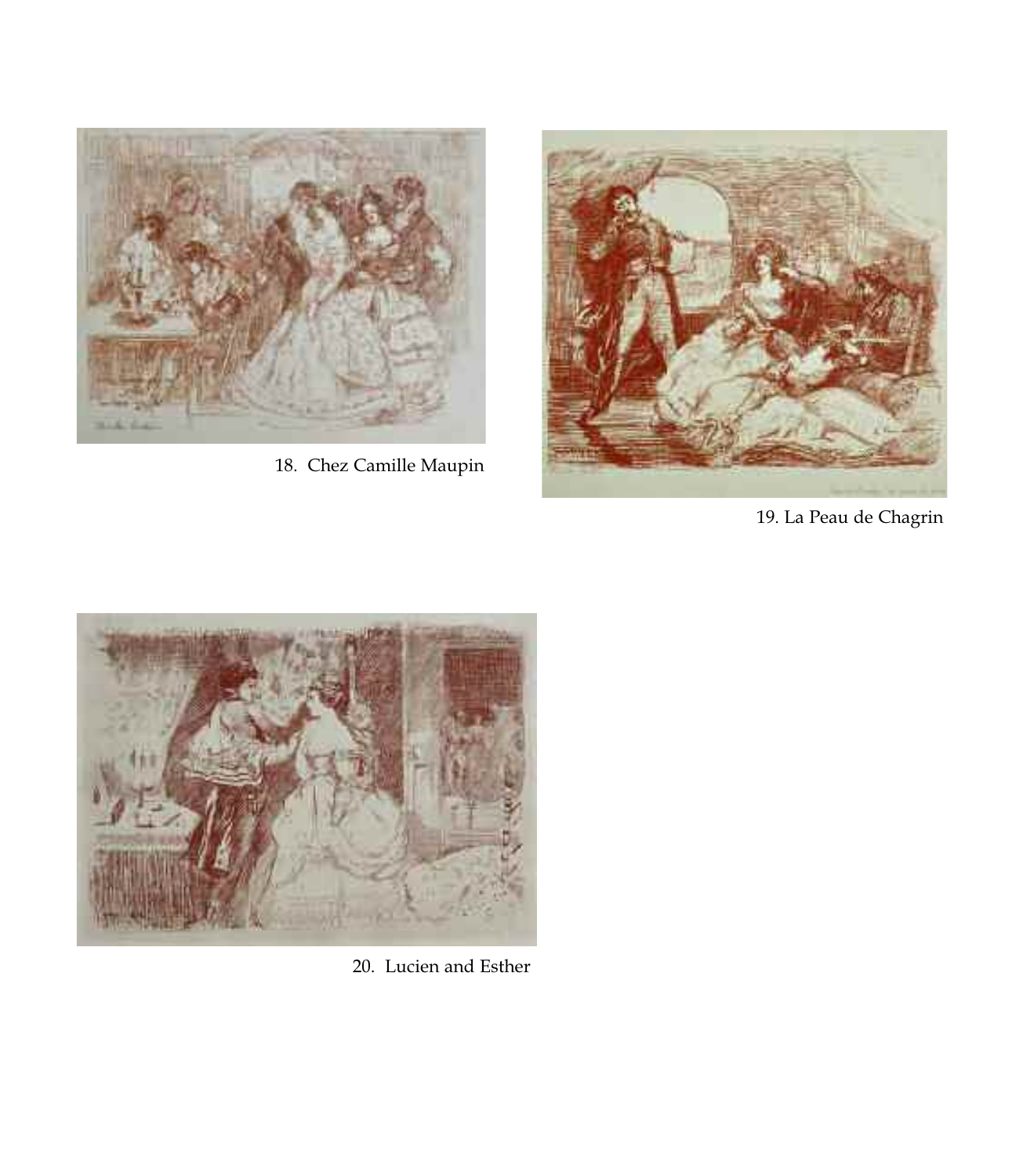

18. Chez Camille Maupin



19. La Peau de Chagrin



20. Lucien and Esther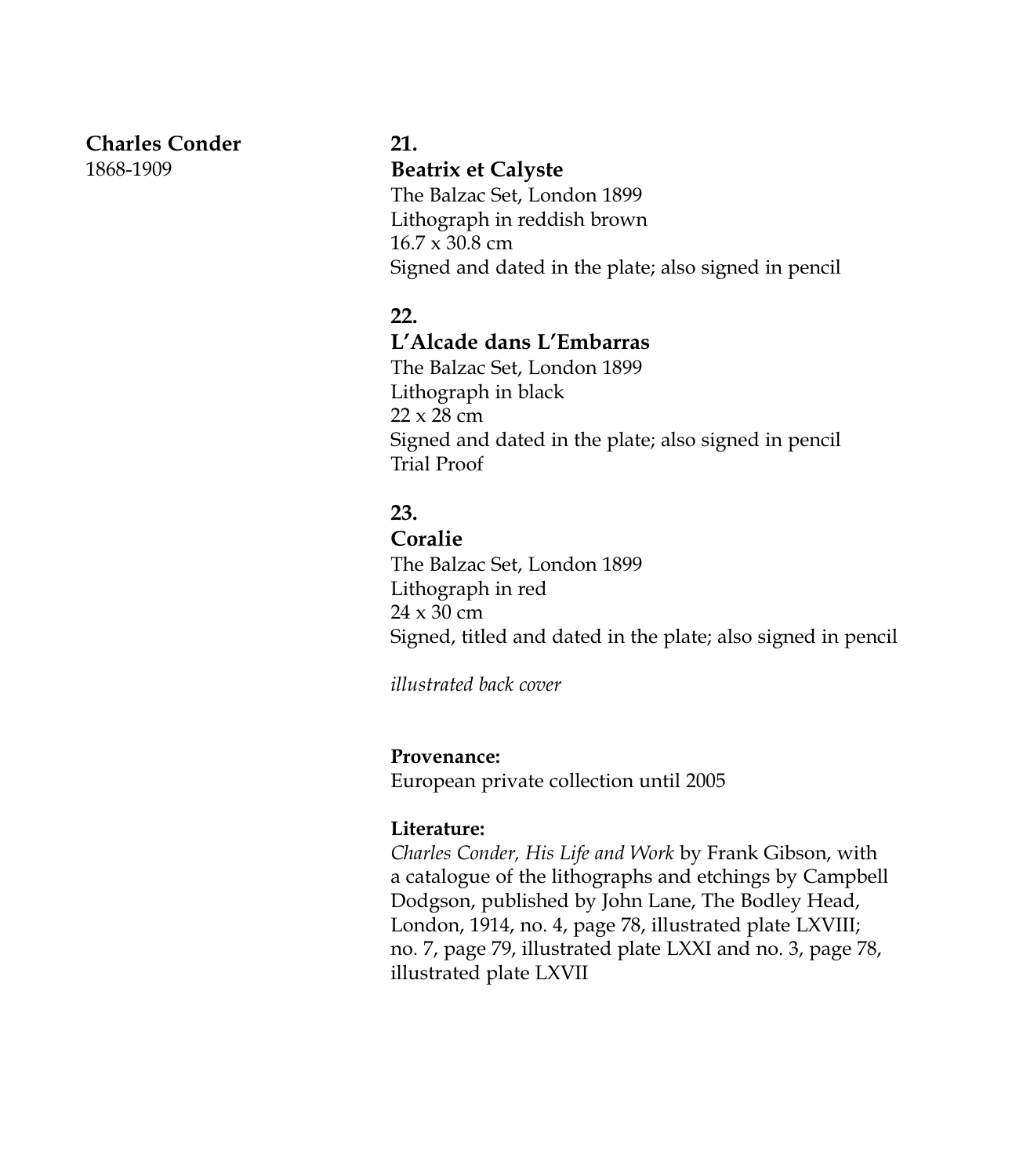#### **Charles Conder**

1868-1909

#### **21.**

#### **Beatrix et Calyste**

The Balzac Set, London 1899 Lithograph in reddish brown 16.7 x 30.8 cm Signed and dated in the plate; also signed in pencil

## **22.**

#### **L'Alcade dans L'Embarras**

The Balzac Set, London 1899 Lithograph in black 22 x 28 cm Signed and dated in the plate; also signed in pencil Trial Proof

# **23.**

#### **Coralie**

The Balzac Set, London 1899 Lithograph in red 24 x 30 cm Signed, titled and dated in the plate; also signed in pencil

*illustrated back cover*

## **Provenance:**

European private collection until 2005

## **Literature:**

*Charles Conder, His Life and Work* by Frank Gibson, with a catalogue of the lithographs and etchings by Campbell Dodgson, published by John Lane, The Bodley Head, London, 1914, no. 4, page 78, illustrated plate LXVIII; no. 7, page 79, illustrated plate LXXI and no. 3, page 78, illustrated plate LXVII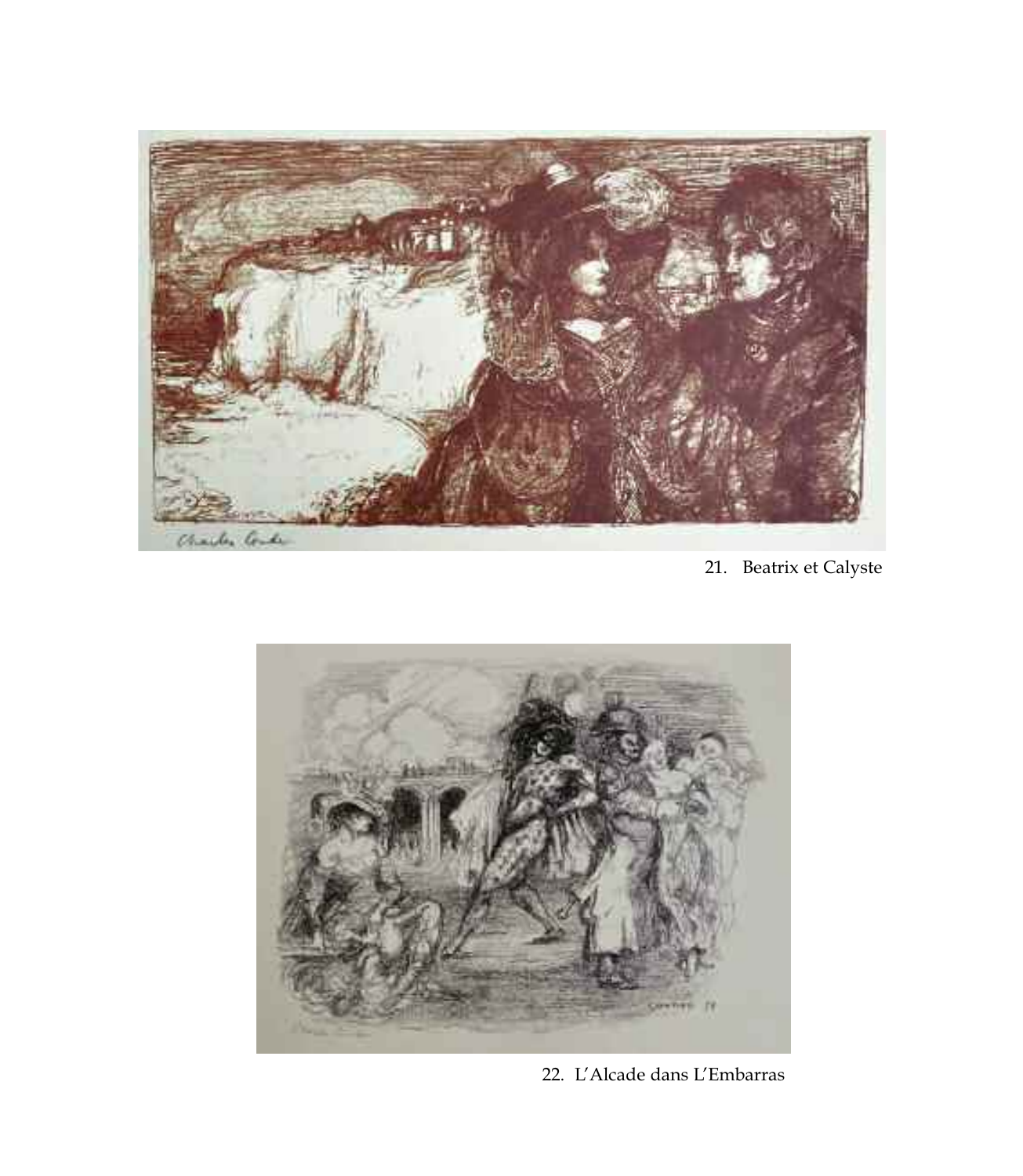

21. Beatrix et Calyste



22. L'Alcade dans L'Embarras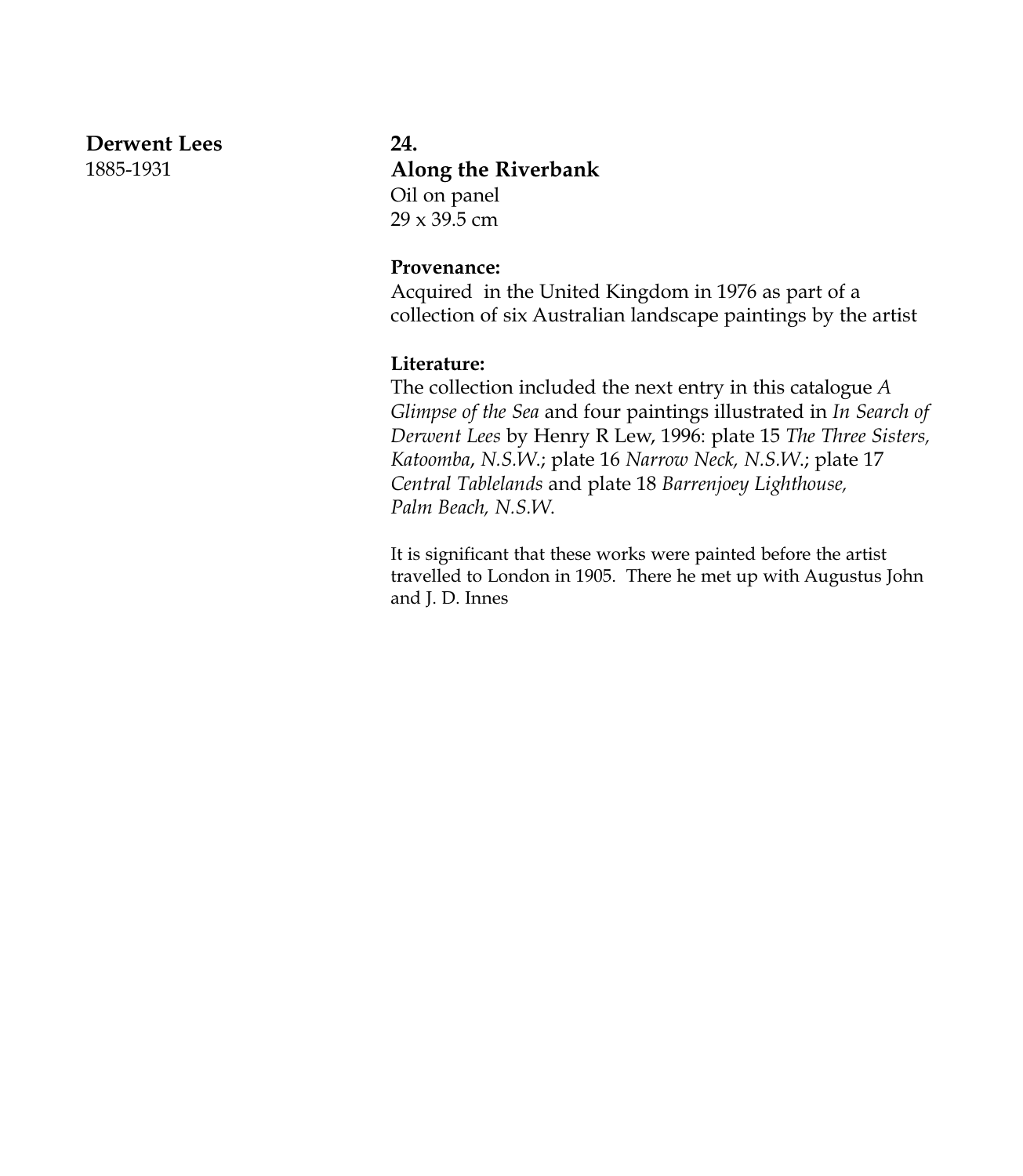#### **Derwent Lees**

1885-1931

#### **24.**

## **Along the Riverbank**

Oil on panel 29 x 39.5 cm

#### **Provenance:**

Acquired in the United Kingdom in 1976 as part of a collection of six Australian landscape paintings by the artist

#### **Literature:**

The collection included the next entry in this catalogue *A Glimpse of the Sea* and four paintings illustrated in *In Search of Derwent Lees* by Henry R Lew, 1996: plate 15 *The Three Sisters, Katoomba*, *N.S.W*.; plate 16 *Narrow Neck, N.S.W*.; plate 17 *Central Tablelands* and plate 18 *Barrenjoey Lighthouse, Palm Beach, N.S.W*.

It is significant that these works were painted before the artist travelled to London in 1905. There he met up with Augustus John and J. D. Innes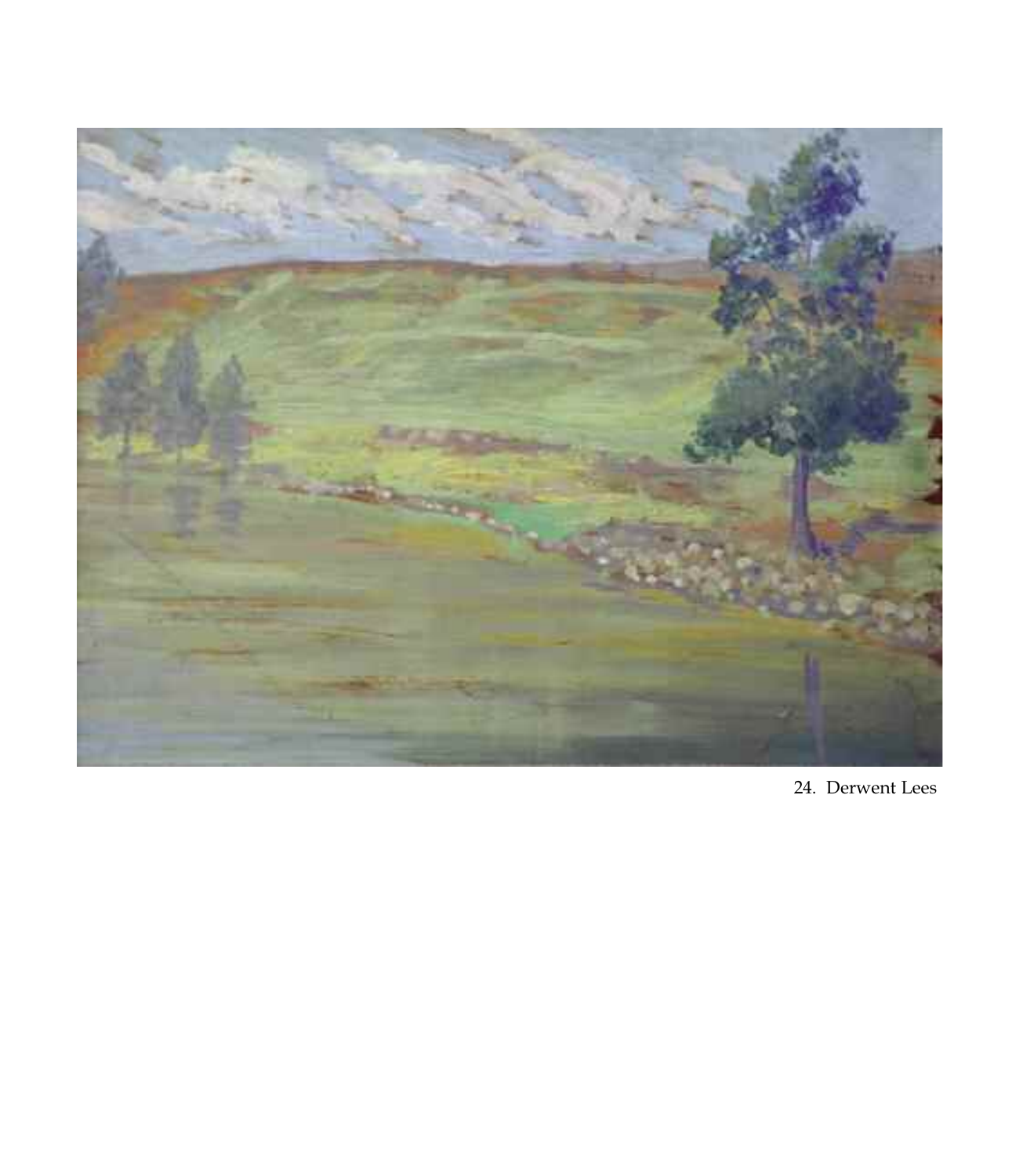

24. Derwent Lees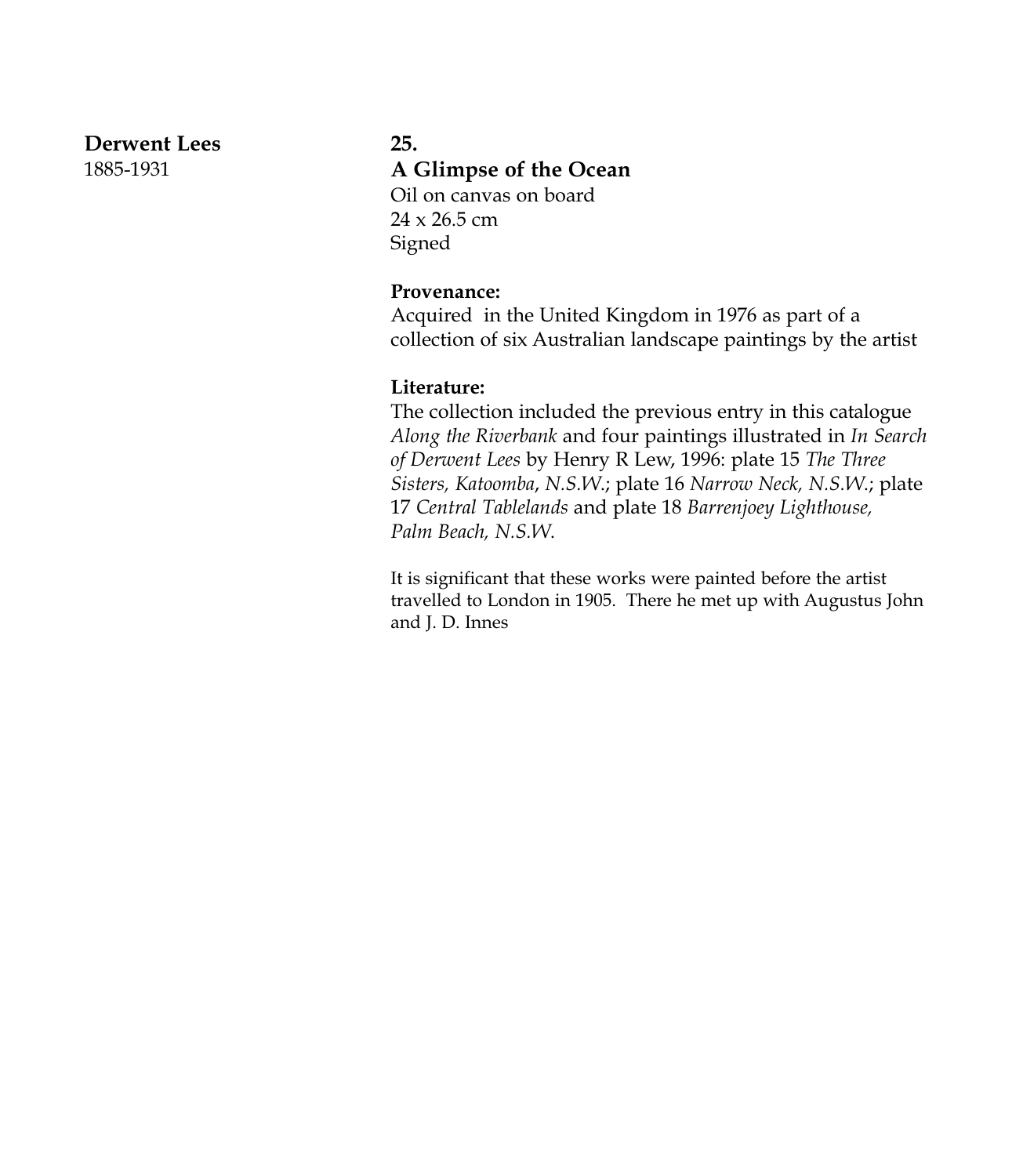#### **Derwent Lees**

1885-1931

#### **25.**

#### **A Glimpse of the Ocean**

Oil on canvas on board  $24 \times 26.5$  cm Signed

#### **Provenance:**

Acquired in the United Kingdom in 1976 as part of a collection of six Australian landscape paintings by the artist

#### **Literature:**

The collection included the previous entry in this catalogue *Along the Riverbank* and four paintings illustrated in *In Search of Derwent Lees* by Henry R Lew, 1996: plate 15 *The Three Sisters, Katoomba*, *N.S.W*.; plate 16 *Narrow Neck, N.S.W*.; plate 17 *Central Tablelands* and plate 18 *Barrenjoey Lighthouse, Palm Beach, N.S.W*.

It is significant that these works were painted before the artist travelled to London in 1905. There he met up with Augustus John and J. D. Innes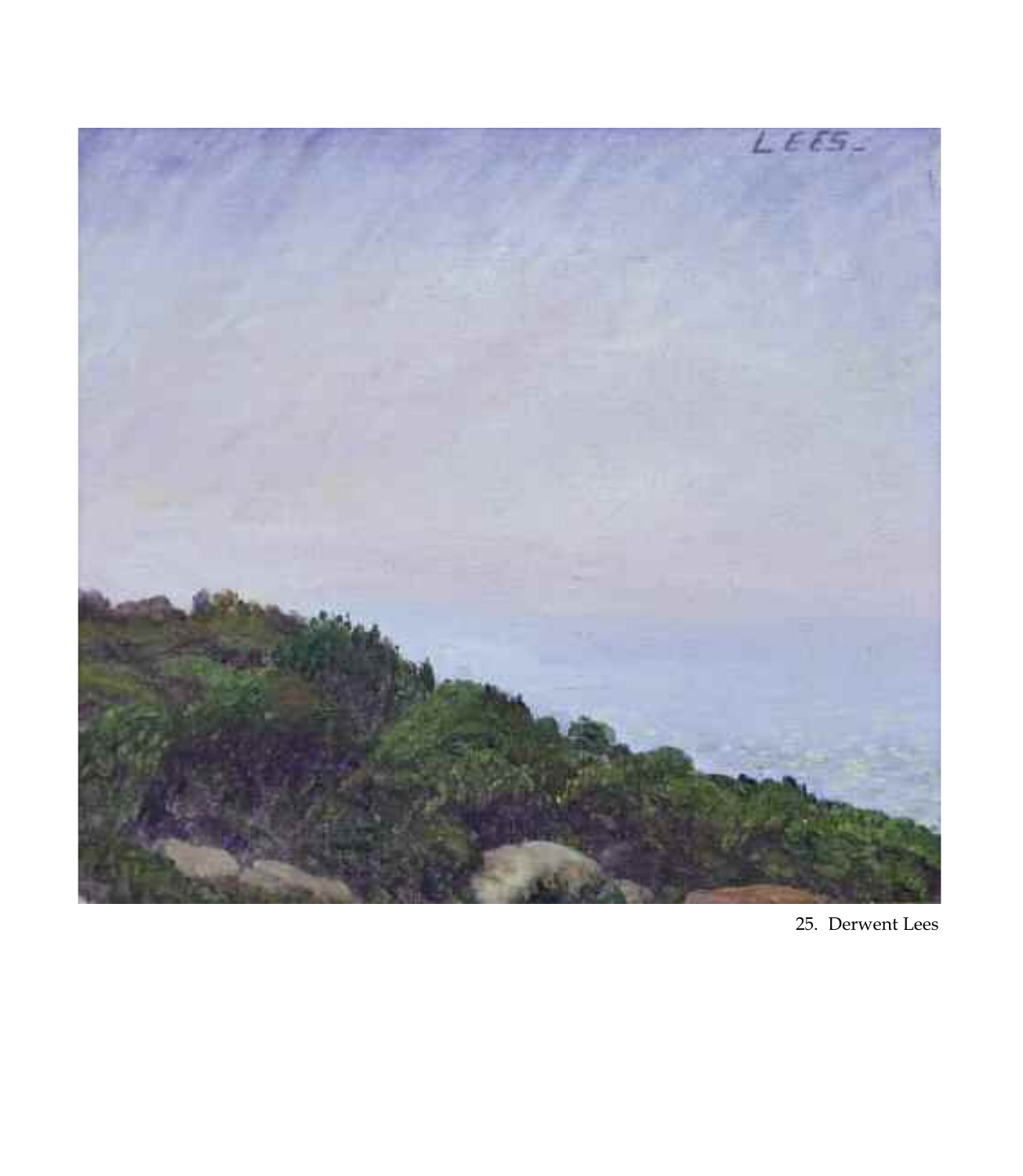

25. Derwent Lees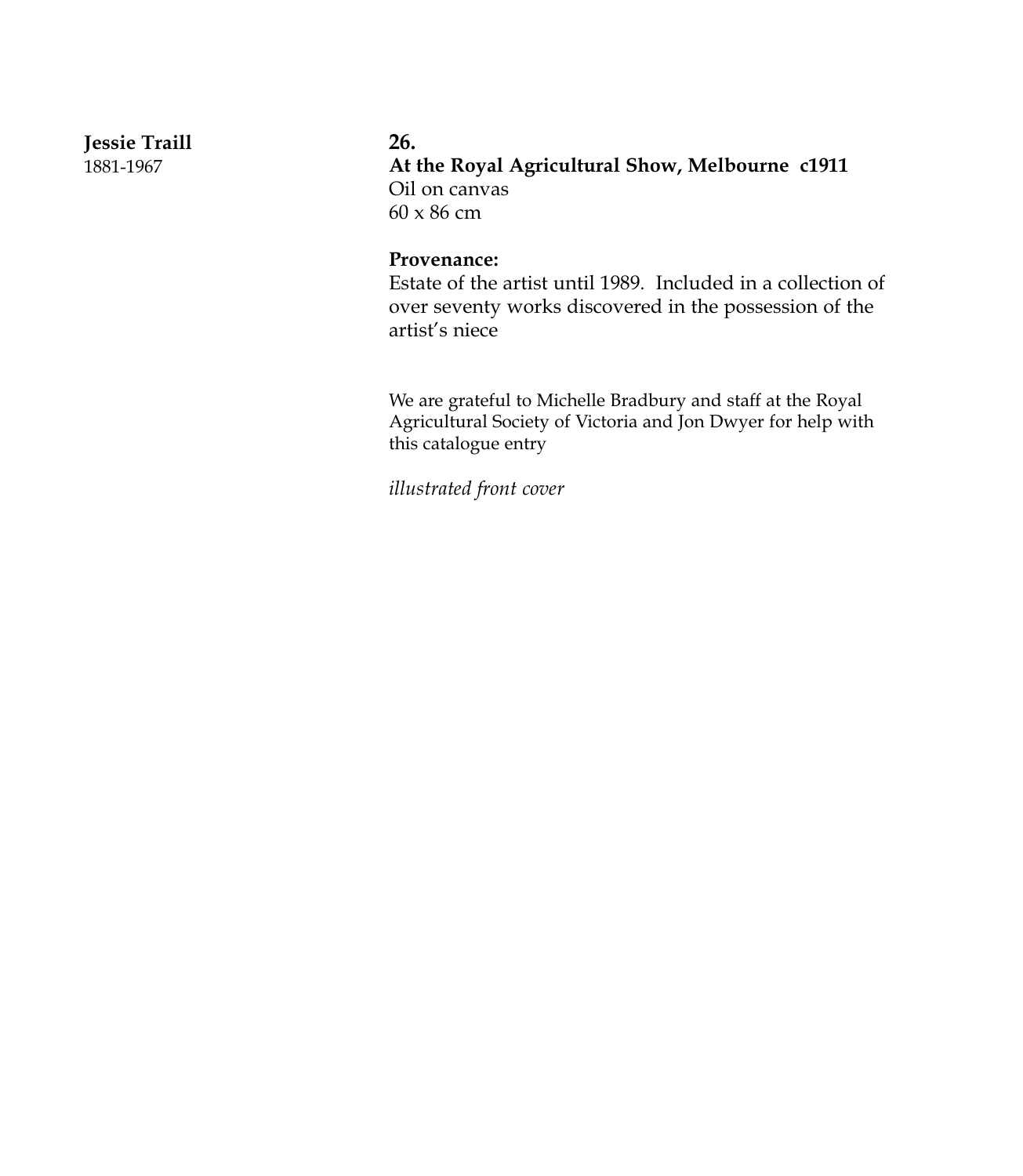**Jessie Traill**

1881-1967

#### **26.**

**At the Royal Agricultural Show, Melbourne c1911** Oil on canvas 60 x 86 cm

#### **Provenance:**

Estate of the artist until 1989. Included in a collection of over seventy works discovered in the possession of the artist's niece

We are grateful to Michelle Bradbury and staff at the Royal Agricultural Society of Victoria and Jon Dwyer for help with this catalogue entry

*illustrated front cover*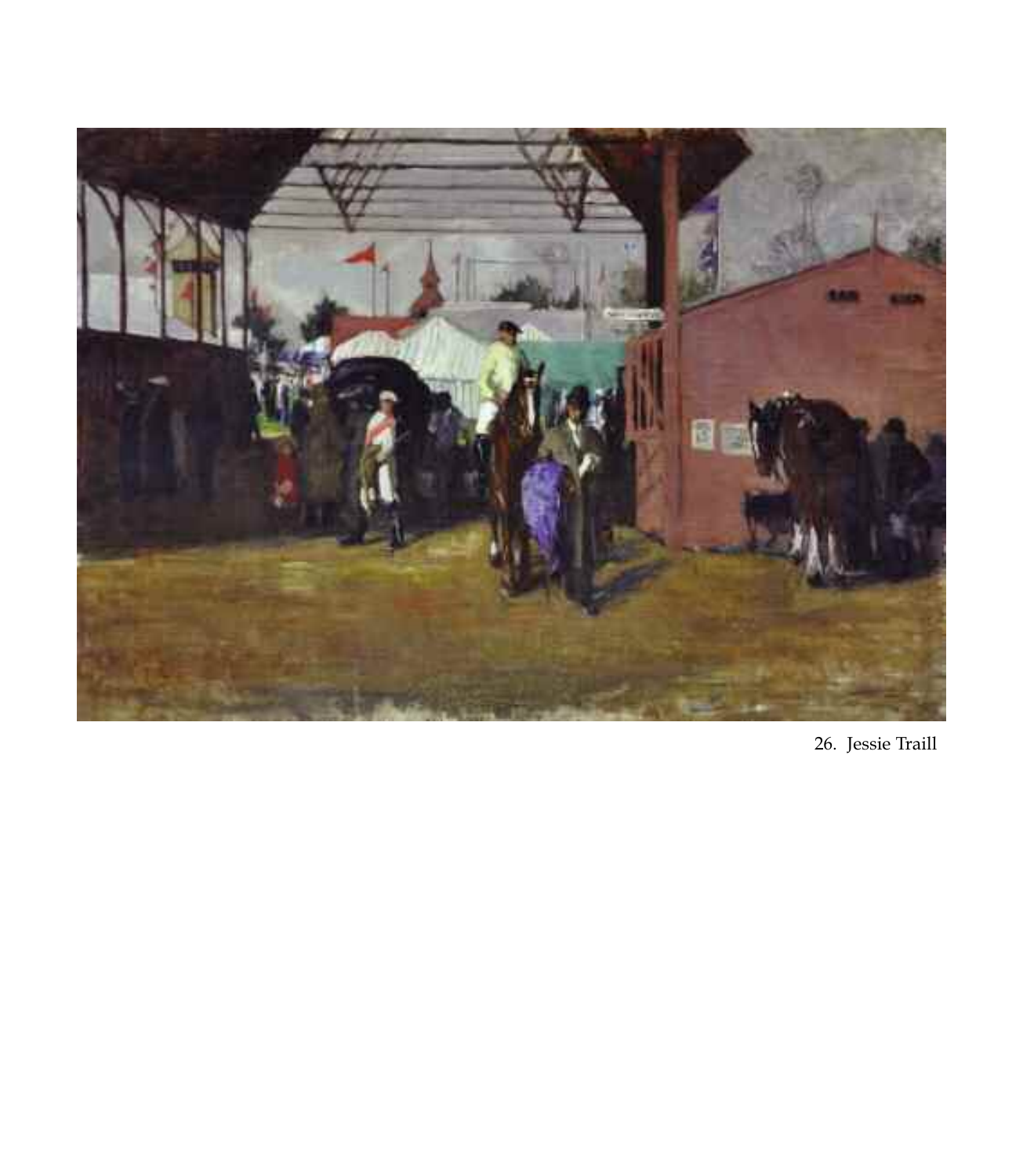

26. Jessie Traill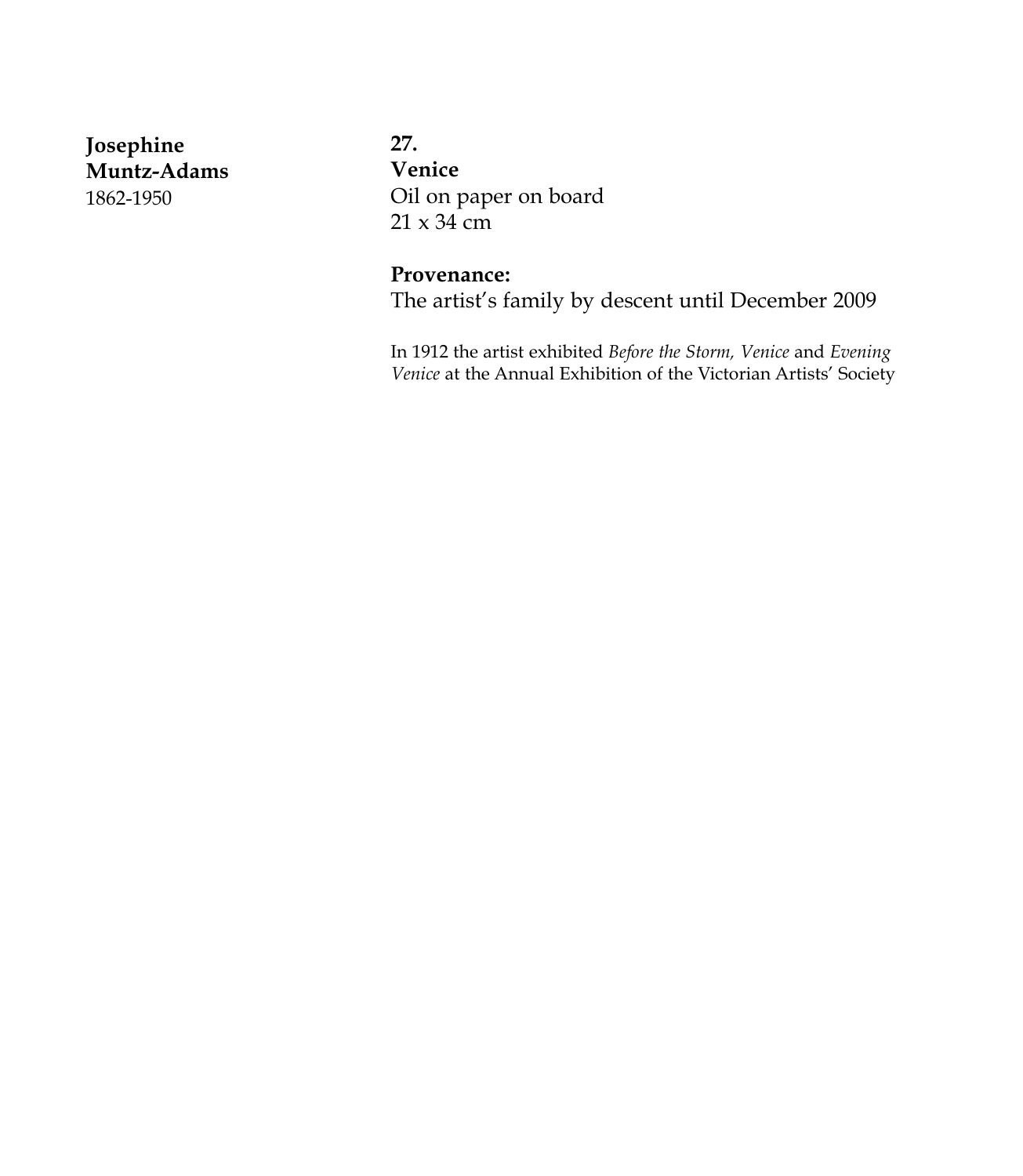**Josephine Muntz-Adams** 1862-1950

**27. Venice** Oil on paper on board  $21 \times 34$  cm

#### **Provenance:**

The artist's family by descent until December 2009

In 1912 the artist exhibited *Before the Storm, Venice* and *Evening Venice* at the Annual Exhibition of the Victorian Artists' Society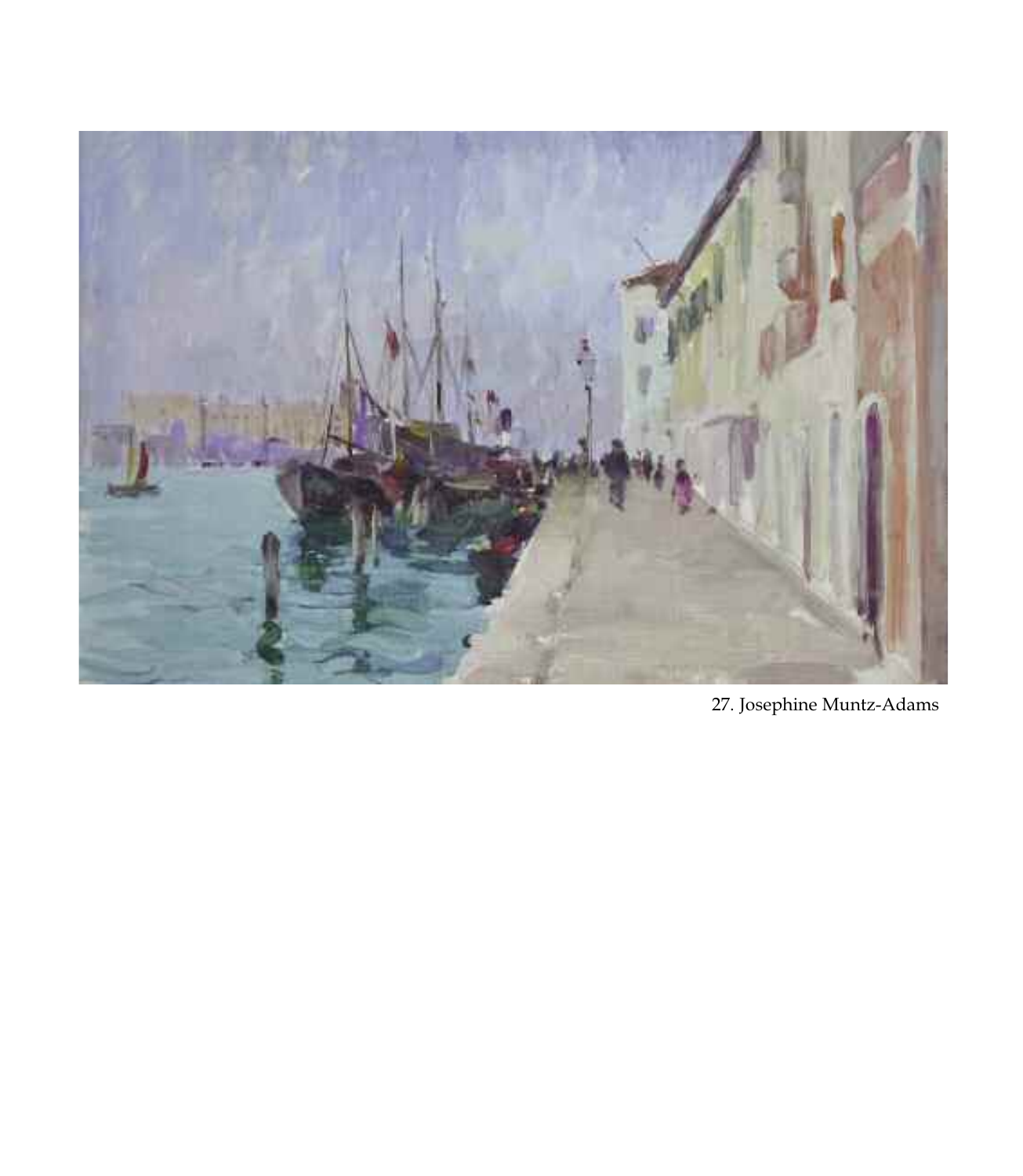

27. Josephine Muntz-Adams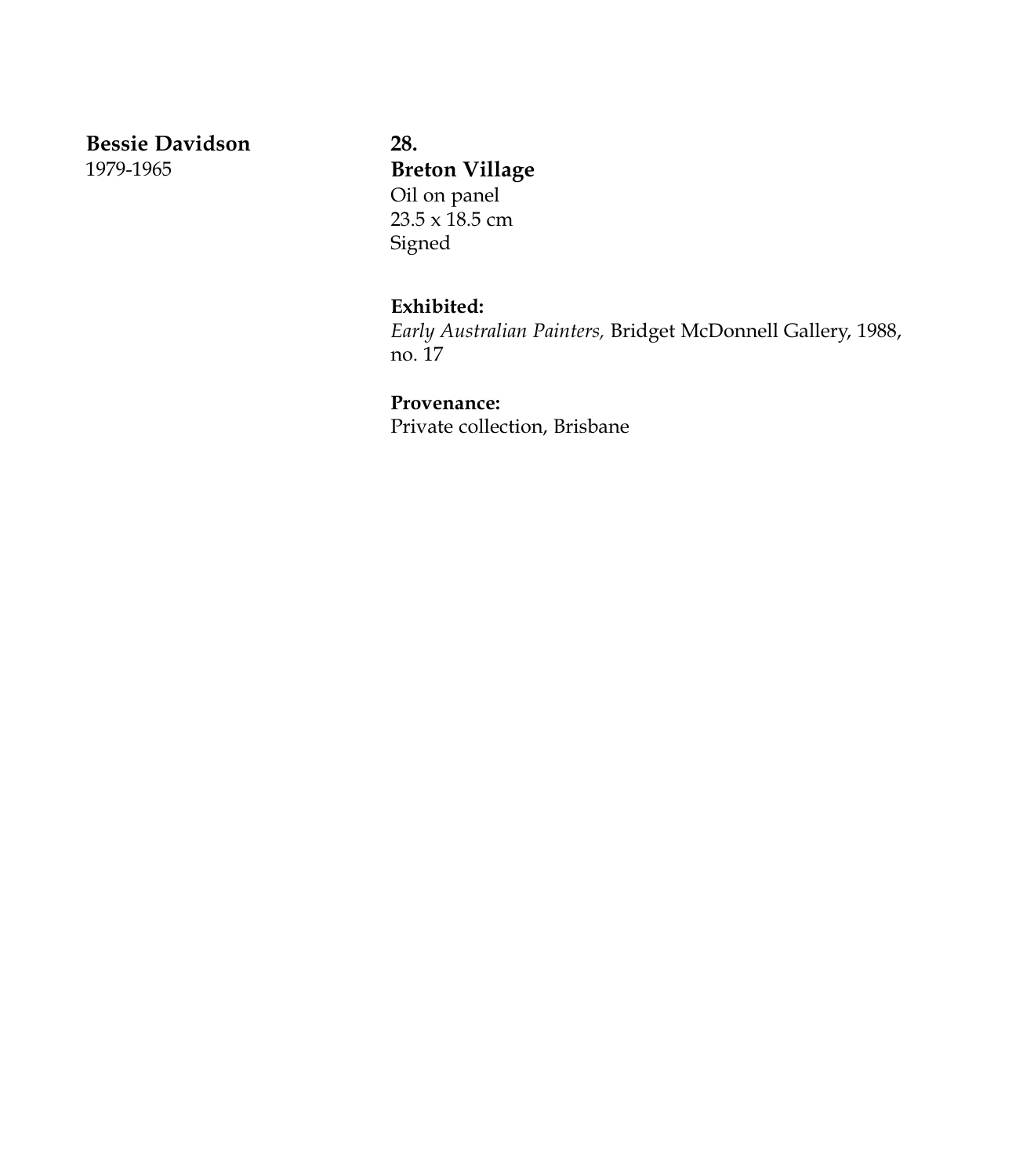**Bessie Davidson** 1979-1965

**28. Breton Village** Oil on panel  $23.5 \times \overline{18.5}$  cm Signed

## **Exhibited:**

*Early Australian Painters,* Bridget McDonnell Gallery, 1988, no. 17

## **Provenance:**

Private collection, Brisbane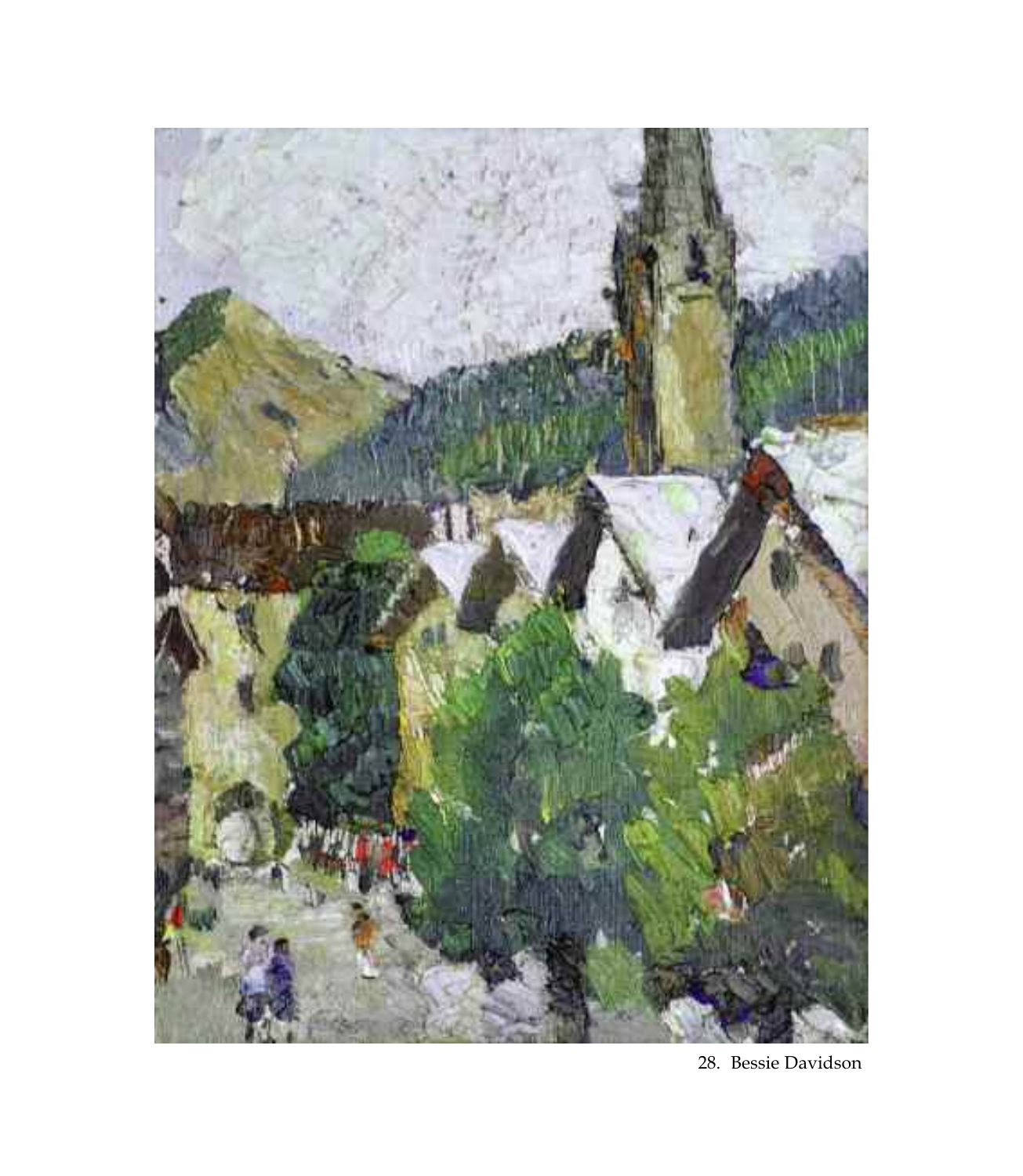

28. Bessie Davidson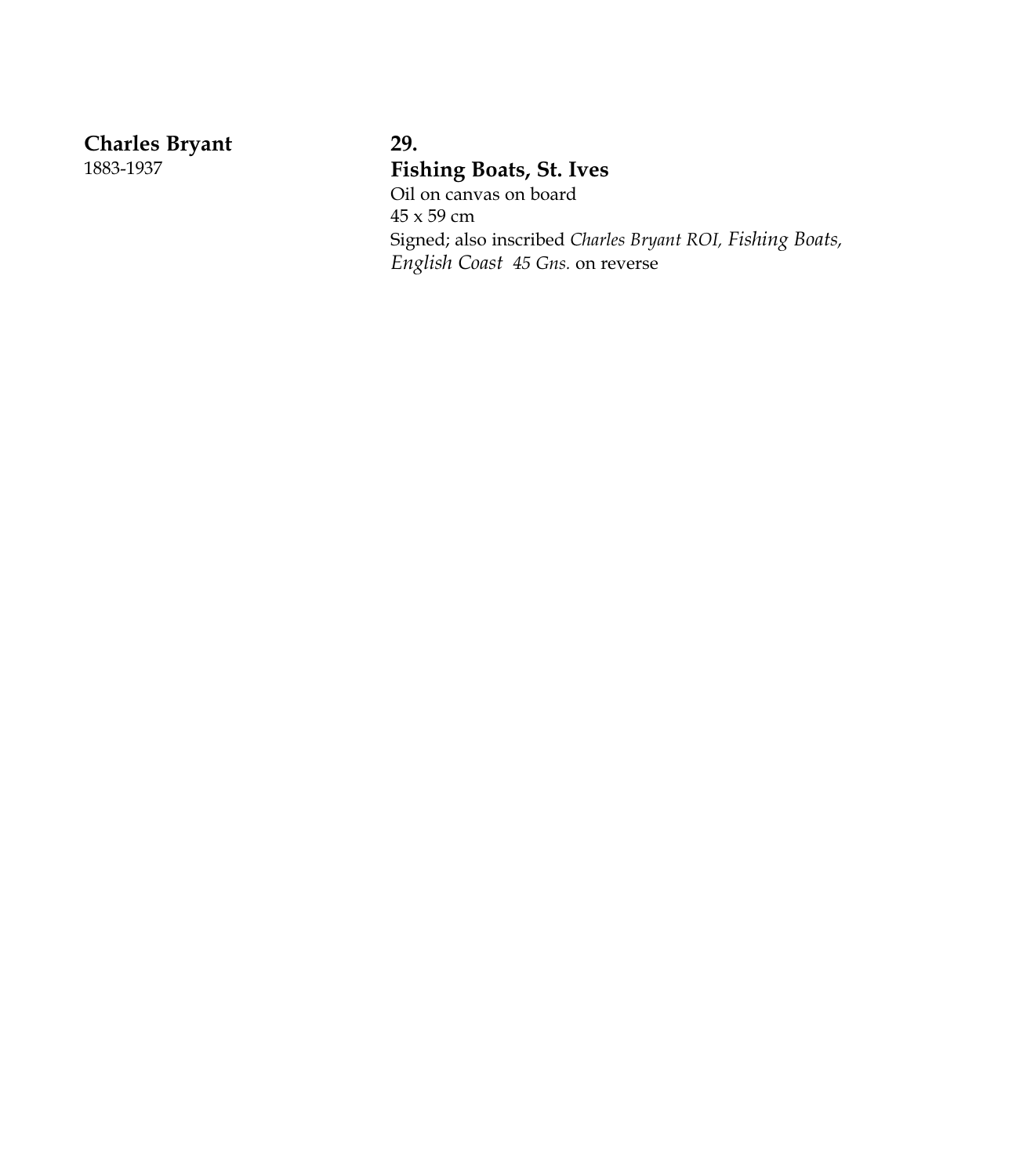**Charles Bryant** 

1 8 8 3 - 1 9 3 7

# **2 9 .** Fishing Boats, St. Ives

Oil on canvas on board 4 5 x 5 9 c m Signed; also inscribed Charles Bryant ROI, Fishing Boats, *English Coast 45 Gns.* on reverse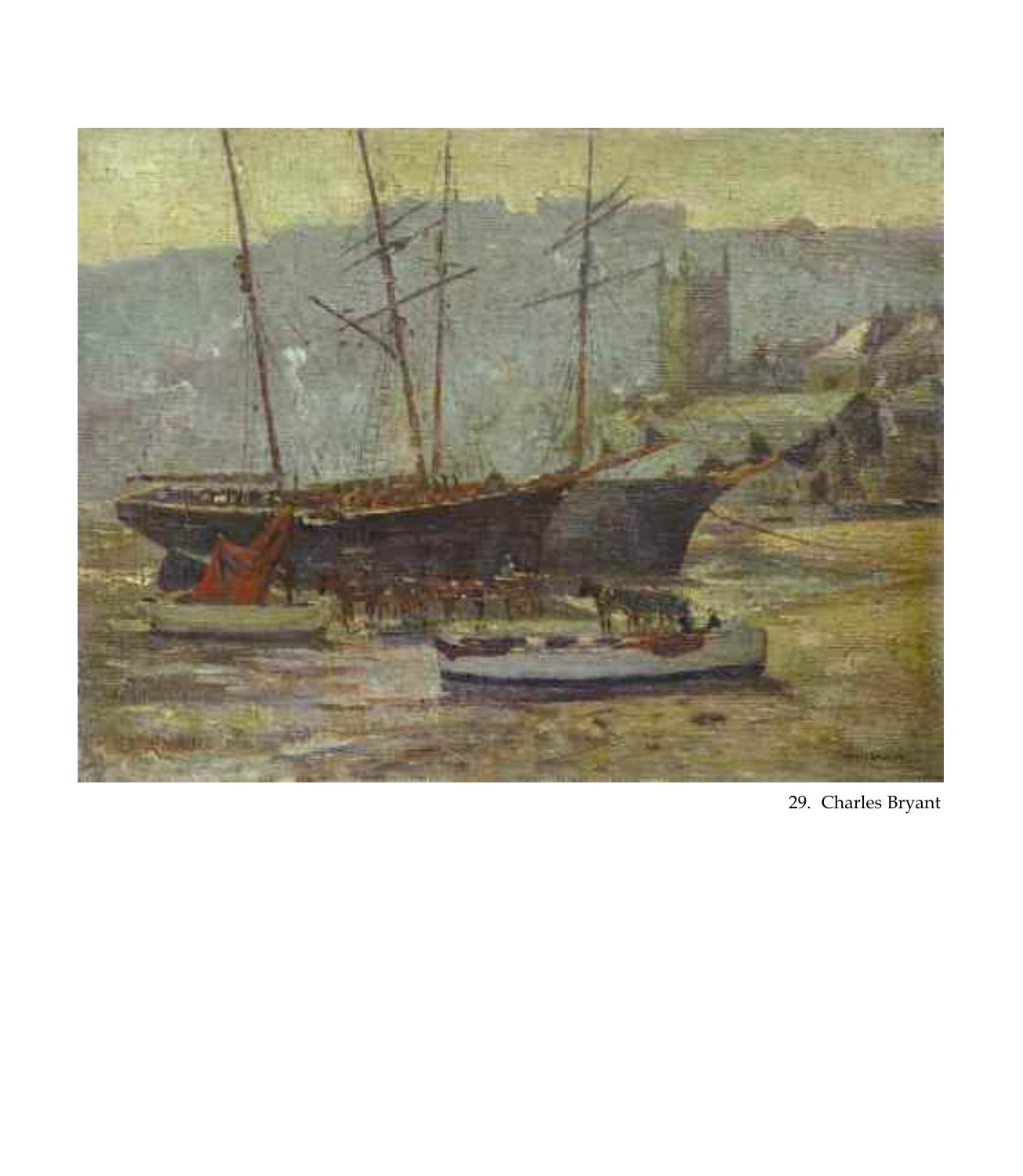

29. Charles Bryant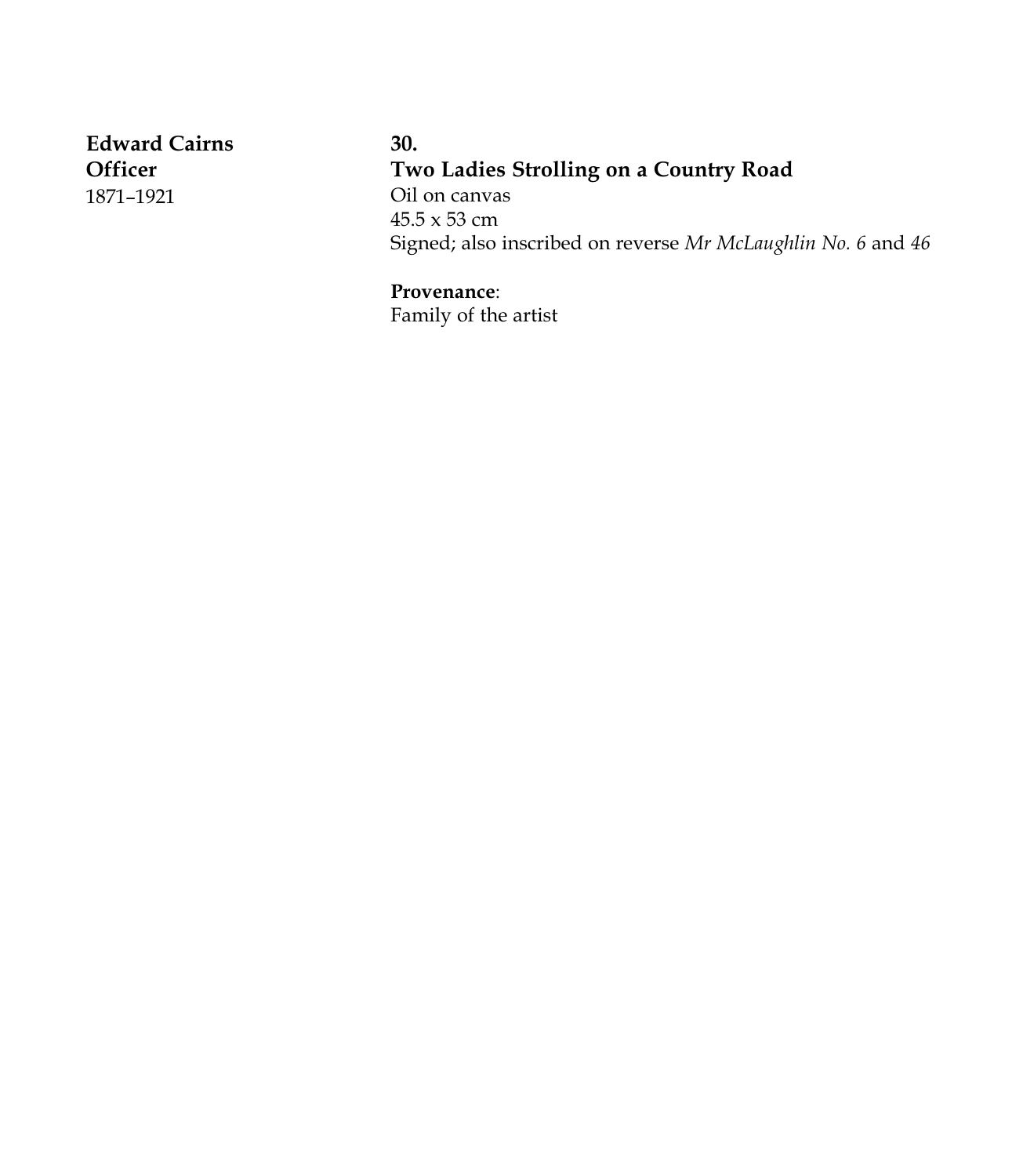**Edward Cairns Officer** 1871–1921

**30. Two Ladies Strolling on a Country Road** Oil on canvas 45.5 x 53 cm Signed; also inscribed on reverse *Mr McLaughlin No. 6* and *46*

**Provenance**: Family of the artist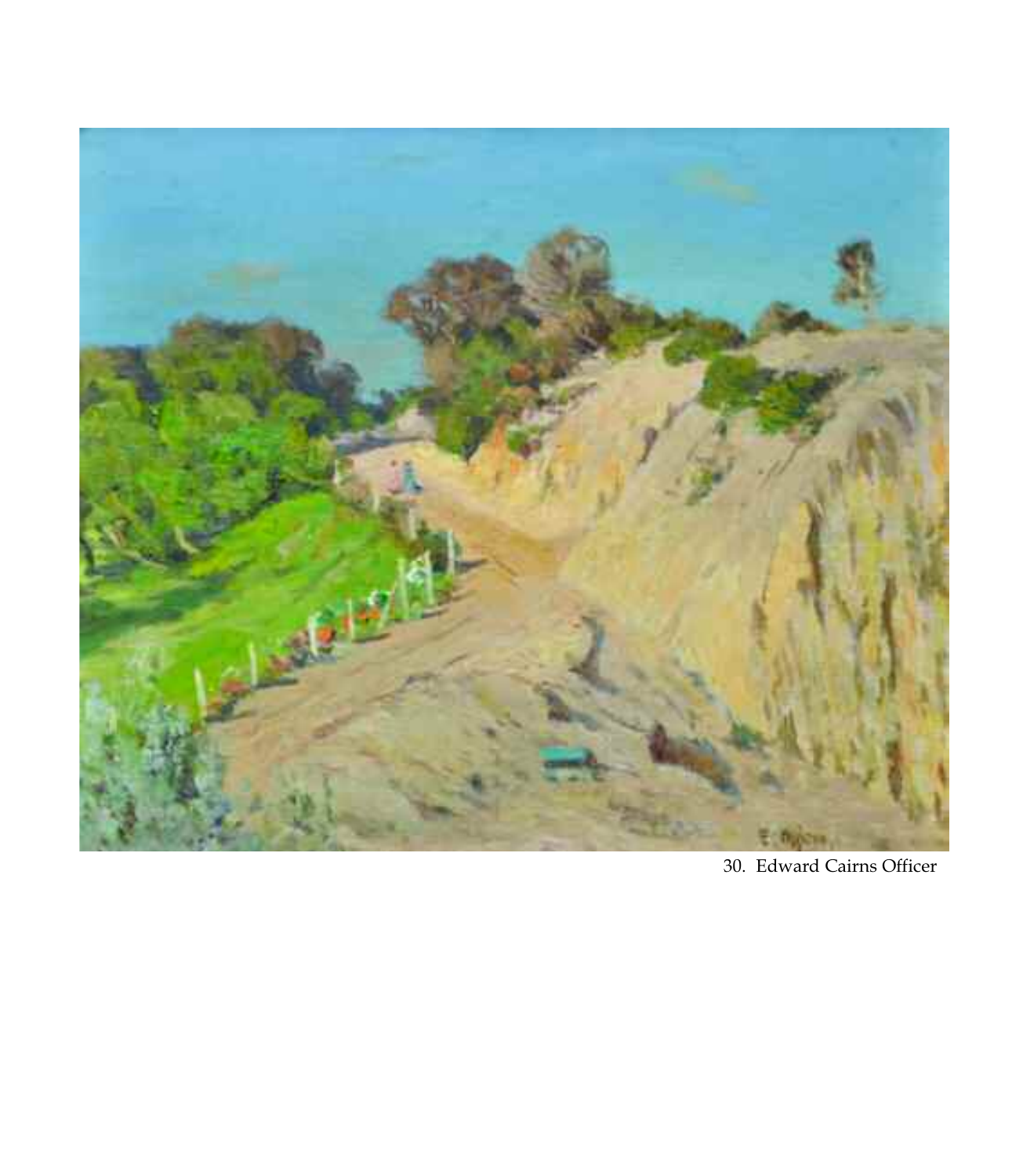

30. Edward Cairns Officer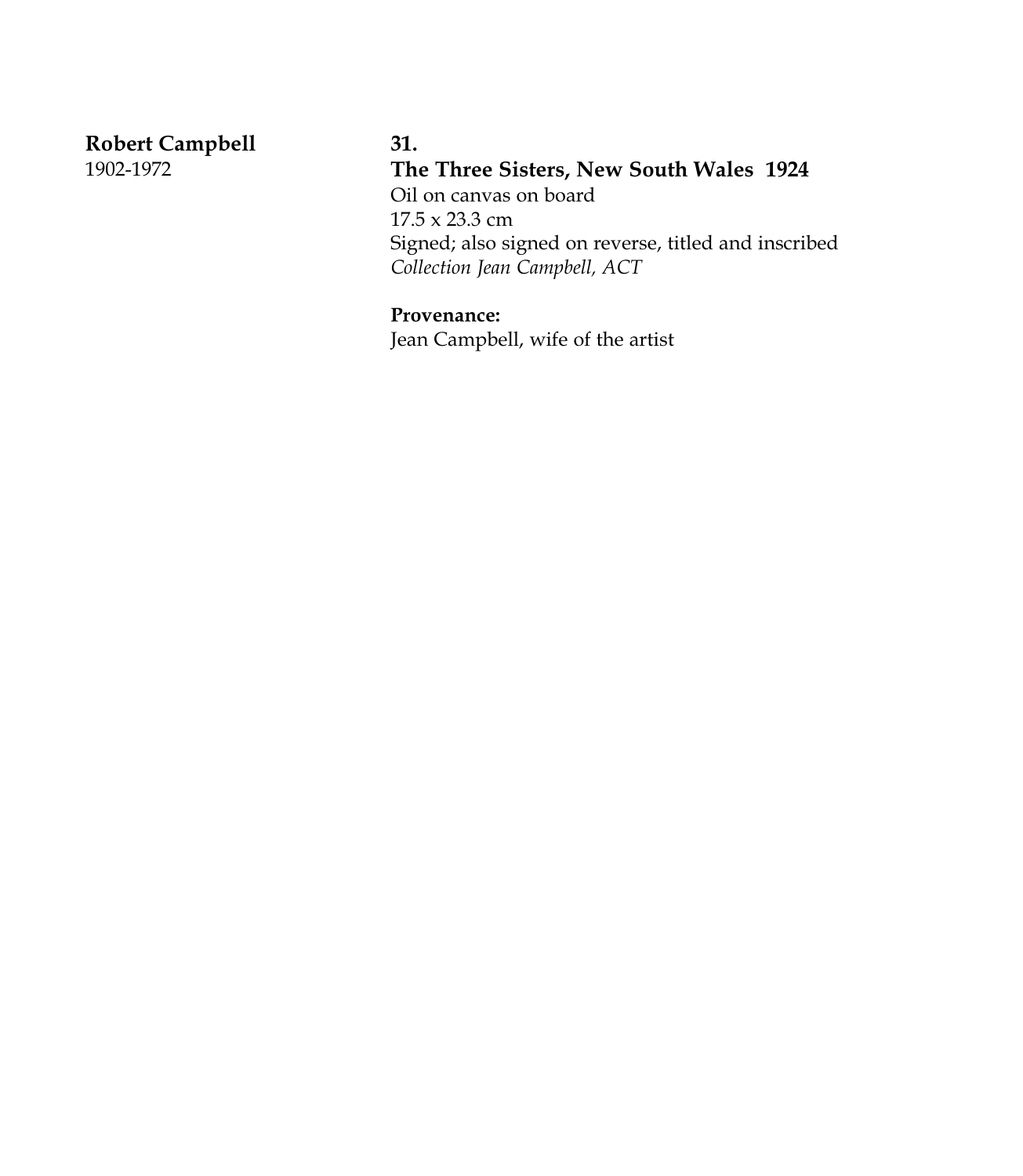**Robert Campbell** 1902-1972

# **31.**

**The Three Sisters, New South Wales 1924** Oil on canvas on board 17.5 x 23.3 cm Signed; also signed on reverse, titled and inscribed *Collection Jean Campbell, ACT*

## **Provenance:**

Jean Campbell, wife of the artist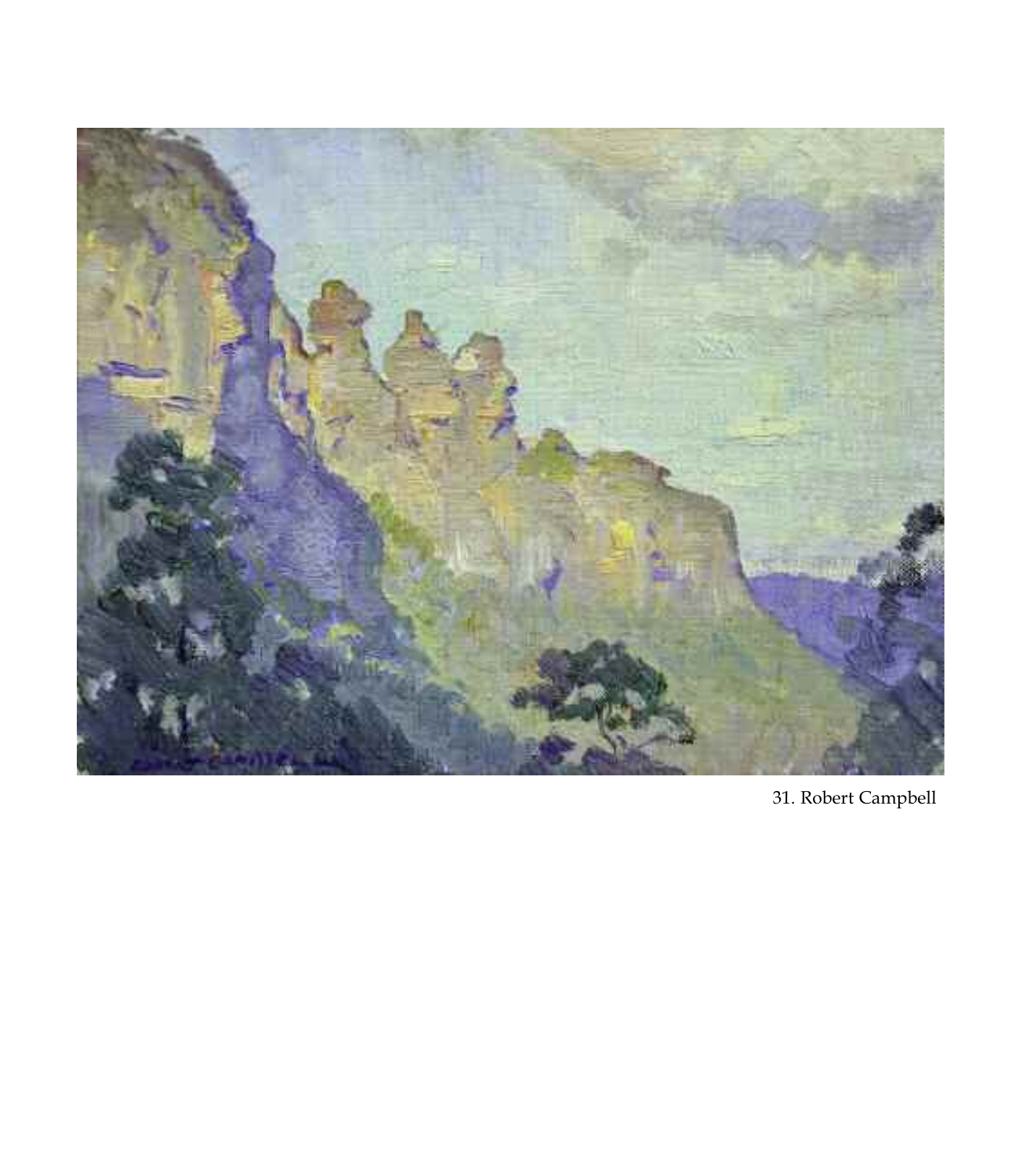

31. Robert Campbell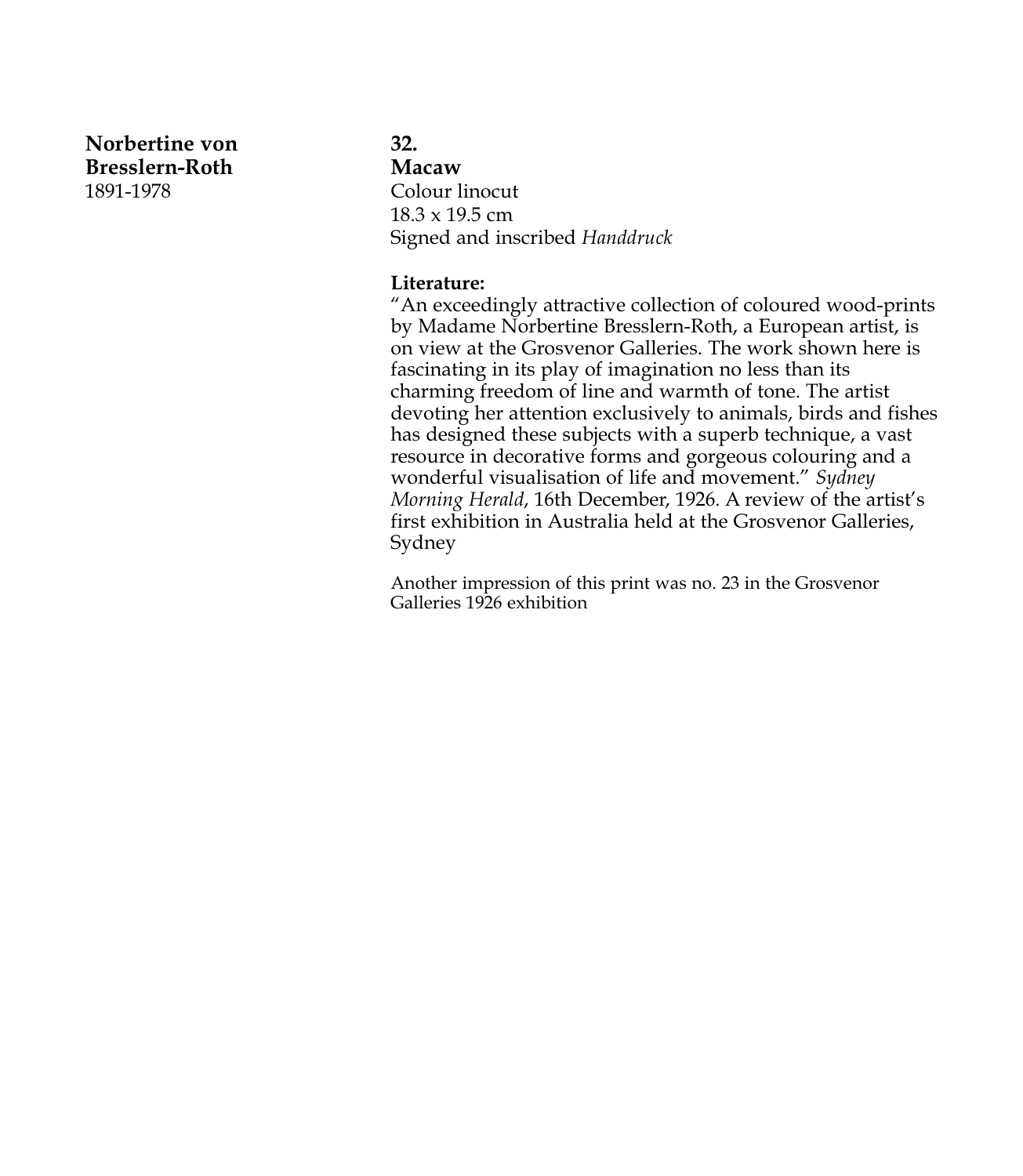**Norbertine von Bresslern-Roth** 1891-1978

#### **32.**

**Macaw** Colour linocut 18.3 x 19.5 cm Signed and inscribed *Handdruck*

#### **Literature:**

"An exceedingly attractive collection of coloured wood-prints by Madame Norbertine Bresslern-Roth, a European artist, is on view at the Grosvenor Galleries. The work shown here is fascinating in its play of imagination no less than its charming freedom of line and warmth of tone. The artist devoting her attention exclusively to animals, birds and fishes has designed these subjects with a superb technique, a vast resource in decorative forms and gorgeous colouring and a wonderful visualisation of life and movement." *Sydney Morning Herald*, 16th December, 1926. A review of the artist's first exhibition in Australia held at the Grosvenor Galleries, Sydney

Another impression of this print was no. 23 in the Grosvenor Galleries 1926 exhibition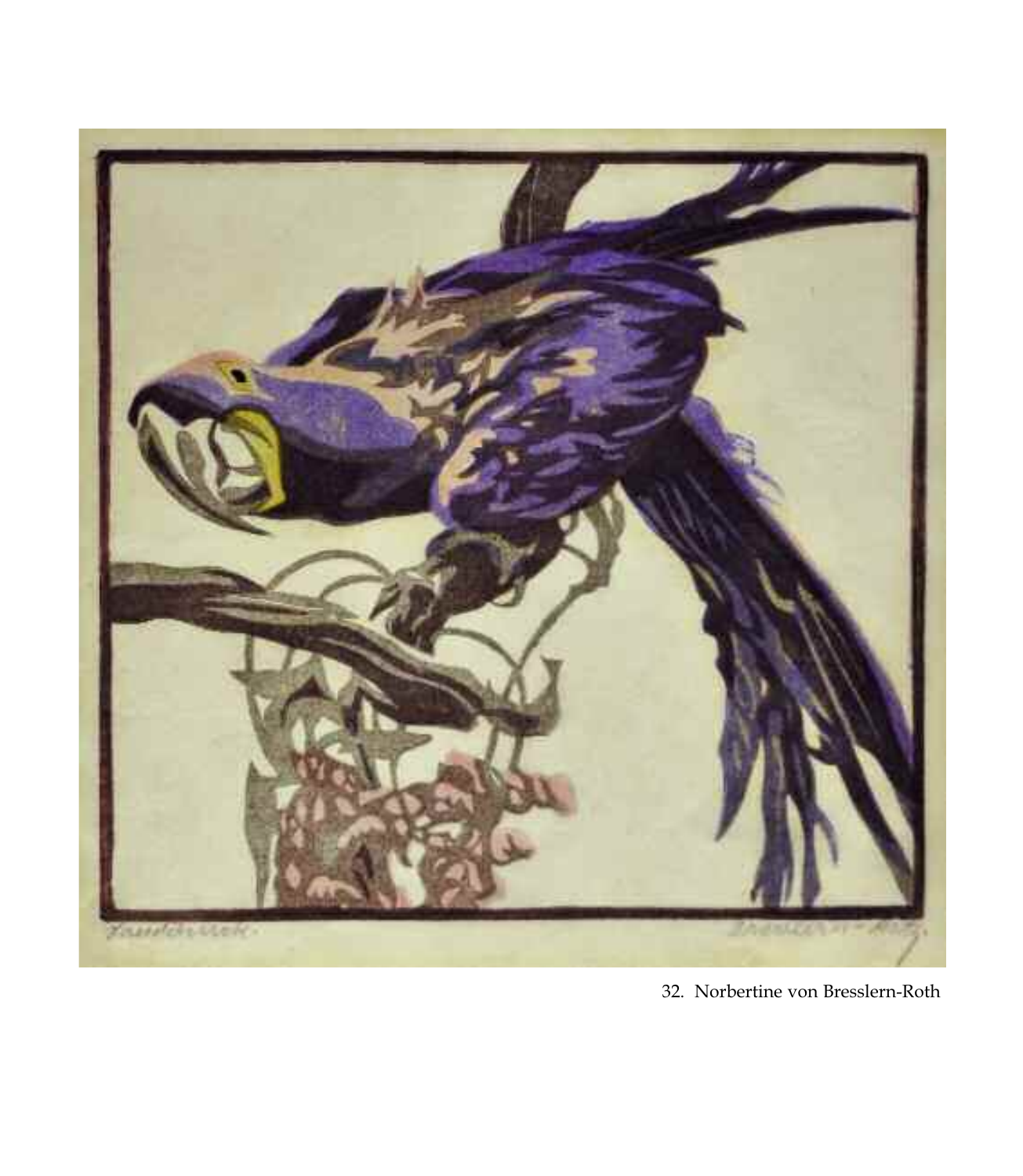

32. Norbertine von Bresslern-Roth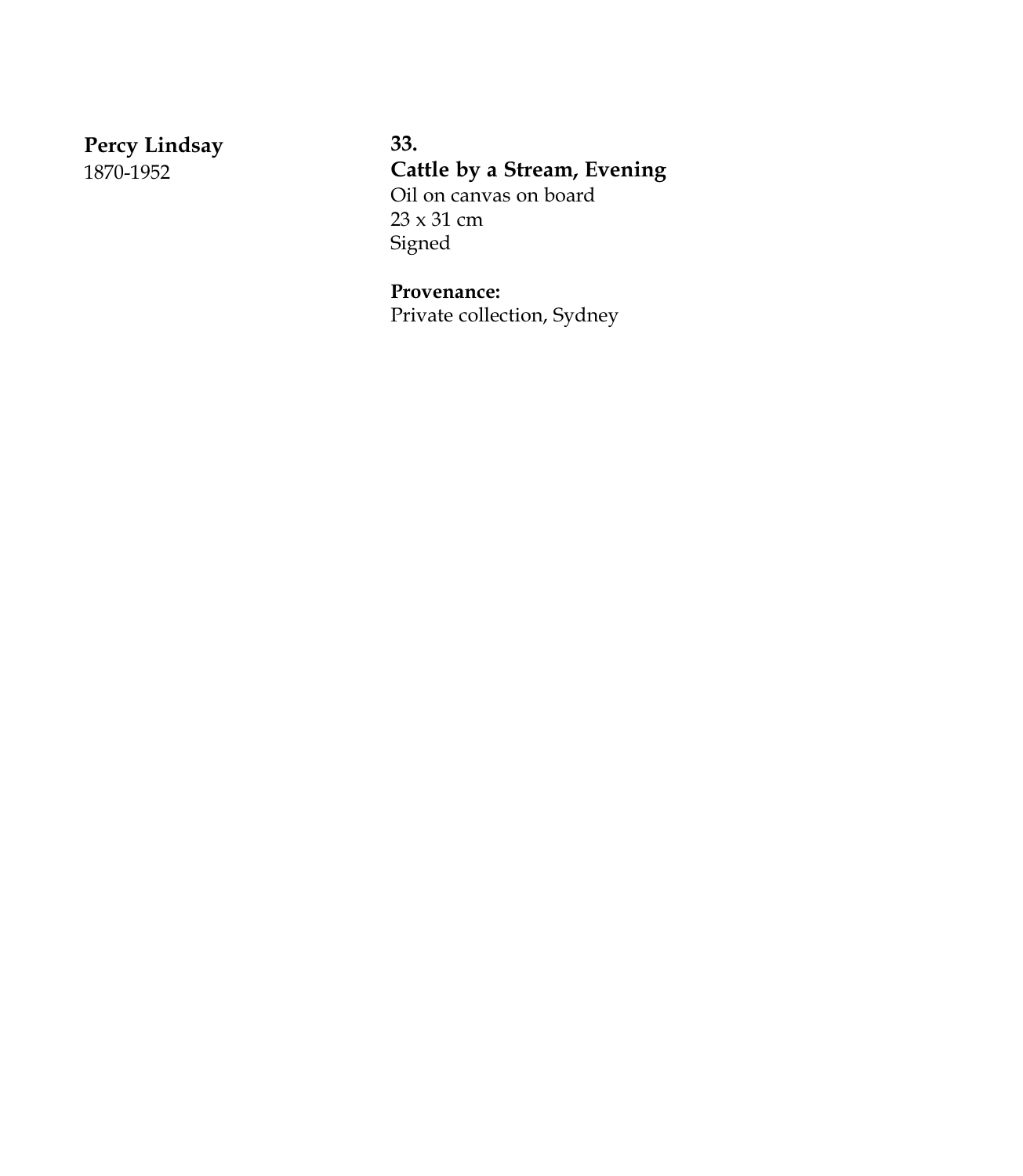**Percy Lindsay** 1870-1952

**33. Cattle by a Stream, Evening** Oil on canvas on board 23 x 31 cm Signed

**Provenance:** Private collection, Sydney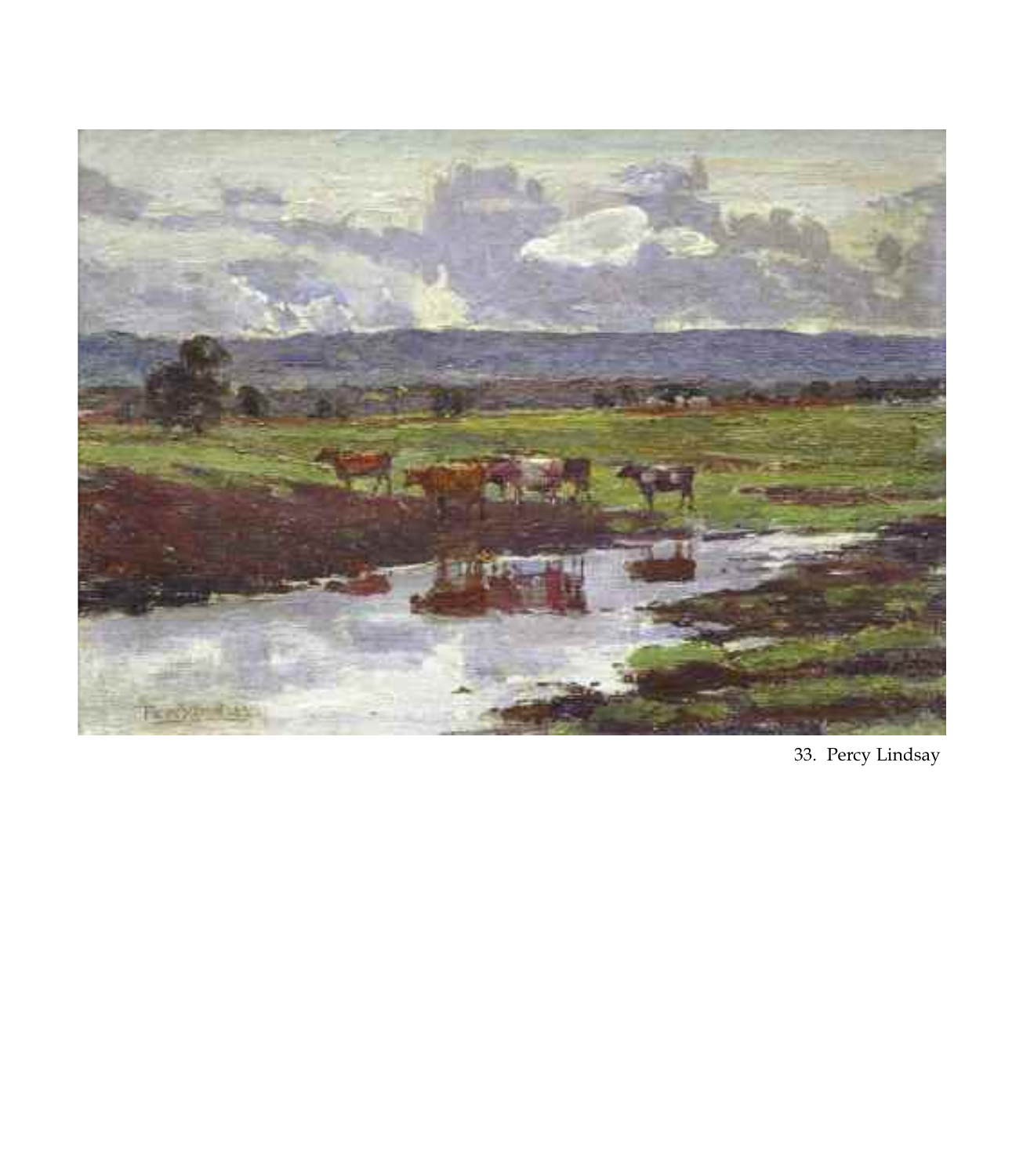

33. Percy Lindsay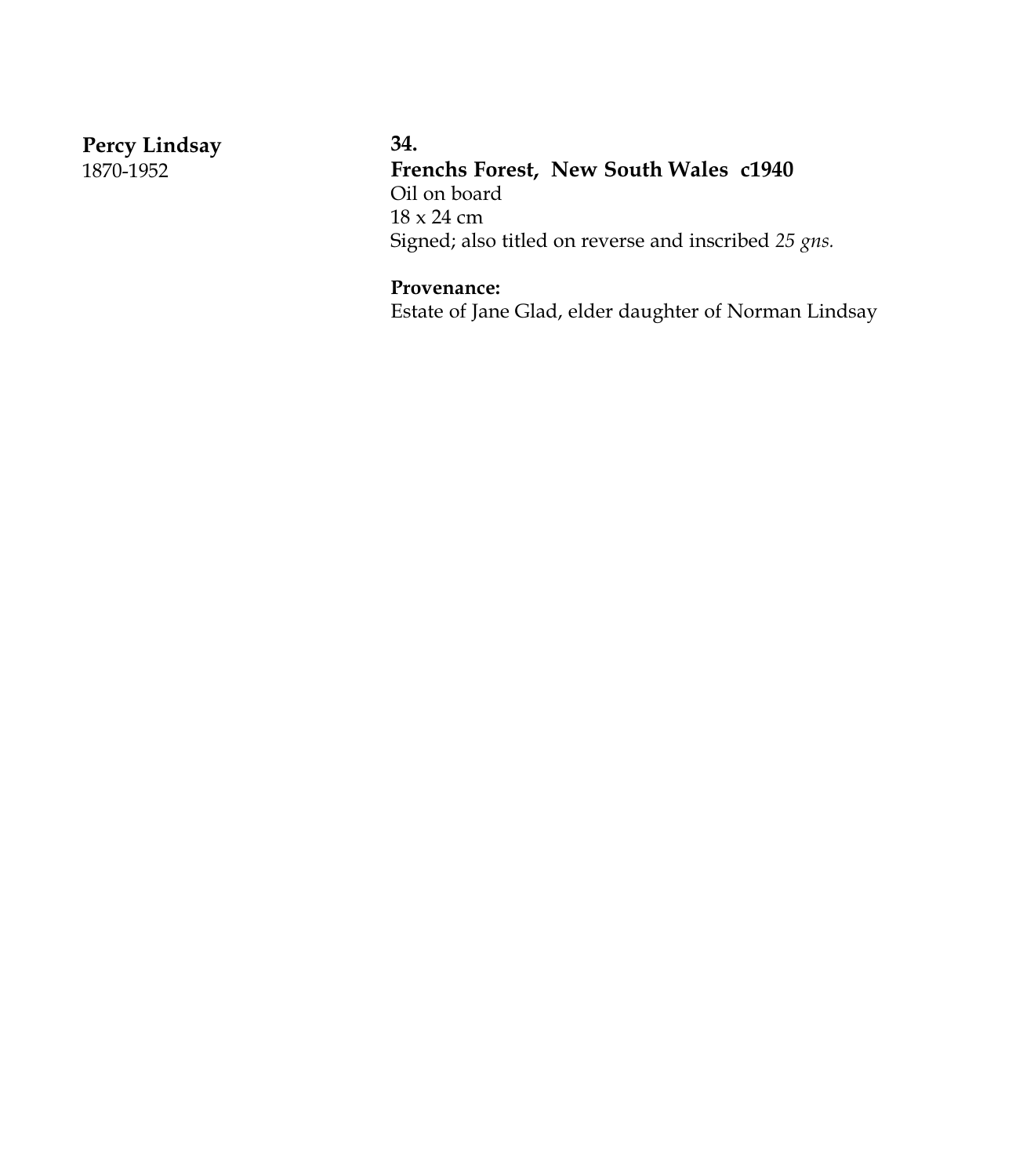**Percy Lindsay** 1870-1952

## **34.**

**Frenchs Forest, New South Wales c1940** Oil on board 18 x 24 cm Signed; also titled on reverse and inscribed *25 gns.*

# **Provenance:**

Estate of Jane Glad, elder daughter of Norman Lindsay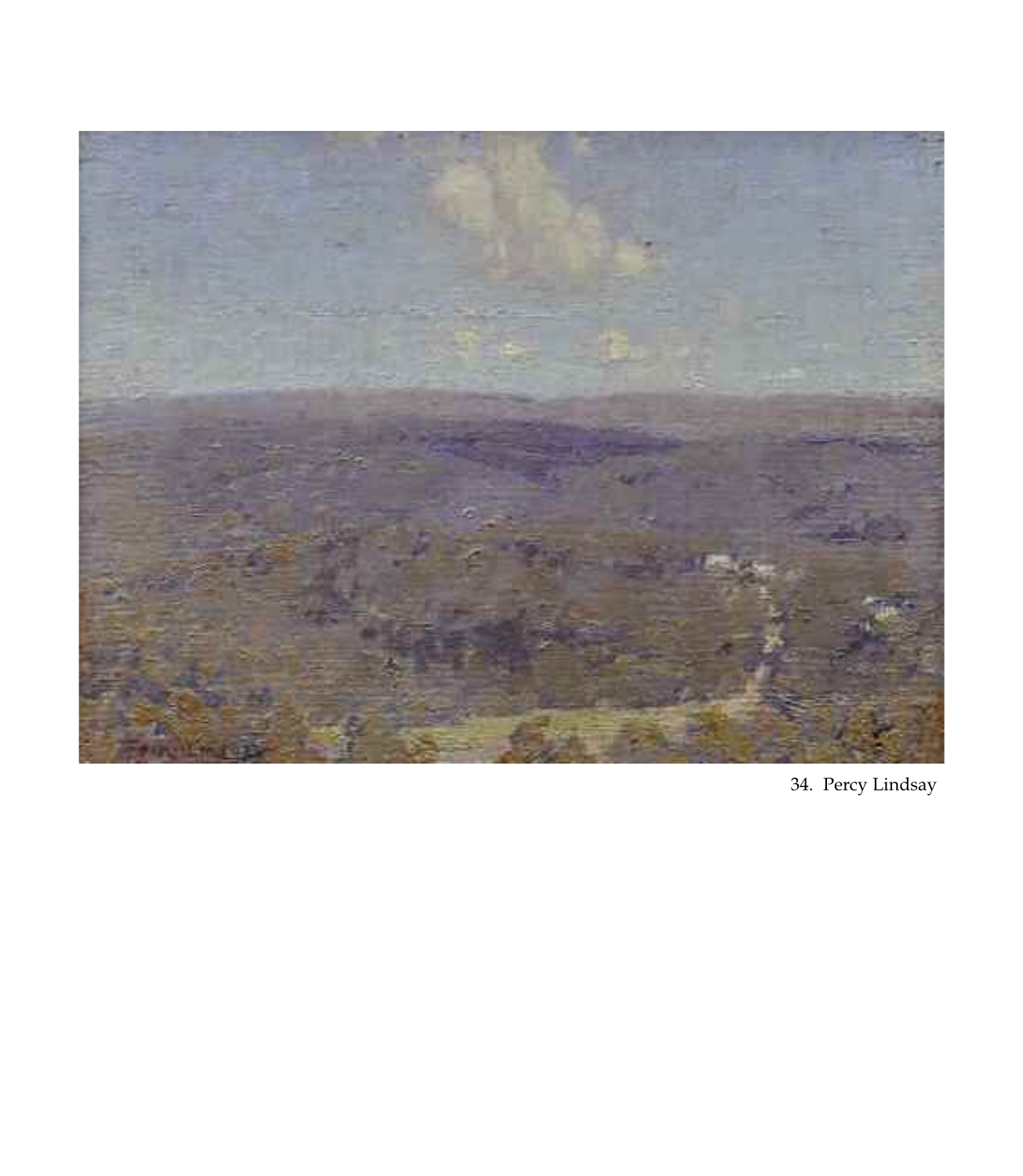

34. Percy Lindsay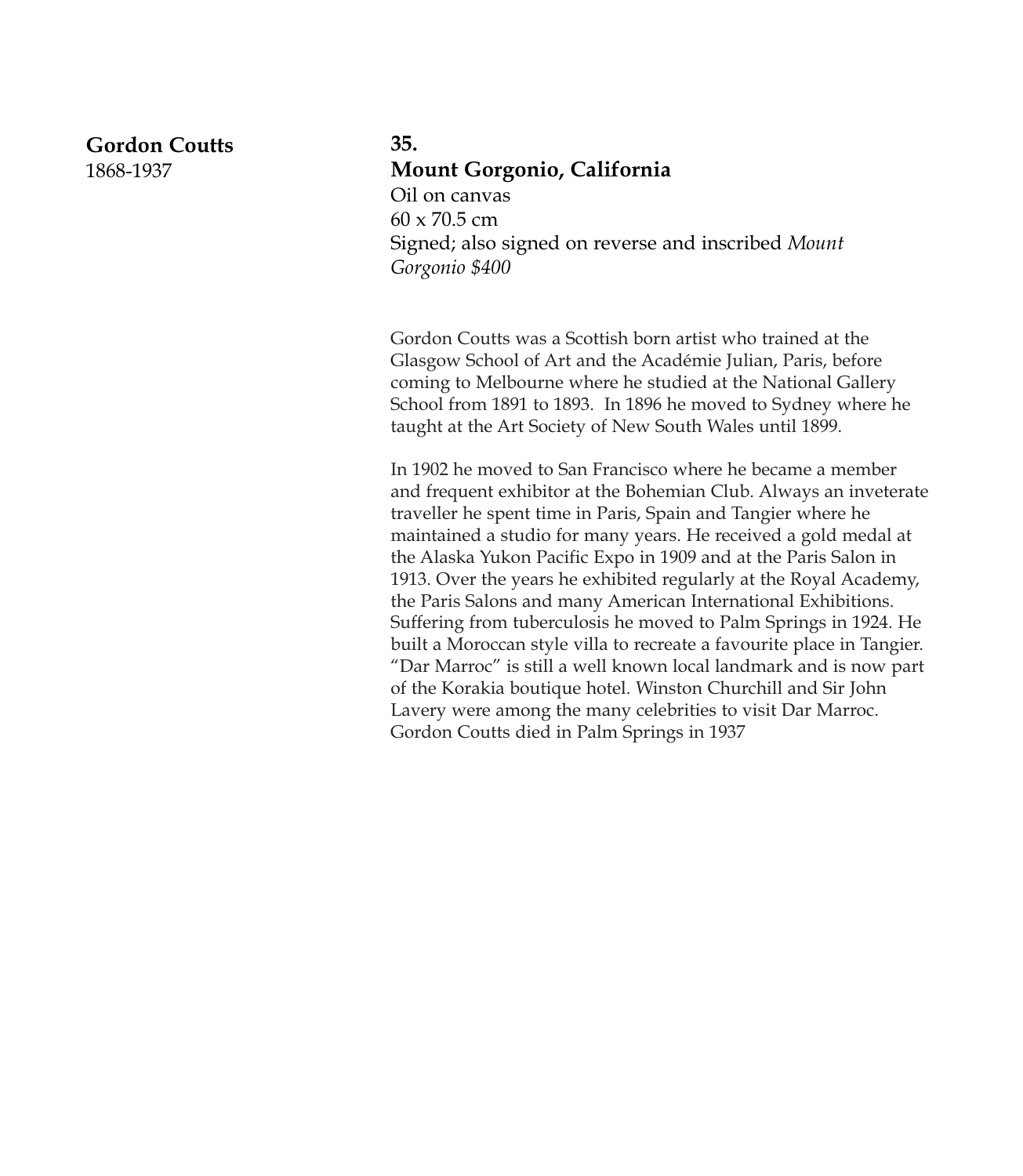#### **Gordon Coutts**

1868-1937

# **35. Mount Gorgonio, California** Oil on canvas  $60 \times 70.5$  cm Signed; also signed on reverse and inscribed *Mount Gorgonio \$400*

Gordon Coutts was a Scottish born artist who trained at the Glasgow School of Art and the Académie Julian, Paris, before coming to Melbourne where he studied at the National Gallery School from 1891 to 1893. In 1896 he moved to Sydney where he taught at the Art Society of New South Wales until 1899.

In 1902 he moved to San Francisco where he became a member and frequent exhibitor at the Bohemian Club. Always an inveterate traveller he spent time in Paris, Spain and Tangier where he maintained a studio for many years. He received a gold medal at the Alaska Yukon Pacific Expo in 1909 and at the Paris Salon in 1913. Over the years he exhibited regularly at the Royal Academy, the Paris Salons and many American International Exhibitions. Suffering from tuberculosis he moved to Palm Springs in 1924. He built a Moroccan style villa to recreate a favourite place in Tangier. "Dar Marroc" is still a well known local landmark and is now part of the Korakia boutique hotel. Winston Churchill and Sir John Lavery were among the many celebrities to visit Dar Marroc. Gordon Coutts died in Palm Springs in 1937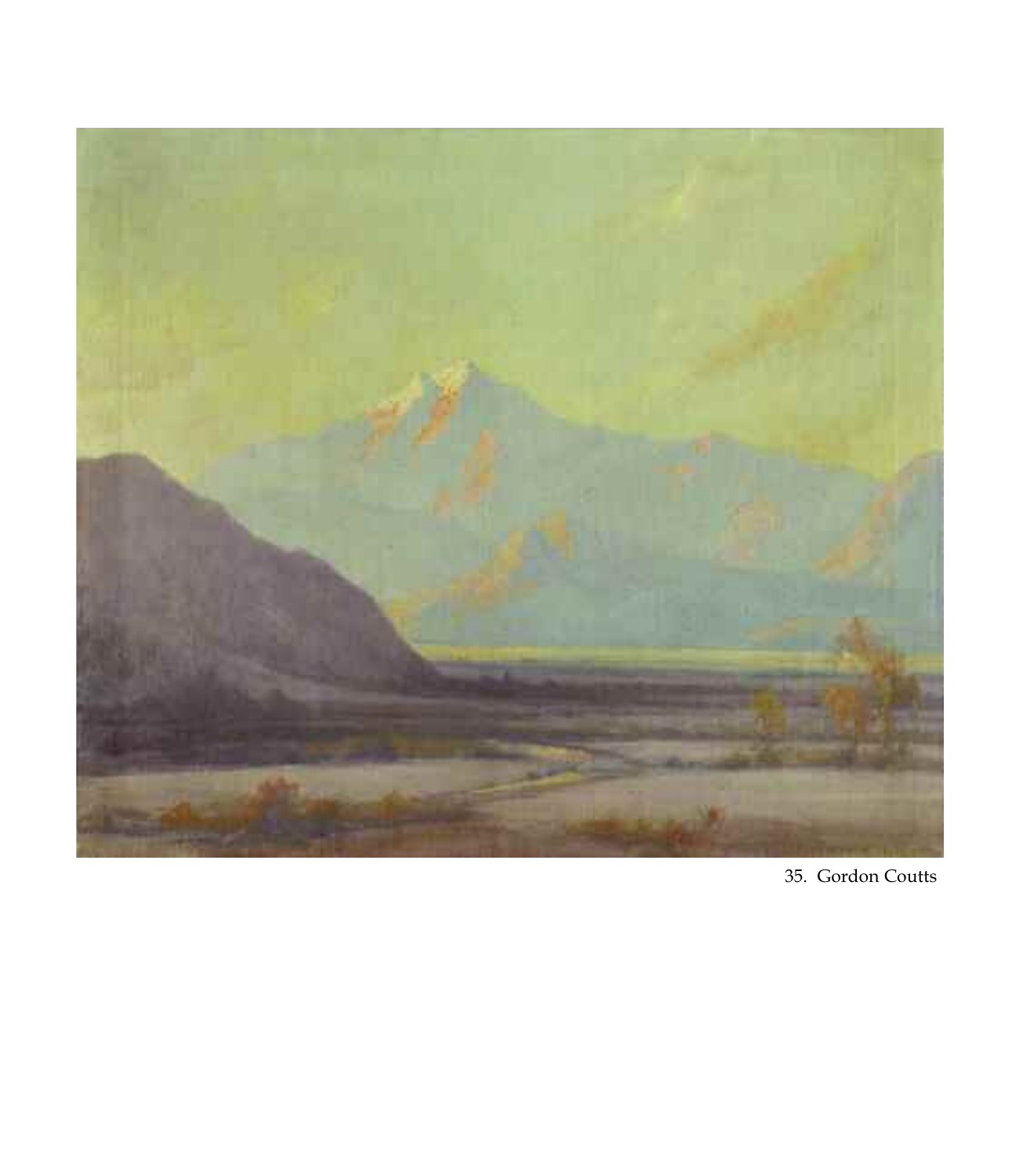

35. Gordon Coutts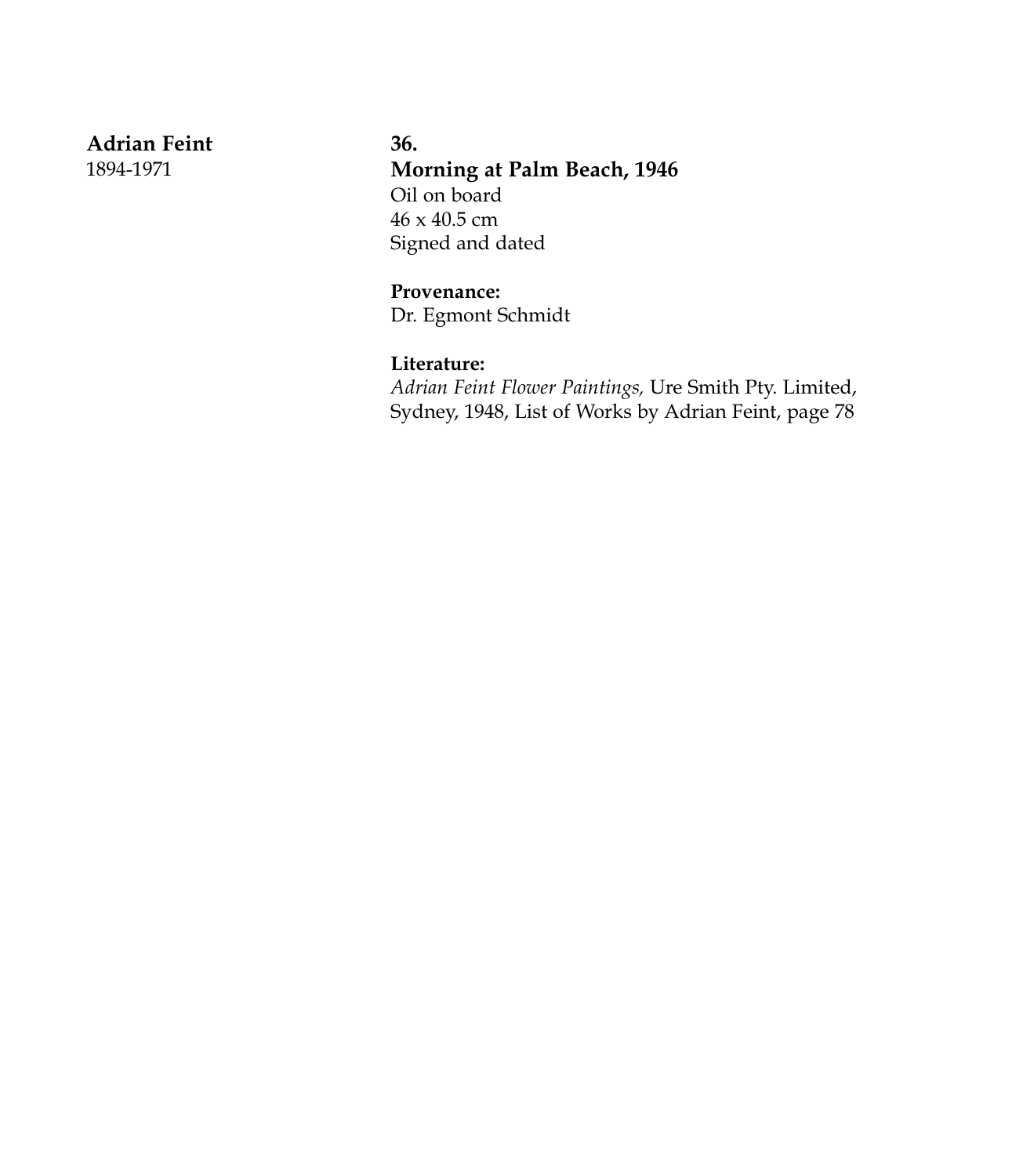**Adrian Feint**

1894-1971

**36. Morning at Palm Beach, 1946** Oil on board 46 x 40.5 cm Signed and dated

**Provenance:** Dr. Egmont Schmidt

#### **Literature:**

*Adrian Feint Flower Paintings,* Ure Smith Pty. Limited, Sydney, 1948, List of Works by Adrian Feint, page 78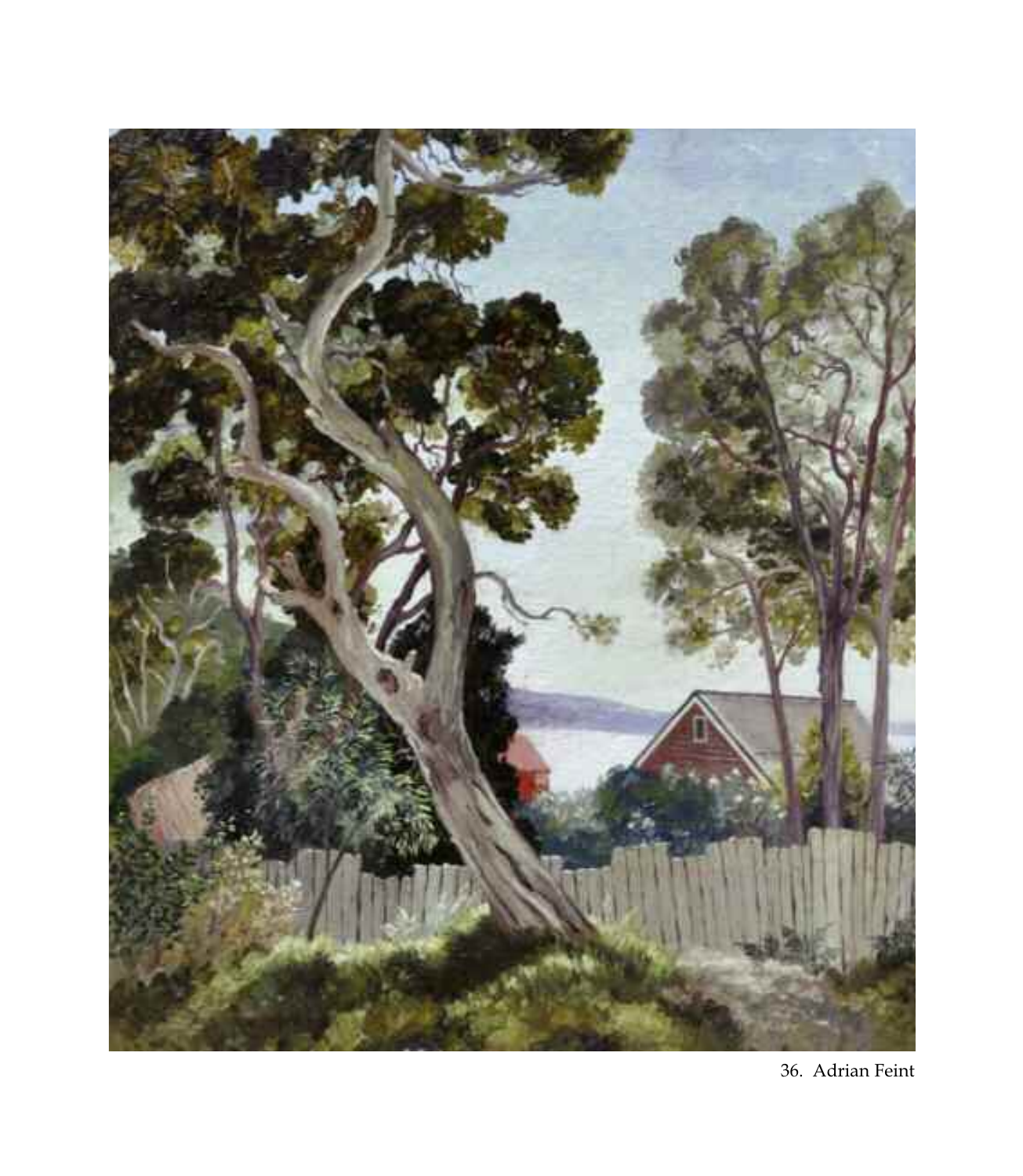

36. Adrian Feint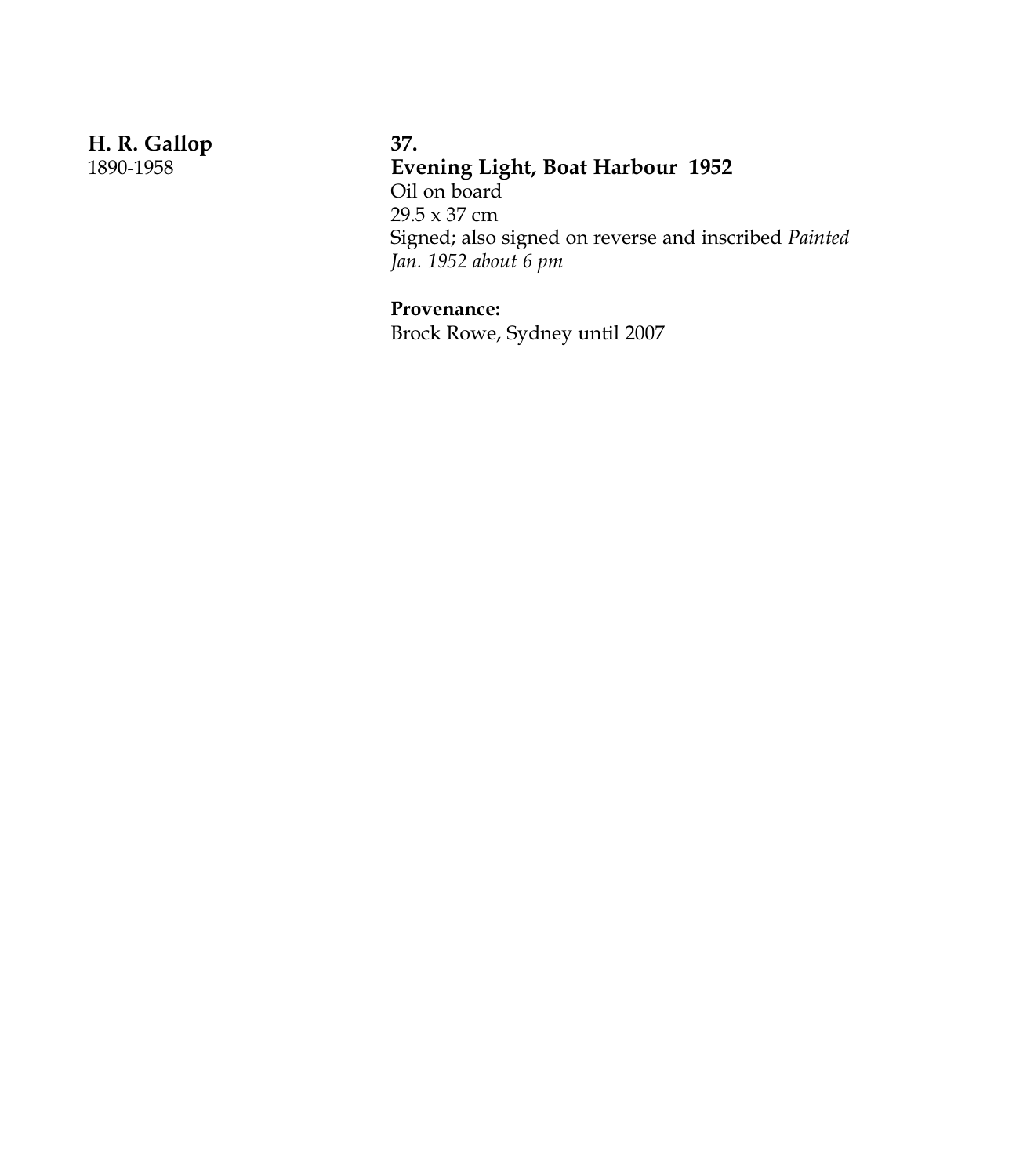**H. R. Gallop** 1890-1958

#### **37.**

**Evening Light, Boat Harbour 1952**

Oil on board 29.5 x 37 cm Signed; also signed on reverse and inscribed *Painted Jan. 1952 about 6 pm*

## **Provenance:**

Brock Rowe, Sydney until 2007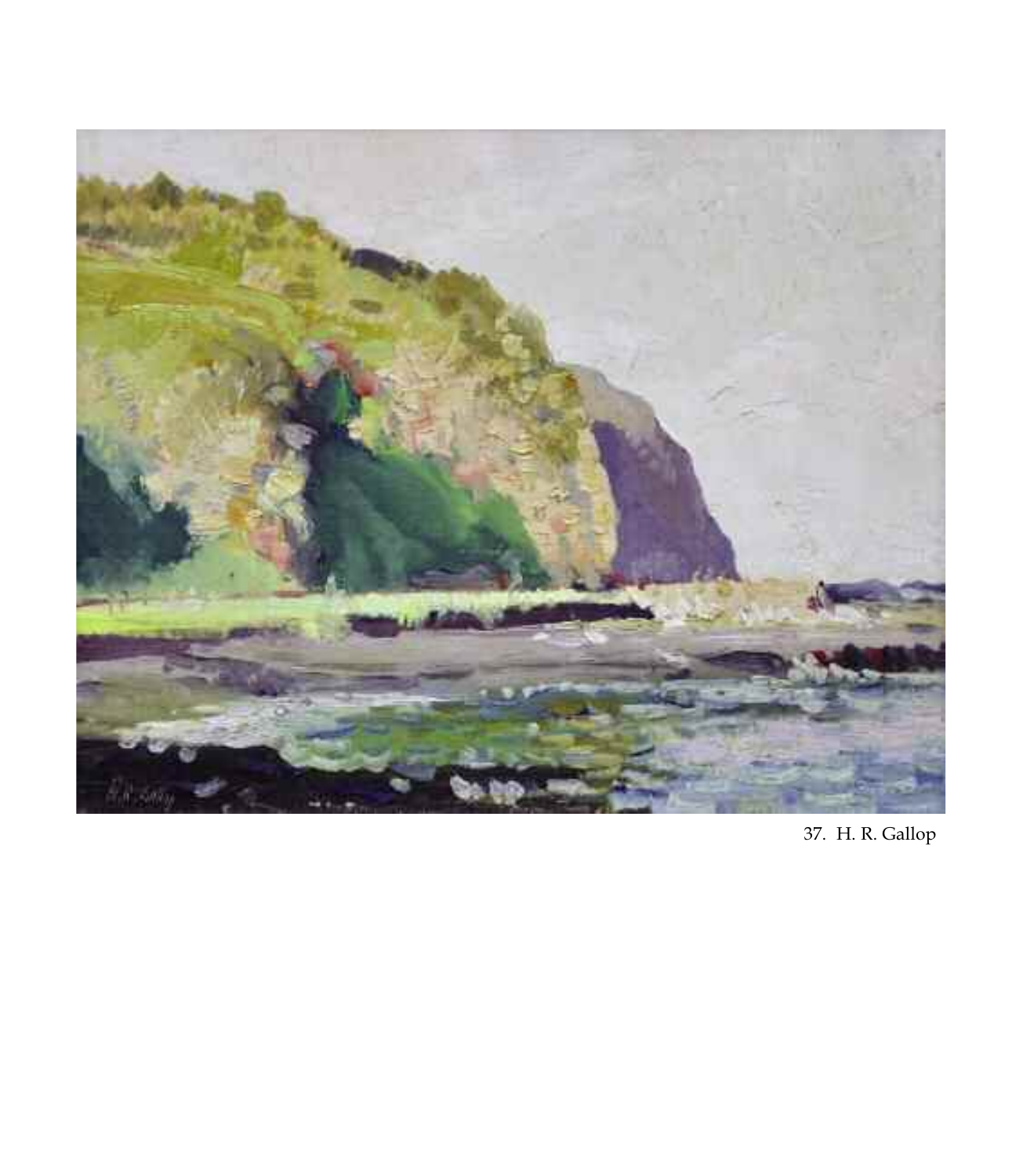

37. H. R. Gallop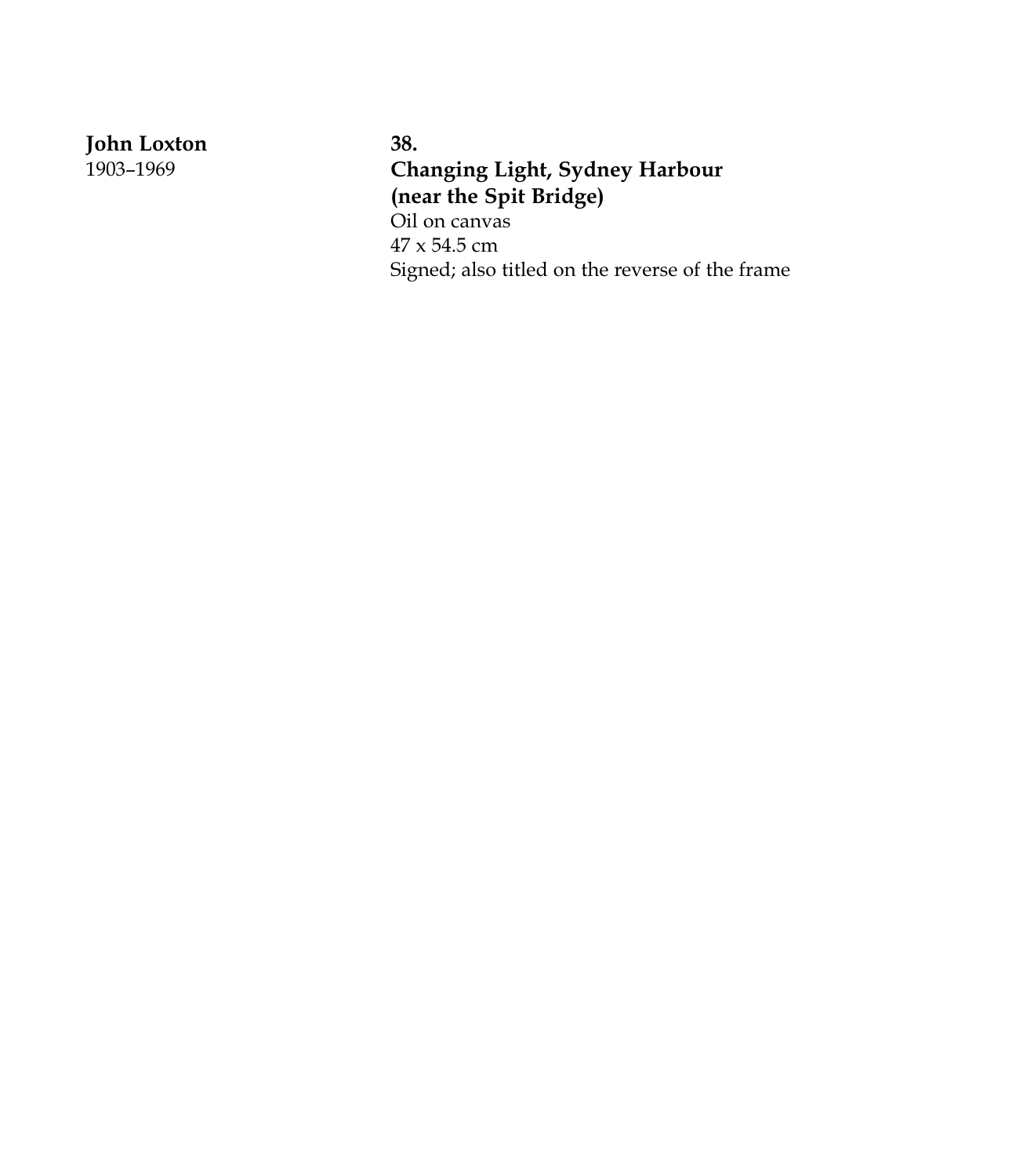**J o h n L o x t o n**

1 9 0 3 – 1 9 6 9

**3 8 . Changing Light, Sydney Harbour** (near the Spit Bridge) Oil on canvas 4 7 x 5 4 . 5 c m Signed; also titled on the reverse of the frame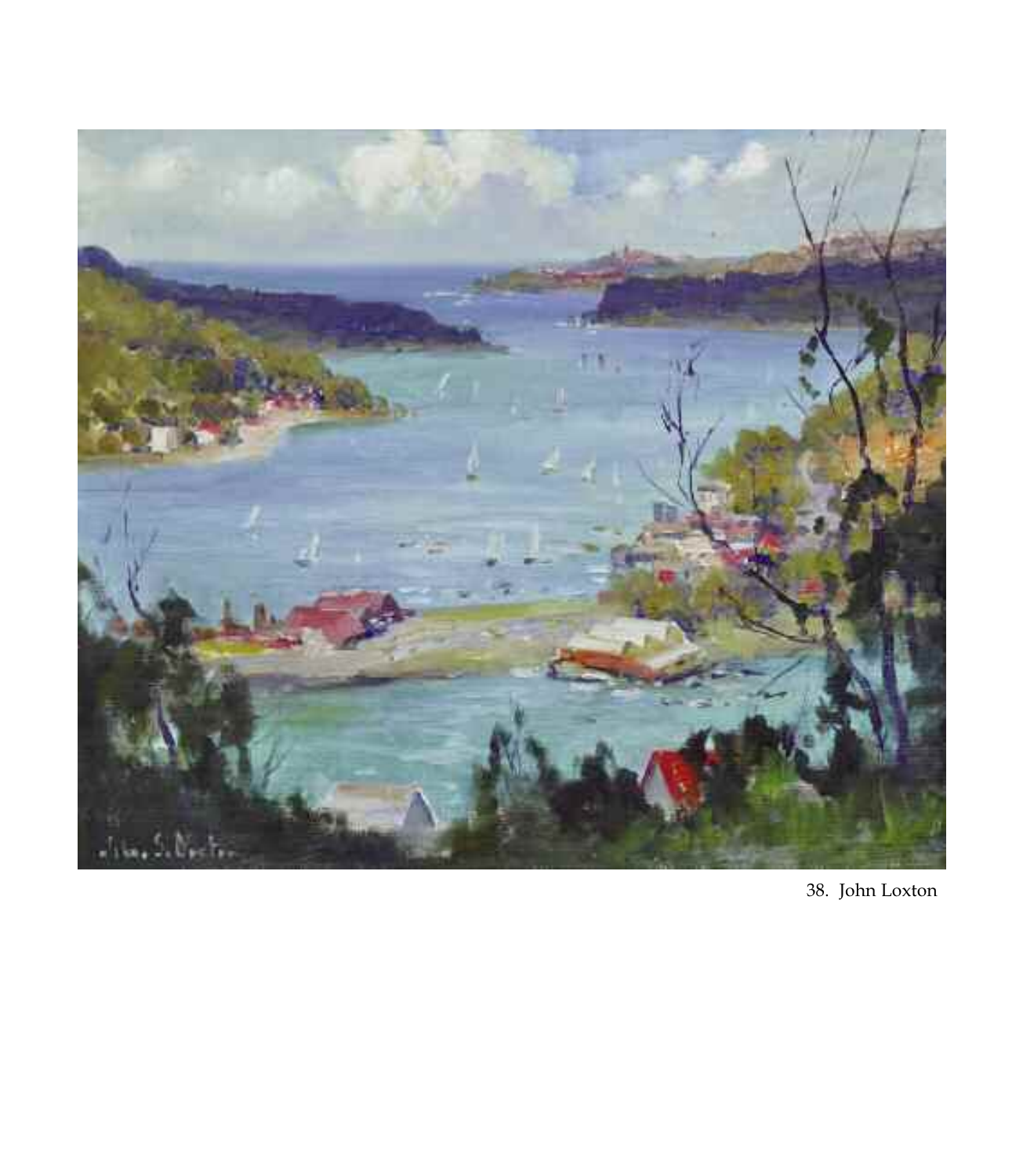

38. John Loxton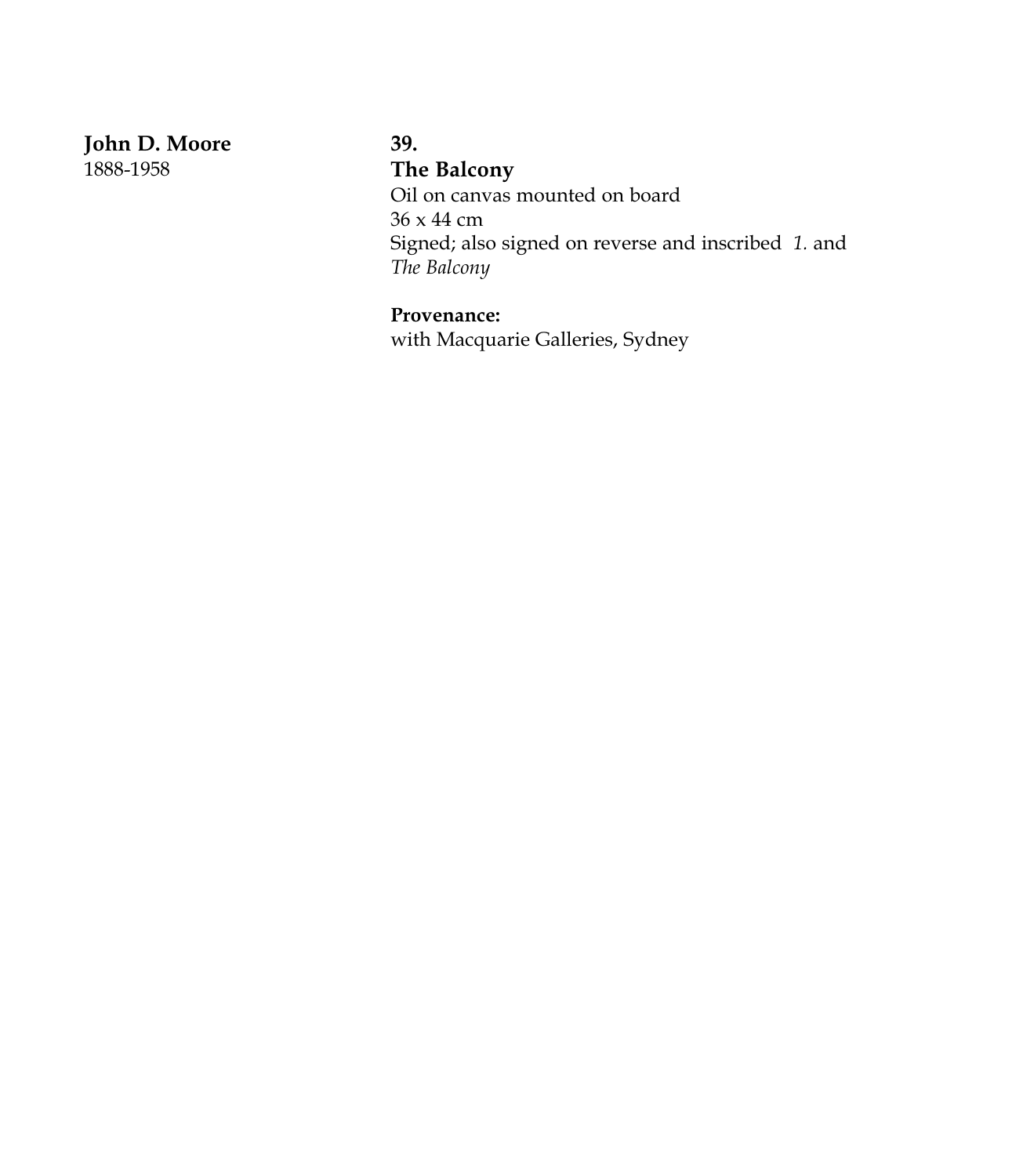**John D. Moore** 1888-1958

## **39.**

**The Balcony**

Oil on canvas mounted on board 36 x 44 cm Signed; also signed on reverse and inscribed *1.* and *The Balcony*

**Provenance:**

with Macquarie Galleries, Sydney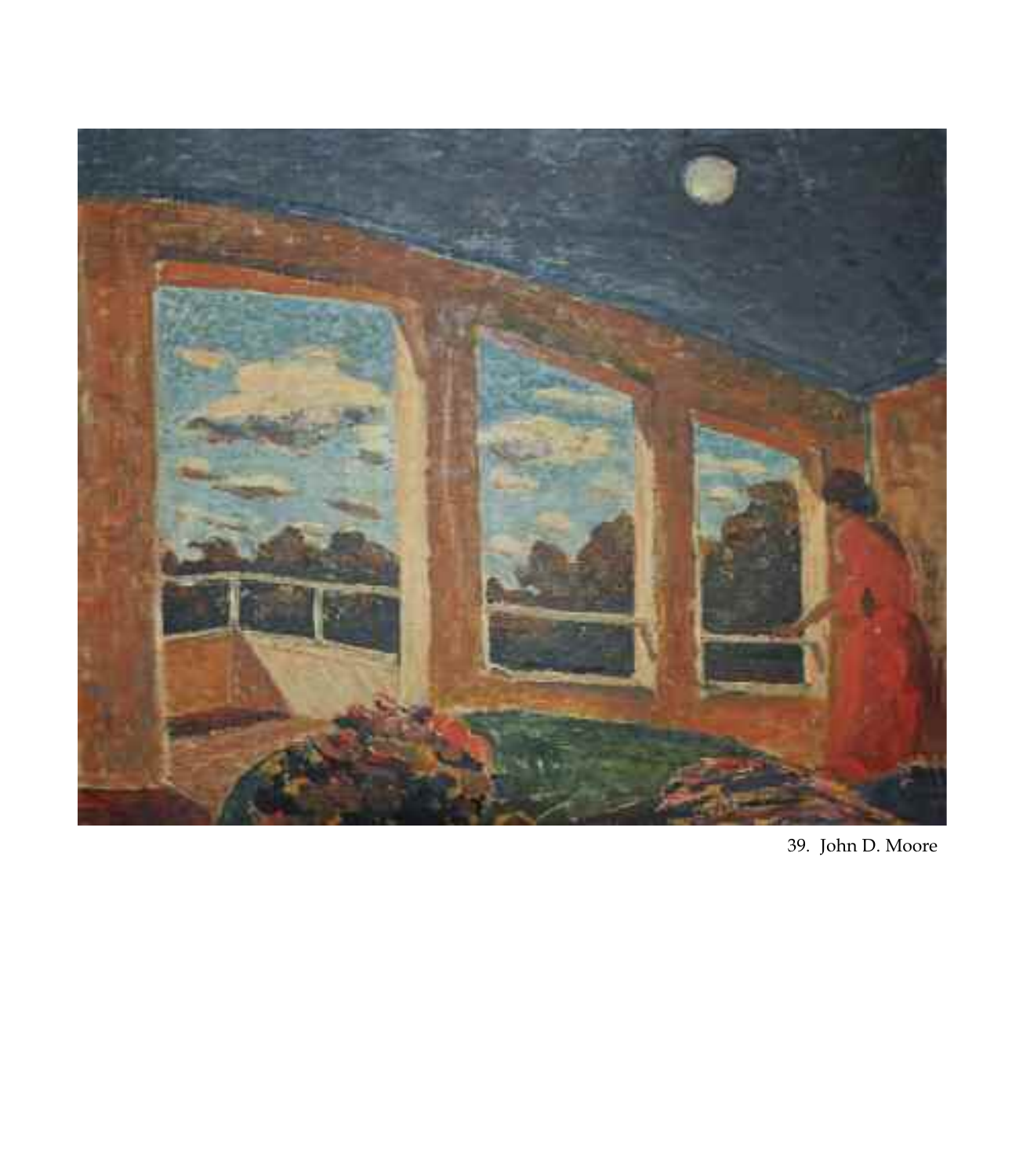

39. John D. Moore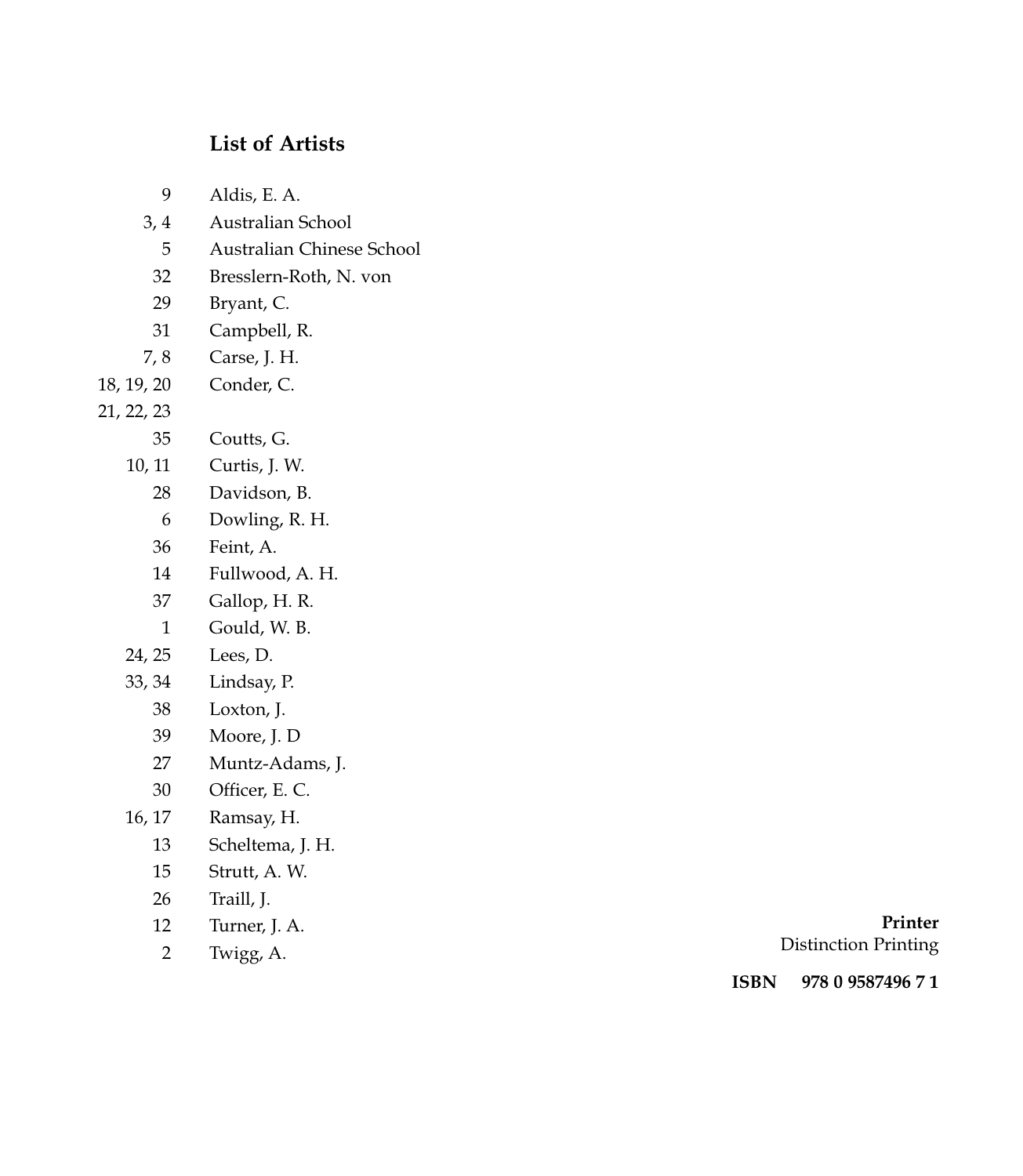## List of Artists

| 9              | Aldis, E. A.              |
|----------------|---------------------------|
| 3,4            | Australian School         |
| 5              | Australian Chinese School |
| 32             | Bresslern-Roth, N. von    |
| 29             | Bryant, C.                |
| 31             | Campbell, R.              |
| 7, 8           | Carse, J. H.              |
| 18, 19, 20     | Conder, C.                |
| 21, 22, 23     |                           |
| 35             | Coutts, G.                |
| 10, 11         | Curtis, J. W.             |
| 28             | Davidson, B.              |
| 6              | Dowling, R. H.            |
| 36             | Feint, A.                 |
| 14             | Fullwood, A. H.           |
| 37             | Gallop, H. R.             |
| 1              | Gould, W. B.              |
| 24, 25         | Lees, D.                  |
| 33, 34         | Lindsay, P.               |
| 38             | Loxton, J.                |
| 39             | Moore, J. D               |
| 27             | Muntz-Adams, J.           |
| 30             | Officer, E. C.            |
| 16, 17         | Ramsay, H.                |
| 13             | Scheltema, J. H.          |
| 15             | Strutt, A. W.             |
| 26             | Traill, J.                |
| 12             | Turner, J. A.             |
| $\overline{c}$ | Twigg, A.                 |

**P r i n t e r** Distinction Printing

**I S B N 9 7 8 0 9 5 8 74 9 6 7 1**